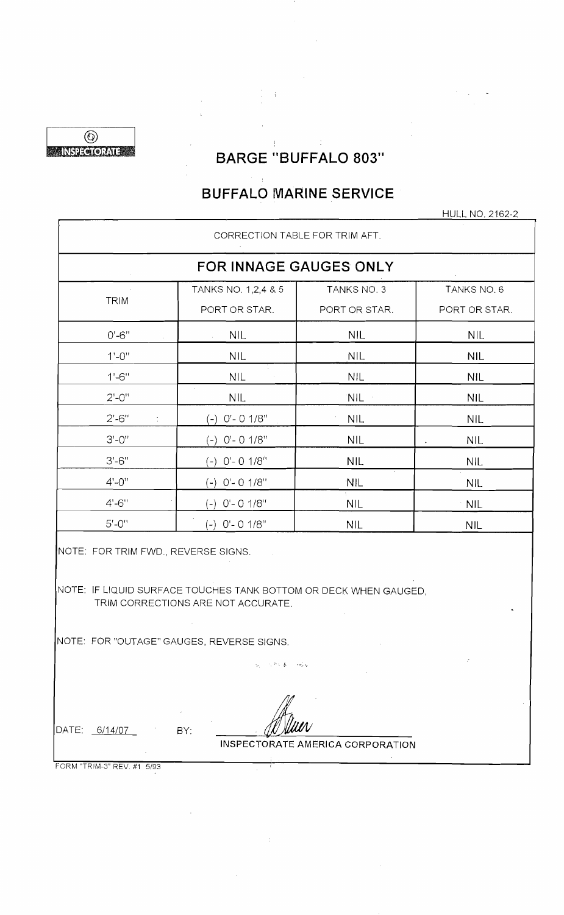

# BARGE "BUFFALO 803"

 $\frac{1}{2}$ 

 $\frac{1}{2}$  .

# **BUFFALO MARINE SERVICE·**

HULL NO. 2162-2

|                                            | CORRECTION TABLE FOR TRIM AFT.                                                                         |                                         |               |
|--------------------------------------------|--------------------------------------------------------------------------------------------------------|-----------------------------------------|---------------|
|                                            | FOR INNAGE GAUGES ONLY                                                                                 |                                         |               |
|                                            | TANKS NO. 1,2,4 & 5                                                                                    | TANKS NO. 3                             | TANKS NO. 6   |
| <b>TRIM</b>                                | PORT OR STAR.                                                                                          | PORT OR STAR.                           | PORT OR STAR. |
| $0' - 6''$                                 | <b>NIL</b>                                                                                             | <b>NIL</b>                              | <b>NIL</b>    |
| $1' - 0''$                                 | <b>NIL</b>                                                                                             | <b>NIL</b>                              | <b>NIL</b>    |
| $1' - 6''$                                 | <b>NIL</b>                                                                                             | <b>NIL</b>                              | <b>NIL</b>    |
| $2' - 0''$                                 | <b>NIL</b>                                                                                             | NIL.                                    | <b>NIL</b>    |
| $2' - 6''$                                 | $(-)$ O'- O 1/8"                                                                                       | <b>NIL</b>                              | <b>NIL</b>    |
| $3' - 0''$                                 | $(-)$ O'- O 1/8"                                                                                       | <b>NIL</b>                              | <b>NIL</b>    |
| $3' - 6''$                                 | $(-)$ O'- O $1/8$ <sup>it</sup>                                                                        | <b>NIL</b>                              | <b>NIL</b>    |
| $4 - 0$ "                                  | $(-)$ O'- O $1/8$ "                                                                                    | <b>NIL</b>                              | <b>NIL</b>    |
| $4' - 6''$                                 | $(-)$ O'- O 1/8"                                                                                       | <b>NIL</b>                              | <b>NIL</b>    |
| $5' - 0''$                                 | $(-)$ O'- O 1/8"                                                                                       | <b>NIL</b>                              | <b>NIL</b>    |
| NOTE: FOR TRIM FWD., REVERSE SIGNS.        | NOTE: IF LIQUID SURFACE TOUCHES TANK BOTTOM OR DECK WHEN GAUGED,<br>TRIM CORRECTIONS ARE NOT ACCURATE. |                                         |               |
| NOTE: FOR "OUTAGE" GAUGES, REVERSE SIGNS.  | 经一次部分表 网络家                                                                                             |                                         |               |
| DATE: 6/14/07<br>FORM "TRIM-3" REV #1 5/93 | BY:                                                                                                    | <b>INSPECTORATE AMERICA CORPORATION</b> |               |

FORM "TRIM-3" REV. #1 5/93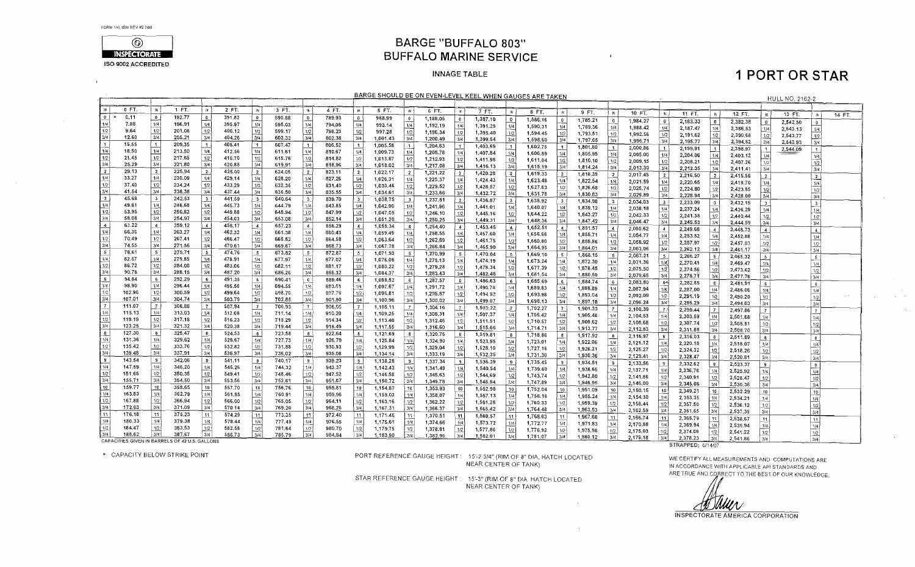$\overline{1}$ 

 $\sim 10$ 

 $\sim 100$ 



### **BARGE "BUFFALO 803" BUFFALO MARINE SERVICE**

#### **INNAGE TABLE**

# **1 PORT OR STAR**

 $\sim 10^{-1}$  $\mathbf{q}_i$  , and  $\mathbf{q}_i$ 

|                                        | BARGE SHOULD BE ON EVEN-LEVEL KEEL WHEN GAUGES ARE TAKEN<br><b>HULL NO. 2162-2</b><br>$2$ FT.<br>0 FT<br>1 FT.<br>$\mathbb{N}$<br>#<br>$\mathbf{H}$<br>3 FT.<br>4 FT.<br>$\mathsf{N}$<br>5 FT.<br><b>IN</b><br>iм<br>-m {<br>6 FT.<br>$\mathbb{N}$<br>7 FT.<br><b>IN</b><br>8 FT.<br>9 FT.<br>N<br><b>IN</b><br>10 FT.<br>$\mathbb{N}$<br>11 FT.<br>$12$ FT.<br>13 FT. |                         |        |                                       |        |                          |        |                |        |                  |          |                                          |          |                |          |                         |                      |                                |                      |                 |          |                |          |                       |          |                         |          |                  |        |
|----------------------------------------|------------------------------------------------------------------------------------------------------------------------------------------------------------------------------------------------------------------------------------------------------------------------------------------------------------------------------------------------------------------------|-------------------------|--------|---------------------------------------|--------|--------------------------|--------|----------------|--------|------------------|----------|------------------------------------------|----------|----------------|----------|-------------------------|----------------------|--------------------------------|----------------------|-----------------|----------|----------------|----------|-----------------------|----------|-------------------------|----------|------------------|--------|
|                                        |                                                                                                                                                                                                                                                                                                                                                                        |                         |        |                                       |        |                          |        |                |        |                  |          |                                          |          |                |          |                         |                      |                                |                      |                 |          |                |          |                       |          |                         |          |                  |        |
|                                        |                                                                                                                                                                                                                                                                                                                                                                        |                         |        |                                       |        |                          |        |                |        |                  |          |                                          |          |                |          |                         |                      |                                |                      |                 |          |                |          |                       |          |                         |          |                  |        |
| $\overline{\bullet}$                   | 6.11                                                                                                                                                                                                                                                                                                                                                                   | $\mathbf{0}$            | 192.77 | $\bullet$                             | 391.82 | $\mathbf{0}$             | 590.88 | O.             | 789.93 | 0                | 988.99   | $\bullet$                                | 1,188.05 | $\bullet$      | 1,387,10 | $\circ$                 | 1,586,16             | $\mathbf{0}$                   | 1,785.21             |                 |          |                |          |                       |          | $\mathbb{R}$            |          | $\mathbf{M}$     | 14 FT. |
| 1/4                                    | 7.88                                                                                                                                                                                                                                                                                                                                                                   | 1/4                     | 196.91 | 1/4                                   | 395.97 | 1/4                      | 595.03 | 1/4            | 794.08 | 1/4              | 993.14   | 1/4                                      | 1,192.19 | 1/4            | 1,391.25 | 1/4                     | 1,590,31             | 1/4                            | 1,789.36             | $\overline{0}$  | 1,984.27 | $\bullet$      | 2,183.33 | $\mathbf{0}$          | 2.382.38 | $\overline{0}$          | 2.542.50 | $\mathbf{0}$     |        |
| 1/2                                    | 9.64                                                                                                                                                                                                                                                                                                                                                                   | $1/2$                   | 201.06 | 1/2                                   | 400.12 | $1/2$                    | 599.17 | 1/2            | 798.23 | 1/2              | 997.28   | 1/2                                      | 1,196.34 | 1/2            | 1,395.40 | 1/2                     | 1,594.45             | 112                            | 1,793.51             | 1/4<br>1/2      | 1,988.42 | 1/4            | 2,187.47 | 1/4                   | 2,386.53 | 1/4                     | 2,543.13 | 1/4              |        |
| 3/4                                    | 12.60                                                                                                                                                                                                                                                                                                                                                                  | 3/4                     | 205.21 | 3/4                                   | 404.26 | 3/4                      | 603.32 | 3/4            | 802.38 | 3/4              | 1,001.43 | 3/4                                      | 1,200.49 | 3/4            | 1,399.54 | 3/4                     | 1,598.60             | 3/4                            | 1,797.65             | 3/4             | 1,992.56 | 1/2            | 2,191.62 | 1/2                   | 2,390.68 | 1/2                     | 2,543.77 | 1/2              |        |
| $\mathbf{1}$                           | 15.55                                                                                                                                                                                                                                                                                                                                                                  | $\mathbf{1}$            | 209.35 | $\overline{1}$                        | 408.41 | $\blacktriangleleft$     | 607.47 | $\overline{1}$ | 806.52 | $\overline{1}$   | 1.005.58 | $\lceil$ 1                               | 1,204.63 |                | 1,403,69 | $\blacksquare$          | 1,602,75             | $\blacksquare$                 | 1,801.80             |                 | 1,996.71 | 3/4            | 2,195.77 | 3/4                   | 2,394.82 | 3/4                     | 2,543.93 | 3/4              |        |
| 1/4                                    | 18.50                                                                                                                                                                                                                                                                                                                                                                  | 1/4                     | 213,50 | 1/4                                   | 412.56 | 1/4                      | 611.61 | 1/4            | 810.67 | 1/4              | 1,009.73 | 1/4                                      | 1,208.78 | 1/4            | 1,407.84 | 1/4                     | 1,606.89             | 1/4                            | 1,805.95             | $\vert$ 1       | 2,000.86 |                | 2,199.91 | $\sim$ 1              | 2,398.97 |                         | 2,544.09 | $\overline{1}$   |        |
| 1/2                                    | 21.45                                                                                                                                                                                                                                                                                                                                                                  | 1/2                     | 217.65 | 1/2                                   | 416,70 | $\overline{1/2}$         | 615.76 | 1/2            | 814.82 | 1/2              | 1,013.87 | 1/2                                      | 1,212.93 | 1/2            | 1,411.98 | 1/2                     | 1,611.04             | $\lfloor n/2 \rfloor$          | 1,810.10             | 1/4             | 2,005.00 | 1/4            | 2,204.06 | 1/4                   | 2,403,12 | 1/4                     |          | 1/4              |        |
| 3/4                                    | 25.29                                                                                                                                                                                                                                                                                                                                                                  | 3/4                     | 221.80 | 3/4                                   | 420.85 | 3/4                      | 619.91 | 3/4            | 818.96 | 3/4              | 1,018.02 | 3/4                                      | 1,217.08 | 3/4            | 1,416.13 | 3/4                     | 1,615,19             | 3/4                            | 1,814.24             | 1/2<br>i 3/4 l  | 2,009.15 | 1/2            | 2,208.21 | 1/2                   | 2.407.26 | 1/2                     |          | 1/2              |        |
| $\vert$ 2 $\vert$                      | 29.13                                                                                                                                                                                                                                                                                                                                                                  | $\overline{2}$          | 225.94 | $\begin{array}{c} \hline \end{array}$ | 425.00 | $\overline{2}$           | 624.05 | $^{\prime}$ 2  | 823.11 | $\overline{2}$   | 1,022.17 | $\frac{2}{2}$                            | 1,221.22 | $\overline{2}$ | 1,420.28 | 2 <sup>1</sup>          | 1,619.33             | 2 <sup>1</sup>                 |                      |                 | 2,013.30 | 3/4            | 2,212.35 | 3/4                   | 2,411.41 | 3/4                     |          | 3/4              |        |
| 1/4                                    | 33.27                                                                                                                                                                                                                                                                                                                                                                  | 1/4                     | 230.09 | 1/4                                   | 429.14 | 1/4                      | 628.20 | 1/4            | 827.26 | 1/4              | 1,026.31 | 1/4                                      | 1,225.37 | 1/4            | 1,424.43 | 1/4                     | 1,623.48             | 1/4                            | 1,818.39             | 2               | 2,017.45 | $\overline{2}$ | 2,216.50 | $\vert 2 \vert$       | 2,415.56 | 2                       |          | $\overline{2}$   |        |
| 1/2                                    | 37.40                                                                                                                                                                                                                                                                                                                                                                  | 172                     | 234.24 | 1/2                                   | 433.29 | $\overline{1/2}$         | 632.35 | 1/2            | 831.40 | 1/2              | 1.030.46 | 1/2                                      | 1,229.52 | 1/2            | 1,428.57 | 1/2                     | 1,627.63             |                                | 1,822.54             | 1/4             | 2.021.59 | 1/4            | 2,220.65 | 1/4                   | 2,419.70 | 1/4                     |          | 1/4              |        |
| 3/4                                    | 41.54                                                                                                                                                                                                                                                                                                                                                                  | 3/4                     | 238.38 | 3/4                                   | 437,44 | 3/4                      | 636.50 | 3/4            | 835.55 | 3/4              | 1.034.61 | 3/4                                      | 1,233.66 | 3/4            | 1,432.72 | 3/4                     |                      | 1/2  <br> 3/4                  | 1,826.68             | 1/2             | 2,025.74 | 1/2            | 2,224.80 | 1/2                   | 2,423.85 | 1/2                     |          | 1/2              |        |
| <b>3</b>                               | 45.68                                                                                                                                                                                                                                                                                                                                                                  | $\overline{\mathbf{3}}$ | 242.53 | $\overline{\mathbf{3}}$               | 441.59 | $\overline{\mathbf{3}}$  | 640.64 | 3              | 839.70 | $\mathbf{3}$     | 1,038.75 | $\overline{\phantom{a}}$                 | 1,237.81 | $\vert$ 3      | 1,436.87 | 3 <sup>o</sup>          | 1,631.78<br>1,635.92 |                                | 1,830.83             | 3/4             | 2,029.89 | 3/4            | 2,228.94 | 3/4                   | 2,428.00 | 3/4                     |          | 3/4              |        |
| 1/4                                    | 49.81                                                                                                                                                                                                                                                                                                                                                                  | 1/4                     | 246.68 | 1/4                                   | 445.73 | 1/4                      | 644.79 | 1/4            | 843.85 | 1/4              | 1,042.90 | 1/4                                      | 1,241.96 | 1/4            | 1.441.01 | 1/4                     |                      | $\mathbf{3}$<br>1/4            | 1,834.98             | 3 <sup>1</sup>  | 2,034.03 | 3 <sup>1</sup> | 2,233.09 | 3 <sup>1</sup>        | 2,432.15 | $\overline{\mathbf{3}}$ |          | 3                |        |
| 1/2                                    | 53.95                                                                                                                                                                                                                                                                                                                                                                  | 1/2                     | 250.82 | 1/2                                   | 449.88 | $1/2$ .                  | 648.94 | $1/2$          | 847.99 | 1/2              | 1,047.05 | 1/2                                      | 1,246.10 | 1/2            | 1,445.16 | 1/2                     | 1,640.07<br>1,644.22 | 1/2                            | 1,839.12             | 1/4             | 2,038.18 | 1/4            | 2,237.24 | 1/4                   | 2,436.29 | 1/4                     |          | 1/4              |        |
| 3/4                                    | 58.08                                                                                                                                                                                                                                                                                                                                                                  | 3/4                     | 254.97 | 3/4                                   | 454.03 | 3/4                      | 653.08 | 3/4            | 852.14 | 3/4              | 1,051.20 | 3/4                                      | 1,250.25 | 3/4            | 1,449.31 | 3/4                     | 1,648.36             | 3/4                            | 1,843.27             | 1/2             | 2.042.33 | 1/2            | 2,241.38 | 1/2                   | 2,440.44 | 1/2                     |          | 1/2              |        |
| $\sqrt{4}$                             | 62.22                                                                                                                                                                                                                                                                                                                                                                  | $\overline{4}$          | 259.12 | $\overline{4}$                        | 458 17 | $\frac{4}{3}$            | 657.23 | $\overline{4}$ | 856.29 | $\overline{4}$   | 1,055,34 | $\overline{4}$                           | 1,254.40 | $\overline{4}$ | 1,453.45 | -41                     | 1,652,51             | $\overline{4}$                 | 1,847.42             | 3/4             | 2,046.47 | 3/4            | 2,245.53 | 3/4                   | 2,444,59 | 3/4                     |          | 3/4              |        |
| 1/4                                    | 66.36                                                                                                                                                                                                                                                                                                                                                                  | 1/4                     | 263,27 | 1/4                                   | 462.32 | 1/4                      | 661.38 | 1/4            | 860,43 | 1/4              | 1,059.49 | 1/4                                      | 1,258.55 | 1/4            | 1.457.60 | 1/4                     | 1,656.66             | 1/4                            | 1,851.57             | $\overline{4}$  | 2,050.62 |                | 2,249.68 | $\overline{4}$        | 2,448.73 | $\overline{4}$          |          | $\overline{4}$   |        |
| 1/2                                    | 70.49                                                                                                                                                                                                                                                                                                                                                                  | 1/2                     | 267.41 | $1/2$                                 | 466.47 | 1/2                      | 665.52 | 1/2            | 864.58 | 1/2              | 1,063.64 | 1/2                                      | 1,262.69 | 1/2            | 1,461.75 |                         | 1,660.80             |                                | 1,855.71             | 1/4             | 2,054.77 | 1/4            | 2,253.82 | 1/4                   | 2,452.88 | 1/4                     |          | 1/4              |        |
| 3/4                                    | 74.55                                                                                                                                                                                                                                                                                                                                                                  | 3/4                     | 271.56 | 3/4                                   | 470.61 | 3/4                      | 669.67 | 3/4            | 868.73 | 3/4              | 1,067.78 | 3/4                                      | 1,266.84 | 3/4            | 1,465.90 | 1/2<br>3/4              | 1,664.95             | 1/2<br>3/4                     | 1,859.86             | 1/2             | 2,058.92 | 1/2            | 2,257.97 | 1/2                   | 2,457.03 | $1/2$                   |          | 1/2              |        |
| 5                                      | 78,61                                                                                                                                                                                                                                                                                                                                                                  | $\sim$                  | 275.71 | 5                                     | 474.76 | $\overline{\phantom{0}}$ | 673.82 | 5              | 872.87 | 5                | 1,071.93 | 5                                        | 1,270.99 | - 5            | 1,470.04 | - 5 1                   | 1,669.10             | 5 <sup>1</sup>                 | 1,864.01             | 3/4             | 2,063.06 | 3/4            | 2,262.12 | 3/4                   | 2,461.17 | 3/4                     |          | 3/4              |        |
| 1/4                                    | 82.67                                                                                                                                                                                                                                                                                                                                                                  | 1/4                     | 279.85 | 1/4                                   | 478.91 | 1/4                      | 677.97 | 1/4            | 877.02 | 1/4              | 1,076.08 | 1/4                                      | 1,275.13 | 1/4            | 1,474.19 | 1/4                     | 1,673,24             |                                | 1,868.15             | 5 <sup>1</sup>  | 2,067.21 | 5 <sup>1</sup> | 2,266.27 | -51                   | 2,465,32 | $5 -$                   |          | 5                |        |
| 1/2                                    | 86.72                                                                                                                                                                                                                                                                                                                                                                  | 1/2                     | 284.00 | 1/2                                   | 483.06 | 1/2                      | 682.11 | 1/2            | 881.17 | 1/2              | 1,080.22 | 1/2                                      | 1,279.28 | 1/2            | 1,478.34 | 1/2                     | 1,677.39             | 1/4                            | 1,872.30             | 1/4             | 2,071.36 | 1/4            | 2,270.41 | 1/4                   | 2,469.47 | 1/4                     |          | 1/4              |        |
| 3/4                                    | 90.78                                                                                                                                                                                                                                                                                                                                                                  | 3/4                     | 288.15 | 3/4                                   | 487.20 | 3/4                      | 686.26 | 3/4            | 885.32 | 3/4              | 1,084.37 | 3/4                                      | 1,283.43 | 3/4            | 1,482.48 | 3/4                     | 1,681,54             | 1/2<br>3/4                     | 1,878.45             | 1/2             | 2,075.50 | 1/2            | 2,274.56 | 1/2                   | 2,473,62 | 1/2                     |          | 1/2              |        |
| 6                                      | 94.84                                                                                                                                                                                                                                                                                                                                                                  | $-6$                    | 292.29 | 6                                     | 491.35 | 6 <sup>5</sup>           | 690.41 | .€             | 889.46 | $6^{\circ}$      | 1,088.52 | 6                                        | 1,287.57 | $6 -$          | 1,486.63 | 6                       | 1,685.69             | - 61                           | 1,880.59<br>1,884.74 | 3/4             | 2,079.65 | 3/4            | 2,278.71 | 3/4                   | 2,477.76 | 3/4                     |          | 3/4              |        |
|                                        | 98.90                                                                                                                                                                                                                                                                                                                                                                  | 1/4                     | 296.44 | 1/4                                   | 495.50 |                          | 694.55 | 1/4            | 893.61 | 1/4              | 1,092.67 | $\left\lfloor \frac{1}{4} \right\rfloor$ | 1,291.72 | $-1/4$         | 1,490.78 | 1/4                     | 1,689.83             | 1/4                            | 1,888.89             | 6 <sup>1</sup>  | 2,083,80 | 64             | 2,282.85 | 6 <sub>6</sub>        | 2,481.91 | $6 -$                   |          | $6 \}$           |        |
|                                        | 102.96                                                                                                                                                                                                                                                                                                                                                                 | 1/2                     | 300.59 | 1/2                                   | 499.64 | $\frac{1/4}{1/2}$        | 698.70 | 1/2            | 897.76 | 1/2              | 1,096.81 | 1/2                                      | 1,295.87 | 11/2           | 1,494.92 | 1/2                     | 1,693.98             |                                |                      | 1/4             | 2,087.94 | 1/4            | 2,287.00 | 1/4                   | 2,486.06 | 1/4                     |          | 1/4              |        |
| $\frac{1/4}{1/2}$<br>$\frac{1/2}{3/4}$ | 107.01                                                                                                                                                                                                                                                                                                                                                                 | $\overline{3/4}$        | 304.74 | 3/4                                   | 503.79 | 3/4                      | 702.85 | 3/4            | 901.90 | 3/4              | 1,100.96 | 3/4                                      | 1,300.02 | 3/4            | 1,499.07 | 3/4                     | 1,698.13             | 1/2<br>3/4                     | 1,893.04             | 1/2             | 2,092.09 | 1/2            | 2,291.15 | 1/2                   | 2,490.20 | 1/2                     |          | 1/2              |        |
| $\overline{7}$                         | 111.07                                                                                                                                                                                                                                                                                                                                                                 | $7^{\circ}$             | 308.88 | $\mathbf{7}$                          | 507.94 | $\mathbf{I}$             | 706.99 | $\mid$ 7       | 906.05 |                  | 1,105.11 | - 7 - 1                                  | 1,304.16 | 7 <sup>1</sup> | 1,503,22 | $\overline{z}$          |                      |                                | 1,897.18             | 3/4             | 2,096.24 | 3/4            | 2,295.29 | 3/4                   | 2,494.03 | 3/4                     |          | 3/4              |        |
| 1/4                                    | 115.13                                                                                                                                                                                                                                                                                                                                                                 | 1/4                     | 313.03 | i 1/4                                 | 512.08 | 1/4                      | 711.14 | 1/4            | 910.20 | 1/4              | 1,109.25 | 1/4                                      | 1,308.31 | 1/4            | 1,507.37 | -1741                   | 1,702.27<br>1,706.42 | $\mathbf{7}$<br>1/4            | 1,901.33             |                 | 2,100.39 | - 7.1          | 2,299.44 | 7                     | 2,497.86 | $\overline{7}$          |          | -7 I             |        |
| 1/2                                    | 119.19                                                                                                                                                                                                                                                                                                                                                                 | 1/2                     | 317.18 | 1/2                                   | 516.23 | $\lfloor 1/2 \rfloor$    | 715.29 | 1/2            | 914.34 | 1/2              | 1,113.40 | 1/2                                      | 1,312.46 | 1/2            | 1,511.51 | 1/2                     | 1,710.57             | 1/2                            | 1,905.48             | 1/4             | 2,104.53 | 1/4            | 2,303.59 | 1/4                   | 2,501.68 | 1/4                     |          | 1/4              |        |
| 3/4                                    | 123.25                                                                                                                                                                                                                                                                                                                                                                 | 3/4                     | 321.32 | 3/4                                   | 520,38 | 3/4                      | 719.44 | 3/4            | 918.49 | $\overline{3/4}$ | 1,117.55 | 3/4                                      | 1,316.60 | 3/4            | 1,515.66 | 3/4                     | 1,714.71             | 3/4                            | 1,909.62<br>1,913.77 | 1/2             | 2,108.68 | 1/2            | 2,307.74 | $\lfloor 1/2 \rfloor$ | 2,505.51 | 1/2                     |          | 1/2              |        |
| $\overline{\cdot}$                     | 127.30                                                                                                                                                                                                                                                                                                                                                                 | 8                       | 325,47 | 8                                     | 524.53 | $\mathbf{B}$             | 723.58 | 8              | 922.64 | $\mathbf{8}$     | 1,121.69 | $\mathbf{8}$                             | 1,320.75 | 8              | 1,519.81 | $\overline{\mathbf{8}}$ | 1,718.86             |                                |                      | 3/4             | 2,112.83 | 3/4            | 2,311.88 | 3/4                   | 2,508.70 | 3/4                     |          | 3/4              |        |
| 11/4                                   | 131.36                                                                                                                                                                                                                                                                                                                                                                 | 1/4                     | 329.62 | 1/4                                   | 528.67 | 1/4                      | 727.73 | 1/4            | 926.79 | 1/4              | 1,125.84 | 1/4                                      | 1,324.90 | ∤ 1/4          | 1,523.95 | 1/4                     | 1,723,01             | $\overline{\mathbf{8}}$<br>1/4 | 1,917.92             | 8 <sup>1</sup>  | 2,116.97 | $\mathbf{8}$   | 2,316.03 | 8                     | 2,511.89 | $\bf 8$                 |          | $\mathbf{g}$     |        |
| 1/2                                    | 135.42                                                                                                                                                                                                                                                                                                                                                                 | 1/2                     | 333.76 | $1/2$                                 | 532.82 | 1/2                      | 731,88 | 1/2            | 930.93 | 1/2              | 1,129.99 | 1/2                                      | 1,329.04 | 1/2            | 1,528.10 | 1/2                     | 1,727.16             | 1/2                            | 1,922.06<br>1,926.21 | 1/4  <br>1/2    | 2,121.12 | 1/4            | 2,320.18 | 1/4                   | 2,515.07 | 1/4                     |          | 1/4              |        |
| 3/4                                    | 139.48                                                                                                                                                                                                                                                                                                                                                                 | 3/4                     | 337.91 | 3/4                                   | 536.97 | 3/4                      | 736,02 | 3/4            | 935.08 | 3/4              | 1,134.14 | 3/4                                      | 1,333.19 | 3/4            | 1,532.25 | 3/4                     | 1,731.30             | 3/4                            | 1,930.36             |                 | 2,125.27 | 1/2            | 2,324.32 | 1/2                   | 2,518.26 | 1/2                     |          | 1/2              |        |
| 9                                      | 143.54                                                                                                                                                                                                                                                                                                                                                                 | 9                       | 342.06 | و إ                                   | 541.11 | 9                        | 740.17 | 9              | 939.23 | 9                | 1,138.28 | 9                                        | 1,337.34 | 9              | 1,536.39 | -91                     | 1.735.45             | $9-1$                          |                      | 3/4             | 2.129.41 | 3/4            | 2,328.47 | 3/4                   | 2,520.81 | 3/4                     |          | 3/4              |        |
| 1/4                                    | 147.59                                                                                                                                                                                                                                                                                                                                                                 | 1/4                     | 346.20 | 1/4                                   | 545.26 | 1/4                      | 744.32 | 1/4            | 943.37 | 1/4              | 1,142.43 | 1/4                                      | 1.341.49 | 1/4            | 1.540.54 | 1/4                     | 1,739.60             | 1/4                            | 1,934.51             | -91             | 2,133.56 | $\cdot$ 9      | 2,332.62 | e                     | 2,523.37 | -91                     |          | $\overline{9}$   |        |
| 112                                    | 151.65                                                                                                                                                                                                                                                                                                                                                                 | $\frac{1}{2}$           | 350.35 | $\vert$ 1/2                           | 549.41 | 1/2                      | 748.46 | 1/2            | 947.52 | 1/2              | 1,146.58 | 1/2                                      | 1.345.63 | 1/2            | 1,544.69 | 1/2                     | 1,743.74             | 1/2                            | 1,938.65             | 1/4             | 2,137.71 | 1/4            | 2,336,76 | 1/4                   | 2,525.92 | 1/4                     |          | 1/4              |        |
| 3/4                                    | 155,71                                                                                                                                                                                                                                                                                                                                                                 | 3/4                     | 354.50 | 3/4                                   | 553.56 | 3/4                      | 752.61 | 3/4            | 951.67 | 3/4              | 1,150.72 | 3/4                                      | 1,349.78 | 3/4            | 1,548.84 | 3/4                     | 1,747.89             |                                | 1,942.80             | 1/2             | 2,141.86 | 1/2            | 2,340.91 | 1/2                   | 2,528.47 | 1/2                     |          | $\overline{1/2}$ |        |
| $ 10\rangle$                           | .159.77                                                                                                                                                                                                                                                                                                                                                                | 10                      | 358.65 | 10                                    | 557.70 | 10                       | 756.76 | $ 10\rangle$   | 955.81 | 10 <sup>1</sup>  | 1,154.87 | - 10                                     | 1,353.93 | 10             | 1,552.98 | 10 <sup>1</sup>         |                      | 3/4                            | 1,946.95             | 3/4             | 2,146,00 | 3/4            | 2,345.06 | 3/4                   | 2,530.38 | 3/4                     |          | 3/4              |        |
| 1/4                                    | 163.83                                                                                                                                                                                                                                                                                                                                                                 | 1/4                     | 362.79 | 1/4                                   | 561.85 | 1/4                      | 760.91 | 1/4            | 959.96 | 1/4              | 1,159.02 | 1/4                                      | 1,358,07 | 1/4            | 1,557.13 | 1/4                     | 1,752,04             | 10 <sup>1</sup>                | 1,951.09             | 10 <sup>1</sup> | 2,150.15 | 10             | 2,349.21 | 10                    | 2,532.29 | 10                      |          | 10               |        |
| 1/2                                    | 167.88                                                                                                                                                                                                                                                                                                                                                                 |                         | 366.94 | 1/2                                   | 566,00 | 1/2                      | 765.05 | 1/2            | 964.11 | 1/2              | 1,163.16 | $\vert$ 1/2                              | 1,362.22 | 1/2            | 1,561.28 | 1/2                     | 1,756.18<br>1,760.33 | 1/4<br>1/2                     | 1,955.24             | 1/4             | 2,154.30 | 1/4            | 2,353.35 | 1/4                   | 2,534.21 | 1/4                     |          | 1/4              |        |
| 3/4                                    | 172.03                                                                                                                                                                                                                                                                                                                                                                 | $\frac{1/2}{3/4}$       | 371.09 | 3/4                                   | 570.14 | 3/4                      | 769.20 | 3/4            | 968,26 | 3/4              | 1,167.31 | 3/4                                      | 1,366.37 | 3/4            | 1,565.42 | 3/4                     |                      | 3/4                            | 1,959.39             | 1/2             | 2,158.44 | 1/2            | 2,357.50 | 1/2                   | 2,536.12 | 1/2                     |          | 1/2              |        |
| 11                                     | 176.18                                                                                                                                                                                                                                                                                                                                                                 | 11                      | 375.23 | 11                                    | 574.29 | 11                       | 773.35 | 11             | 972.40 | $ 11\rangle$     | 1,171.46 | 11                                       | 1,370.51 | 11             | 1,569.57 |                         | 1,764.48             |                                | 1,963.53             | 3/4             | 2,162.59 | 3/4            | 2,361.65 | 3/4                   | 2,537.39 | 3/4                     |          | 3/4              |        |
| 1/4                                    | 180,33                                                                                                                                                                                                                                                                                                                                                                 | 1/4                     | 379.38 | 1/4                                   | 578.44 | 1/4                      | 777.49 | 1/4            | 976.55 | 1/4              | 1,175.61 | 1/4                                      | 1,374.66 | 1/4            | 1,573.72 | 11                      | 1,768.63             | 11                             | 1,967.68             | 11              | 2,166.74 | 11!            | 2,365.79 | i 11 l                | 2,538.67 | 11                      |          | 11               |        |
| 1/2                                    | 184.47                                                                                                                                                                                                                                                                                                                                                                 | 1/2                     | 383.53 | 1/2                                   | 582.58 |                          | 781.64 | 1/2            | 980.70 | 1/2              | 1,179.75 | 1/2                                      | 1,378.81 | 1/2            |          | 1/4  <br>1/2            | 1,772.77             | 1/4                            | 1,971.83             | 1/4             | 2,170.88 | 1/4            | 2,369.94 | 1/4                   | 2,539.94 | 1/4                     |          | 1/4              |        |
| 3/4                                    | 188.62                                                                                                                                                                                                                                                                                                                                                                 | 3/4                     | 387.67 | 3/4                                   | 586.73 | $\frac{1/2}{3/4}$        | 785.79 | 3/4            | 984.84 | 3/4              | 1,183.90 | 3/4                                      | 1,382.96 | 3/4            | 1,577.86 | 3/4                     | 1,776.92             | 1/2                            | 1,975.98             | 1/2             | 2,175.03 | 1/2            | 2,374.09 | 1/2                   | 2,541.22 | 1/2                     |          | 1/2              |        |
|                                        | CAPACITIES GIVEN IN BARRELS OF 42 U.S. GALLONS                                                                                                                                                                                                                                                                                                                         |                         |        |                                       |        |                          |        |                |        |                  |          |                                          |          |                | 1,582.01 |                         | 1,781.07             | 3/4                            | 1,980.12             | 3/4             | 2,179.18 | 3/4            | 2,378.23 | 3/4                   | 2,541.86 | 3/4                     |          | 3/4              |        |

\* CAPACITY BELOW STRIKE POINT

PORT REFERENCE GAUGE HEIGHT: 15'-2 3/4" (RIM OF 8" DIA, HATCH LOCATED NEAR CENTER OF TANK)

STAR REFERENCE GAUGE HEIGHT: 15'-3" (RIM OF 8" DIA. HATCH LOCATED NEAR CENTER OF TANK)

STRAPPED: 6/14/07

WE CERTIFY ALL MEASUREMENTS AND COMPUTATIONS ARE IN ACCORDANCE WITH APPLICABLE API STANDARDS AND ARE TRUE AND CORRECT TO THE BEST OF OUR KNOWLEDGE

)inne/U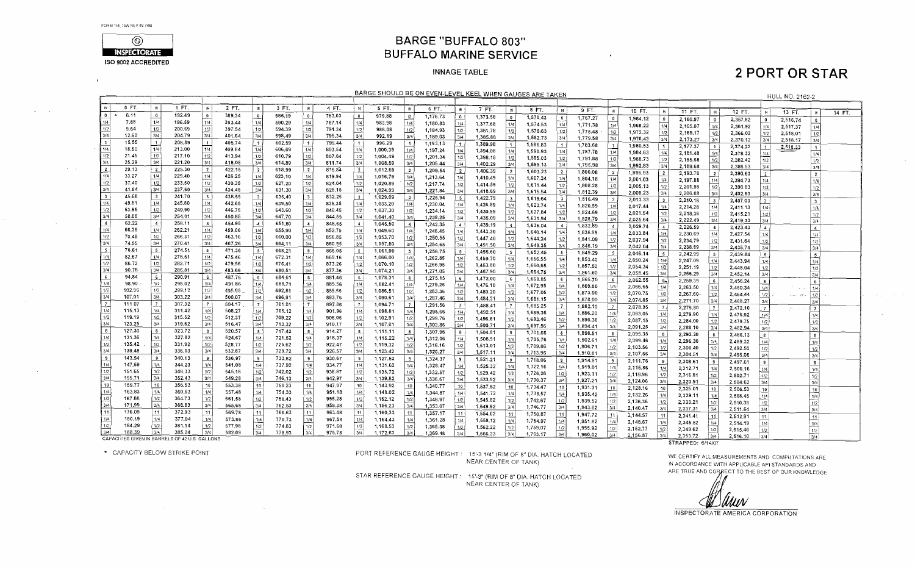$\mathcal{L}^{\pm}$ 

 $\Delta\phi^2$  and  $\Delta\phi^2$ 

 $\alpha$  and  $\alpha$ 

 $\sim 10^{11}$ 

 $\sim 10^7$ 

 $\sim 10^{-1}$ 

 $\sim 10^{-1}$ 

 $\sim 10^{11}$  and  $\sim 10^{11}$ 



### **BARGE "BUFFALO 803" BUFFALO MARINE SERVICE**

 $\mathbf{r}$ 

#### **INNAGE TABLE**

### **2 PORT OR STAR**

 $\sim 10^{-1}$ 

 $\Delta\phi_{\rm{max}}$  , where  $\Delta\phi_{\rm{max}}$ 

| BARGE SHOULD BE ON EVEN-LEVEL KEEL WHEN GAUGES ARE TAKEN<br><b>HULL NO. 2162-2</b><br>$0 FT$ .<br>1 FT.<br>2 FT.<br>3 FT.<br>4 FT.<br>$\mathbb{N}$<br>$\mathbb{R}$<br>$\mathbf{R}$<br>$\mathbb{R}$<br>5 FT.<br>- IN |                                                |                         |                  |                           |                  |                               |        |                         |        |                  |          |                |          |                                |          |                 |          |                |          |                         |          |                         |          |                         |          |                       |          |                         |        |
|---------------------------------------------------------------------------------------------------------------------------------------------------------------------------------------------------------------------|------------------------------------------------|-------------------------|------------------|---------------------------|------------------|-------------------------------|--------|-------------------------|--------|------------------|----------|----------------|----------|--------------------------------|----------|-----------------|----------|----------------|----------|-------------------------|----------|-------------------------|----------|-------------------------|----------|-----------------------|----------|-------------------------|--------|
|                                                                                                                                                                                                                     |                                                |                         |                  |                           |                  |                               |        |                         |        |                  |          |                |          |                                |          |                 |          |                |          |                         |          |                         |          |                         |          |                       |          |                         |        |
|                                                                                                                                                                                                                     |                                                |                         |                  |                           |                  |                               |        |                         |        |                  |          | <b>IN</b>      | 6 FT.    | -IN 1                          | 7 FT.    | $\mathbb{N}$    | 8 FT.    | IN             | 9 FT.    |                         | 10 FT.   |                         | 11 FT.   | $\blacksquare$          | 12 FT.   | $\mathbb{R}^+$        | 13 FT.   | IN                      | 14 FT. |
| $\mathbf{0}$                                                                                                                                                                                                        | 6.11                                           | $\overline{\mathbf{0}}$ | 192.49           | $\mathbf{0}$              | 389.34           | $\bullet$                     | 586.19 | $\bullet$               | 783.03 | 0                | 97988    | $\circ$        | 1,176.73 | 0 <sup>1</sup>                 | 1,373.58 | $\mathbf 0$     | 1,570.43 | $\overline{0}$ | 1,767.27 | $\mathbf{0}$            | 1,964.12 | $\Omega$                | 2,160.97 | o                       | 2,357.82 |                       |          |                         |        |
|                                                                                                                                                                                                                     | 7.88                                           | 1/4                     | 196.59           | 1/4                       | 393.44           | 1/4                           | 590.29 | 1/4                     | 787.14 | 1/4              | 983,98   | 1/4            | 1,180.83 | 1/4                            | 1,377.68 | 1/4             | 1,574.53 | 1/4            | 1,771.38 | 1/4                     | 1,968.22 | 1/4                     |          |                         |          | $\bullet$             | 2,516.74 | $\mathbf{0}$            |        |
| 1/2                                                                                                                                                                                                                 | 9.64                                           | 1/2                     | 200.69           | 1/2                       | 397.54           | 1/2                           | 594.39 | 1/2                     | 791.24 | 1/2              | 988.08   | 1/2            | 1.184,93 | 1/2                            | 1,381.78 | 1/2             | 1,578:63 | 1/2            | 1,775.48 | 1/2                     | 1,972.32 | 1/2                     | 2,165.07 | 1/4                     | 2,361.92 | 1/4                   | 2,517,37 | 1/4                     |        |
| 3/4                                                                                                                                                                                                                 | 12.60                                          | 3/4                     | 204.79           | 3/4                       | 401.64           | 3/4                           | 598.49 | 3/4                     | 795.34 | 3/4              | 992.19   | ا 3/4          | 1,189.03 | 3/4                            | 1,385.88 | 3/4             | 1,582.73 | 3/4            | 1,779.58 | 3k                      | 1,976.43 | 3/4                     | 2,169.17 | 1/2                     | 2,366.02 | 1/2                   | 2,518.01 | 1/2                     |        |
|                                                                                                                                                                                                                     | 15.55                                          | -11                     | 208,89           |                           | 405.74           | $\overline{1}$                | 602.59 | $\overline{1}$          | 799.44 | $\left  \right $ | 996.29   | -11            | 1,193.13 |                                | 1,389.98 |                 | 1,586,83 | l 1.           | 1,783.68 |                         |          |                         | 2,173.27 | 3/4                     | 2,370.12 | 3/4                   | 2,518.17 | 3/4                     |        |
| 1/4                                                                                                                                                                                                                 | 18.50                                          | 1/4                     | 213.00           | 1/4                       | 409.84           | 1/4                           | 606,69 | 1/4                     | 803.54 | 1/4              | 1,000.39 | 1/4            | 1,197.24 | 1/4                            | 1,394.08 | 1/4             | 1,590.93 | i 1/4 i        | 1,787.78 | 1/4                     | 1,980.53 | $\vert$ 1               | 2,177.37 | $\overline{\mathbf{1}}$ | 2,374.22 | $\vert$ 1 $\vert$     | 2,518.33 | $\ddot{\phantom{1}}$    |        |
| $1/2$                                                                                                                                                                                                               | 21.45                                          | 1/2                     | 217.10           | 1/2                       | 413.94           |                               | 610,79 | 1/2                     | 807.64 | 1/2              | 1,004.49 | 1/2            | 1,201.34 | 1/2                            | 1,398.18 |                 | 1,595.03 | 1/2            | 1,791.88 | 1/2                     | 1,984.63 | 1/4                     | 2,181.48 | 1/4                     | 2,378.32 | 1/4                   |          | 1/4                     |        |
|                                                                                                                                                                                                                     | 25.29                                          | 3/4                     | 221.20           | 3/4                       | 418.05           | $\frac{1/2}{3/4}$             | 614.89 | 3/4                     | 811.74 | 3/4              | 1,008.59 | 3/4            | 1,205.44 | 3/4                            | 1,402.29 | 3/4             | 1,599.13 | 3/4            | 1,795.98 | 3/4                     | 1,988.73 | 1/2                     | 2,185.58 | $1/2$                   | 2,382.42 | 1/2                   |          | 1/2                     |        |
| $\mathbf{2}$                                                                                                                                                                                                        | 29.13                                          | 2 <sup>1</sup>          | 225.30           | $\overline{2}$            | 422.15           | $\mathbf{z}$                  | 618.99 | $\overline{2}$          | 815.84 | $\frac{1}{2}$    | 1,012.69 | 2 <sup>1</sup> | 1,209.54 | $\overline{2}$                 | 1,406.39 |                 | 1,603.23 | $\overline{2}$ |          |                         | 1,992.83 | 3/4                     | 2,189.68 | 3/4                     | 2,386.53 | 3/4                   |          | 3/4                     |        |
| 1/4                                                                                                                                                                                                                 | 33.27                                          | 1/4                     | 229.40           | 1/4                       | 426.25           | 1/4                           | 623,10 | 1/4                     | 819.94 | 1/4              | 1,016.79 | 1/4            | 1,213,64 | 1/4                            | 1,410,49 |                 |          |                | 1,800.08 | $\overline{z}$          | 1,996.93 | $\overline{2}$          | 2,193.78 | $\overline{2}$          | 2,390.63 | $\frac{1}{2}$         |          | $\overline{\mathbf{2}}$ |        |
| 1/2                                                                                                                                                                                                                 | 37.40                                          | 1/2                     | 233.50           | 1/2                       | 430,35           |                               | 627.20 | 1/2                     | 824.04 | 1/2              | 1,020.89 | 1/2            | 1,217.74 | 1/2                            |          |                 | 1,607.34 | 1/4            | 1,804.18 | 1/4                     | 2.001.03 | 1/4                     | 2,197.88 | 1/4                     | 2,394.73 | 1/4                   |          | 1/4                     |        |
| 3/4                                                                                                                                                                                                                 | 41.54                                          | 3/4                     | 237.60           | 3/4                       | 434.45           | $\frac{1}{2}$                 | 631.30 | 3/4                     | 828.15 | 3/4              | 1,024.99 | 3/4            | 1,221.84 | 3/4                            | 1,414.59 | 1/2             | 1,611.44 | 1/2            | 1,808.28 | $\frac{1}{2}$           | 2,005.13 | 1/2                     | 2,201.98 | 1/2                     | 2,398.83 | 1/2                   |          | 1/2                     |        |
| $\overline{\mathbf{3}}$                                                                                                                                                                                             | 45,68                                          | - 3                     | 241.70           | $\mathbf{R}$              | 438.55           | $\overline{\mathbf{3}}$       | 635,40 | $\overline{\mathbf{3}}$ | 832.25 | 3 <sup>1</sup>   | 1,029.09 | 3 <sup>1</sup> |          |                                | 1,418.69 |                 | 1,615.54 | 3/4            | 1,812.39 | 3/4                     | 2,009.23 | 3/4                     | 2,206.08 | 3/4                     | 2,402.93 | 3/4                   |          | 3/4                     |        |
| 1/4                                                                                                                                                                                                                 | 49.81                                          | 1/4                     | 245.80           | 1/4                       | 442.65           | 1/4                           | 639.50 | 1/4                     | 836,35 | 1/4              | 1,033.20 | 1/4            | 1,225.94 | 3                              | 1,422.79 |                 | 1,619.64 | $\mathbf{3}$   | 1,816.49 | $\overline{\mathbf{3}}$ | 2,013.33 | $\overline{\mathbf{3}}$ | 2,210.18 | 3                       | 2,407.03 | 3 <sup>1</sup>        |          | $\overline{\cdot}$      |        |
| 1/2                                                                                                                                                                                                                 | 53.95                                          | 1/2                     | 249.90           | 1/2                       | 446.75           | 1/2                           | 643.60 | 1/2                     | 840.45 | 1/2              | 1,037.30 |                | 1,230.04 | 1/4                            | 1,426.89 | 1/4             | 1,623.74 | 1/4            | 1,820.59 | 114                     | 2,017.44 | 1/4                     | 2,214.28 | 1/4                     | 2,411.13 | 1/4                   |          | 1/4                     |        |
| 3/4                                                                                                                                                                                                                 | 58.08                                          | 3/4                     | 254.01           | 3/4                       | 450,85           | 3/4                           | 647.70 | 3/4                     | 844.55 | 3/4              | 1,041.40 | 1/2<br>3/4     | 1,234.14 | 1/2                            | 1,430.99 | 1/2             | 1,627.84 | 1/2            | 1,824.69 | 1/2                     | 2,021.54 | $1/2$                   | 2,218.38 | 1/2                     | 2,415.23 | 1/2                   |          | 1/2                     |        |
|                                                                                                                                                                                                                     | 62.22                                          | $\sim$                  |                  |                           |                  |                               |        |                         |        |                  |          |                | 1,238.25 | 3/4                            | 1,435.09 | 3/4             | 1,631.94 | 3/4            | 1,828.79 | 3/4                     | 2,025,64 | 3/4                     | 2,222.49 | 3/4                     | 2,419.33 | 3/4                   |          | 3/4                     |        |
| 1/4                                                                                                                                                                                                                 | 66,36                                          | 1/4                     | 258,11<br>262.21 | $\overline{4}$<br>í 1/4 Í | 454.95<br>459,06 | $\mathcal{A}$                 | 651,80 | $\overline{4}$          | 848.65 | $\overline{4}$   | 1,045.50 | - 4 i          | 1,242.35 | $\blacktriangle$               | 1,439.19 |                 | 1,636.04 |                | 1,832.89 | $\overline{4}$          | 2,029.74 | $\overline{4}$          | 2,226.59 | $\overline{4}$          | 2,423.43 | $\overline{4}$        |          | $\blacktriangleleft$    |        |
| $\overline{1/2}$                                                                                                                                                                                                    |                                                |                         |                  |                           |                  | $\frac{1/4}{\frac{1/2}{3/4}}$ | 655.90 | 1/4                     | 852.75 | 1/4              | 1,049.60 | 1/4            | 1,246.45 | 1/4                            | 1,443.30 | 1/4             | 1,640.14 | 1/4            | 1,836.99 | 1/4                     | 2,033.84 | 1/4                     | 2,230.69 | 1/4                     | 2,427.54 | 1/4                   |          | 1/4                     |        |
| 3/4                                                                                                                                                                                                                 | 70.49                                          | 1/2                     | 266,31           | 1/2                       | 463.16           |                               | 660,00 | 1/2                     | 856.85 | 1/2              | 1,053,70 | 1/2            | 1,250.55 | 1/2                            | 1,447.40 | 1/2             | 1,644.24 | 1/2            | 1,841.09 | $\frac{1/2}{3/4}$       | 2,037.94 | 1/2                     | 2,234.79 | 1/2                     | 2,431.64 | 1/2                   |          | $\overline{1/2}$        |        |
|                                                                                                                                                                                                                     | 74.55                                          | 3/4                     | 270.41           | 3/4                       | 467.26           |                               | 664.11 | 3/4                     | 860.95 | 3/4              | 1,057.80 | 3/4            | 1,254.65 | 3/4                            | 1,451.50 | 3/4             | 1,648.35 | 3/4            | 1,845.19 |                         | 2,042.04 | 3/4                     | 2,238.89 | 3/4                     | 2,435.74 | 3/4                   |          | 3/4                     |        |
|                                                                                                                                                                                                                     | 78.61                                          | 5 <sub>5</sub>          | 274.51           | -5                        | 471.36           | 5                             | 668.21 | 5                       | 865.05 | $-5$             | 1,061.90 |                | 1,258.75 | 5 <sup>1</sup>                 | 1,455.60 | $5^{\circ}$     | 1,652.45 | - 5            | 1,849.29 | - 5                     | 2,046.14 | 5                       | 2,242.99 | $-5$                    | 2,439.84 | - 5 - 1               |          | $\frac{5}{2}$           |        |
|                                                                                                                                                                                                                     | 82.67                                          | 1/4                     | 278.61           | 1/4                       | 475,46           | 1/4                           | 672.31 | 1/4                     | 869.16 | 1/4              | 1,066.00 | 1/4            | 1,262.85 | 1/4                            | 1,459.70 | 1/4             | 1,656.55 | : 1/4 !        | 1,853.40 | 1/4                     | 2,050.24 | 1/4                     | 2.247.09 | 1/4                     | 2,443.94 | 1/4                   |          | $\overline{1/4}$        |        |
| 1/2                                                                                                                                                                                                                 | 86.72                                          | 1/2                     | 282.71           | 1/2                       | 479.56           | $\frac{1/2}{3/4}$             | 676.41 | 1/2                     | 873.26 | 1/2              | 1,070.10 | 1/2            | 1,266.95 | 1/2                            | 1,463.80 | 1/2             | 1,660.65 | 1/2            | 1,857.50 | 1/2                     | 2,054.34 | 1/2                     | 2,251.19 | 1/2                     | 2,448.04 | 1/2                   |          | 1/2                     |        |
| 3/4                                                                                                                                                                                                                 | 90.78                                          | 3/4                     | 286.81           | l 3/4 l                   | 483.66           |                               | 680.51 | 3/4                     | 877.36 | 3/4              | 1,074.21 | 3/4            | 1,271.05 | 3/4                            | 1,467.90 | 3/4             | 1,664.75 | 3/4            | 1,861,60 | 3/4                     | 2,058.45 | 3/4                     | 2,255.29 | 3/4                     | 2,452.14 | 3/4                   |          | 3/4                     |        |
|                                                                                                                                                                                                                     | 94.84                                          | $6 \frac{1}{2}$         | 290.91           |                           | 487.76           | 6                             | 684,61 | $\,$ 6                  | 881.46 | 6 <sup>1</sup>   | 1,078.31 | 6 <sup>1</sup> | 1,275.15 | 6                              | 1,472.00 | 6 <sup>1</sup>  | 1,668.85 |                | 1,865.70 | $-6$                    | 2,062.55 | 6 <sub>1</sub>          | 2,259.39 | 6                       | 2,456,24 | 6                     |          | 6                       |        |
| 1/4                                                                                                                                                                                                                 | 98.90                                          | 1/4                     | 295.02           | 1/4                       | 491.86           | 1/4                           | 688.71 | 1/4                     | 885.56 | 1/4              | 1,082.41 | 1/4            | 1,279.26 | 1/4                            | 1,476.10 | 1/4             | 1,672.95 | 1/4            | 1,869.80 | 1/4                     | 2.066.65 | 1/4                     | 2,263,50 | 1/4                     | 2,460.34 | 1/4                   |          |                         |        |
| 1/2                                                                                                                                                                                                                 | 102.96                                         | 1/2                     | 299,12           | 1/2                       | 495.96           | $\frac{1/2}{3/4}$             | 692.81 | 1/2                     | 889.66 | 1/2              | 1,086.51 | 1/2            | 1.283.36 | 1/2                            | 1,480.20 | 1/2             | 1,677.05 | 1/2            | 1,873.90 | 1/2                     | 2,070.75 | $1/2$                   | 2,267.60 | 1/2                     | 2,464.44 | 1/2                   |          | 1/4                     |        |
| 3/4                                                                                                                                                                                                                 | 107.01                                         | 3/4                     | 303.22           | 3/4                       | 500.07           |                               | 696,91 | 3/4                     | 893.76 | 3/4              | 1,090.61 | 3/4            | 1,287.46 | 3/4                            | 1,484.31 | 3/4             | 1,681.15 | : 3/4 1        | 1,878.00 | 3/4                     | 2,074.85 | 3/4                     | 2,271.70 | 3/4                     |          |                       |          | 1/2                     |        |
|                                                                                                                                                                                                                     | 11107                                          | $7 -$                   | 307.32           | . 7 J                     | 504.17           | $\overline{7}$                | 701.01 | $\overline{7}$          | 897.86 | $7^{\circ}$      | 1,094.71 | 7 <sup>7</sup> | 1,291,56 | $\mathbf{7}$                   | 1,488.41 | 7               | 1,685.25 | $\overline{7}$ | 1,882.10 | $\overline{7}$          | 2,078.95 | 7 <sub>0</sub>          |          |                         | 2,468.27 | 3/4                   |          | 3/4                     |        |
| 1/4                                                                                                                                                                                                                 | 115.13                                         | 1/4                     | 311.42           | 1/4                       | 508.27           | 1/4                           | 705.12 | 1/4                     | 901.96 | 1/4              | 1,098.81 | 1/4            | 1,295.66 | 1/4                            | 1,492.51 | 1/4             | 1,689.36 | 1/4            | 1,886.20 | 1/4                     | 2,083,05 | 1/4                     | 2,275,80 | .7 <sub>2</sub>         | 2,472.10 | $\overline{7}$        |          | $\overline{7}$          |        |
| 1/2                                                                                                                                                                                                                 | 119.19                                         | 1/2                     | 315.52           | 1/2                       | 512.37           | 1/2                           | 709.22 | 1/2                     | 906.06 | 1/2              | 1,102.91 | 1/2            | 1,299.76 | 1/2                            | 1,496.61 | 1/2             | 1,693.46 | 1/2            | 1,890.30 | 1/2                     | 2,087.15 | 1/2                     | 2,279.90 | 1/4                     | 2,475.92 | $\lfloor 1/4 \rfloor$ |          | 1/4                     |        |
| 3/4                                                                                                                                                                                                                 | 123.25                                         | 3/4                     | 319.62           | 3/4                       | 516.47           | 3/4                           | 713.32 | 3/4                     | 910.17 | 3/4              | 1,107.01 | 3/4            | 1,303.86 | 3/4                            | 1,500,71 | 3/4             | 1,697.56 | 3/4            | 1,894.41 | $\sqrt{3/4}$            | 2,091.25 | 3/4                     | 2,284.00 | 1/2                     | 2,479.75 | 1/2                   |          | 1/2                     |        |
| 8                                                                                                                                                                                                                   | 127.30                                         | $\bf{8}$                | 323.72           | $\mathbf{B}$              | 520.57           | $\mathbf{B}$                  | 717.42 | $\bf{8}$                | 914.27 | $\mathbf{8}$     | 1,111.11 | $\mathbf{8}$   | 1,307.96 | 8 <sup>1</sup>                 | 1,504,81 | 8               | 1,701.66 | -81            | 1,898.51 |                         |          |                         | 2,288.10 | 3/4                     | 2,482.94 | 3/4                   |          | 3/4                     |        |
| 1/4                                                                                                                                                                                                                 | 131.36                                         | 1/4                     | 327.82           | 1/4                       | 524.67           | 1/4                           | 721,52 | 1/4                     | 918.37 | 1/4              | 1,115.22 | 1/4            | 1,312.06 | 1/4                            | 1,508.91 | 1/4             | 1,705.76 | 1/4            | 1,902.61 | - 8<br>1/4              | 2,095.35 | 8 <sup>1</sup>          | 2,292.20 | 8                       | 2,486.13 | $\mathbf{g}$          |          | 8                       |        |
| 1/2                                                                                                                                                                                                                 | 135.42                                         | 1/2                     | 331.92           | 1/2                       | 528.77           | 1/2                           | 725,62 | 1/2                     | 922.47 | 1/2              | 1,119.32 | 1/2            | 1,316.16 | 1/2                            | 1,513.01 | 1/2             | 1,709.86 | 1/2            | 1,906.71 |                         | 2,099.46 | 1/4                     | 2,296.30 | 1/4                     | 2,489.32 | 1/4                   |          | 1/4                     |        |
| 3/4                                                                                                                                                                                                                 | 139.48                                         | 3/4                     | 336.03           | 3/4                       | 532,87           | 3/4                           | 729.72 | 3/4                     | 926.57 | 3/4              | 1,123.42 | 3/4            | 1,320.27 | 3/4                            | 1,517.11 | ا 3/4           | 1,713.96 | 3/4            | 1,910.81 | 1/2<br>3/4              | 2,103.56 | $1/2$                   | 2,300.40 | 1/2                     | 2,492.50 | 1/2                   |          | $1/2$                   |        |
| 9                                                                                                                                                                                                                   | 143.54                                         | -9                      | 340.13           | 9                         | 536.97           | 9                             | 733.82 | ∣ s                     | 930.67 | 9                | 1,127,52 | -9             | 1,324.37 | 9                              | 1,521.21 |                 | 1,718.06 |                |          |                         | 2,107.66 | 3/4                     | 2,304.51 | 3/4                     | 2,495.06 | 3/4                   |          | 3/4                     |        |
| 1/4                                                                                                                                                                                                                 | 147.59                                         | 1/4                     | 344.23           | 1/4                       | 541.08           | 1/4                           | 737.92 | 1/4                     | 934.77 | 1/4              | 1,131.62 | 1/4            | 1,328.47 | 1/4                            | 1,525.32 |                 |          | 9              | 1,914.91 | -9                      | 2,111.76 | $\cdot$                 | 2,308.61 | -91                     | 2,497.61 | 9                     |          | $\overline{9}$          |        |
| $1/2$                                                                                                                                                                                                               | 151.65                                         | 1/2                     | 348.33           | 1/2                       | 545.18           | $\sqrt{1/2}$                  | 742.02 | 1/2                     | 938.87 | 1/2              | 1,135.72 | 1/2            | 1,332.57 |                                |          | 1/4             | 1,722.16 | 1/4            | 1,919.01 | 1/4                     | 2,115.86 | 1/4                     | 2,312.71 | 1/4                     | 2,500.16 | 1/4                   |          | 1/4                     |        |
| 3/4                                                                                                                                                                                                                 | 155.71                                         | 3/4                     | 352.43           | 3/4                       | 549.28           | 3/4                           | 746.13 | 3/4                     | 942.97 | 3/4              | 1,139.82 | 3/4            | 1,336.67 | $\frac{1}{2}$<br>$\frac{1}{2}$ | 1,529.42 | 1/2             | 1,726.26 | 1/2            | 1,923.11 | 1/2                     | 2.119.96 | 1/2                     | 2,316.81 | 1/2                     | 2,502.71 | 4/2                   |          | $1/2$                   |        |
| 10                                                                                                                                                                                                                  | 159.77                                         | 10                      | 356.53           | 10                        | 553.38           | 10                            | 750.23 | 10                      | 947.07 | -10 1            |          |                |          |                                | 1,533.52 | 3/4             | 1,730.37 | 3/4            | 1,927.21 | 3/4                     | 2,124.06 | 3/4                     | 2,320.91 | 3/4                     | 2,504.62 | 3/4                   |          | 3/4                     |        |
| 1/4                                                                                                                                                                                                                 | 163.83                                         | 1/4                     | 360.63           | 1/4                       | 557.48           |                               |        | 1/4                     |        | 1/4              | 1,143.92 | 10             | 1,340.77 | 10 <sup>1</sup>                | 1,537.62 | 10 <sup>1</sup> | 1,734.47 | 10             | 1,931.31 | 10                      | 2,128.16 | 10                      | 2,325.01 | 10                      | 2,506.53 | 10                    |          | 10                      |        |
| 1/2                                                                                                                                                                                                                 |                                                | 1/2                     |                  | 1/2                       |                  | 1/4                           | 754.33 |                         | 951.18 |                  | 1,148.02 | 1/4            | 1,344.87 | 1/4                            | 1,541.72 | 1/4             | 1,738.57 |                | 1,935.42 | 1/4                     | 2,132.26 | 1/4                     | 2,329.11 | 1/4                     | 2,508.45 | 1/4                   |          | 1/4                     |        |
| 3/4                                                                                                                                                                                                                 | 167.88                                         | 3/4                     | 364.73<br>368.83 |                           | 561.58           | 1/2                           | 758.43 | 1/2                     | 955.28 | 1/2              | 1,152.12 | 1/2            | 1,348.97 | 1/2                            | 1,545.82 | 1/2             | 1,742.67 | 1/2            | 1,939.52 | $1/2$                   | 2,136.36 | 1/2                     | 2,333.21 | 1/2                     | 2,510.36 | 1/2                   |          | 1/2                     |        |
|                                                                                                                                                                                                                     | 171.99                                         |                         |                  | 3/4                       | 565,68           | 3/4                           | 762.53 | 3/4                     | 959.38 | 3/4              | 1,156.23 | 3/4            | 1,353.07 | 3/4                            | 1,549.92 | 3/4             | 1.746.77 | 3/4            | 1,943.62 | 3/4                     | 2,140.47 | 3/4                     | 2,337.31 | 3/4                     | 2,511.64 | 3/4                   |          | $\overline{3/4}$        |        |
| 11                                                                                                                                                                                                                  | 176.09                                         | 11                      | 372.93           | 11                        | 569.78           | 11                            | 766.63 | 11                      | 963.48 | 11               | 1,160.33 | 11             | 1,357,17 | 11                             | 1,554.02 | 11 <sup>1</sup> | 1,750.87 | 11             | 1,947.72 | 11                      | 2,144.57 | 11                      | 2,341.41 | -11                     | 2,512,91 | 11                    |          | 11                      |        |
| 1/4                                                                                                                                                                                                                 | 180.19                                         | 1/4                     | 377.04           | 1/4                       | 573,88           | 1/4                           | 770.73 | 1/4                     | 967.58 | 1/4              | 1.164.43 | 1/4            | 1,361.28 | 1/4                            | 1,558.12 | 1/4             | 1,754.97 |                | 1,951.82 | 1/4                     | 2.148.67 | 1/4                     | 2,345.52 | 1/4                     | 2,514.19 | 1/4                   |          | 1/4                     |        |
| 1/2                                                                                                                                                                                                                 | 184.29                                         | 1/2                     | 381.14           | 1/2                       | 577.98           | 1/2                           | 774.83 | $1/2$                   | 971.68 | 1/2              | 1,168.53 | 1/2            | 1,365.38 | 1/2                            | 1,562.22 | 1/2             | 1,759.07 | 1/2            | 1,955.92 | 1/2                     | 2,152.77 | 1/2                     | 2,349.62 | $\vert$ 1/2             | 2,515.46 | 1/2                   |          | 1/2                     |        |
| 3/4                                                                                                                                                                                                                 | 188.39                                         | 3/4                     | 385.24           | 3/4                       | 582.09           | 3/4                           | 778.93 | 3/4                     | 975.78 | 3/4              | 1,172.63 | 3/4            | 1,369.48 | 3/4                            | 1,566.33 | 3/4             | 1,763.17 | 3/4            | 1,960.02 | 3/4                     | 2,156.87 | 3/4                     | 2,353.72 | 3/4                     | 2,516.10 | 3/4                   |          | 3/4                     |        |
|                                                                                                                                                                                                                     | CAPACITIES GIVEN IN BARRELS OF 42 U.S. GALLONS |                         |                  |                           |                  |                               |        |                         |        |                  |          |                |          |                                |          |                 |          |                |          |                         |          |                         |          |                         |          |                       |          |                         |        |

CAPACITIES GIVEN IN BARRELS OF 42 U.S. GALLONS \* CAPACITY BELOW STRIKE POINT

 $\mathcal{O}(\mathcal{O}(10^6))$  . The contract of the contract of the contract of the contract of

 $\sim 10^{11}$  km s  $^{-1}$ 

PORT REFERENCE GAUGE HEIGHT: 15'-3 1/4" (RIM OF 8" DIA, HATCH LOCATED NEAR CENTER OF TANK)

STAR REFERENCE GAUGE HEIGHT: 15'-3" (RIM OF 8" DIA. HATCH LOCATED NEAR CENTER OF TANK)

STRAPPED: 6/14/07

WE CERTIFY ALL MEASUREMENTS AND COMPUTATIONS ARE IN ACCORDANCE WITH APPLICABLE API STANDARDS AND ARE TRUE AND CORRECT TO THE BEST OF OUR KNOWLEDGE

JUUUN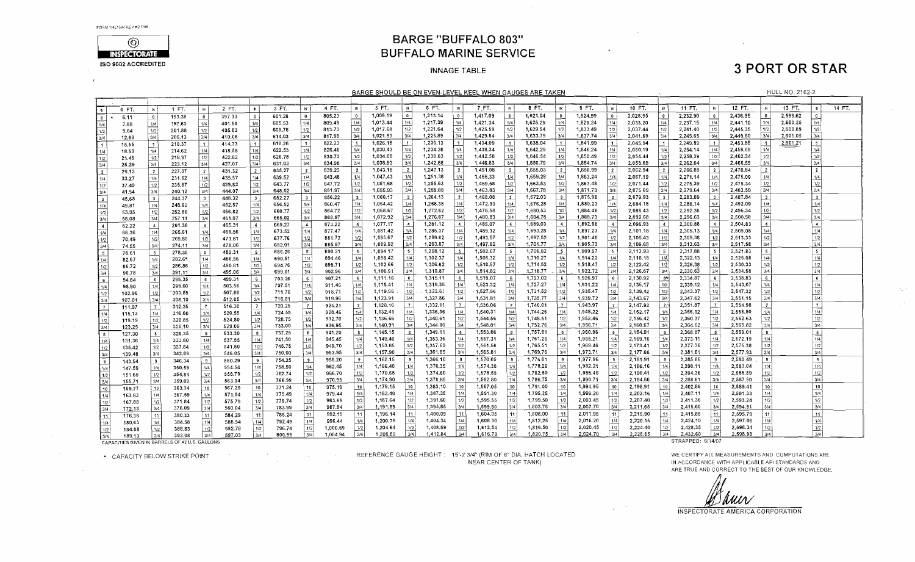$\mathbf{r}$ 

 $\sim 10^{-1}$ 

 $\alpha\in\mathbb{R}^{n}$ 



### **BARGE "BUFFALO 803" BUFFALO MARINE SERVICE**

#### **INNAGE TABLE**

# **3 PORT OR STAR**

 $\sim 10^{-1}$ 

 $\sigma_1$  .

 $\sim 10^{-1}$ 

|                                                                              |        |                          |        |                       |        |                         |                  |                         |                      |                |                      |                          |                      |                         | BARGE SHOULD BE ON EVEN-LEVEL KEEL WHEN GAUGES ARE TAKEN. |                          |                      |                         |                      |                         |                      |                             |                      |                   |                      |                         | <b>HULL NO. 2162-2</b> |                         |        |
|------------------------------------------------------------------------------|--------|--------------------------|--------|-----------------------|--------|-------------------------|------------------|-------------------------|----------------------|----------------|----------------------|--------------------------|----------------------|-------------------------|-----------------------------------------------------------|--------------------------|----------------------|-------------------------|----------------------|-------------------------|----------------------|-----------------------------|----------------------|-------------------|----------------------|-------------------------|------------------------|-------------------------|--------|
|                                                                              |        |                          |        |                       |        |                         |                  |                         |                      |                |                      |                          |                      |                         |                                                           |                          |                      |                         |                      |                         |                      |                             |                      |                   |                      |                         |                        |                         |        |
|                                                                              | 0 FT.  | <b>DV</b>                | 1 FT.  | $\blacksquare$        | 2 FT.  | $\mathbb{N}$            | 3 FT.            | ₩İ                      | 4 FT.                | I IX.          | 5 FT.                | l Bi                     | 6 FT.                | IN.                     | 7 FT.                                                     | -IN I                    | 8 FT.                | M                       | 9 FT.                | - W 1                   | 10 FT.               | . R <sup>1</sup>            | 11 FT.               |                   | 12 FT.               | <b>IN</b>               | 13 FT.                 | $\mathbb{R}$            | 14 FT. |
| $\vert$ 0                                                                    | 6.11   | $\overline{\phantom{0}}$ | 193.38 | $\bullet$             | 397.33 | $\overline{\mathbf{0}}$ | 601.28           | $\bullet$               | 805.23               | $\bullet$      | 1,009.19             | $\overline{\phantom{a}}$ | 1,213.14             | $\overline{\mathbf{0}}$ | 1,417.09                                                  | $\mathbf{0}$             | 1,621.04             | $\mathbf{0}$            | 1,824.99             | $\overline{\mathbf{0}}$ | 2,028.95             | $\mathbf{0}$                | 2,232.90             | $\bullet$         | 2,436.85             | $\overline{0}$          | 2,599.62               | $\Omega$                |        |
| 1/4                                                                          | 7.88   | 1/4                      | 197.63 | 1/4                   | 401.58 | 1/4                     | 605.53           | 1/4                     | 809.48               | 1/4            | 1,013.44             | 1/4                      | 1,217.39             | 1/4                     | 1,421.34                                                  | 1/4                      | 1,625,29             | 1/4                     | 1,829.24             | .1/4.                   | 2:033.20             | 1/4                         | 2,237.15             | 1/4               | 2,441.10             | 1/4                     | 2,600.25               | 1/4                     |        |
| 1/2                                                                          | 9.64   | 1/2                      | 201.88 | 1/2                   | 405.83 | 1/2                     | 609.78           | 1/2                     | 813.73               | 1/2            | 1,017.68             | 1/2                      | 1,221.64             | 1/2                     | 1,425,59                                                  | 1/2                      | 1,629.54             | 1/2                     | 1,833.49             | 1/2                     | 2,037,44             | 1/2                         | 2,241,40             | 1/2               | 2,445.35             | 1/2                     | 2,600,89               | 1/2                     |        |
| 3/4                                                                          | 12.60  | 3/4                      | 206.13 | 3/4                   | 410.08 | 3/4                     | 614.03           | 3/4                     | 817.98               | 3/4            | 1,021.93             | 3/4                      | 1,225.89             | 3/4                     | 1,429.84                                                  | 3/4                      | 1,633.79             | 3/4                     | 1,837.74             | 3/4                     | 2,041.69             | 3/4                         | 2,245.65             | 3/4               | 2,449.60             | 3/4                     | 2,601.05               | 3/4                     |        |
| $\overline{\mathbf{1}}$                                                      | 15.55  | $\vert$ 1                | 210.37 | $\overline{1}$        | 414.33 | $\mathbf{1}$            | 618.28           | $\mathbf{1}$            | 822.23               | $\overline{1}$ | 1,026.18             | $\vert$ 1                | 1,230.13             | ' 1 I                   | 1,434.09                                                  | $\rightarrow$            | 1,638.04             |                         | 1,841.99             | $\vert$ 1               | 2,045.94             | $\mathbf{1}$                | 2,249.89             | $\vert$ 1         | 2,453.85             | $\ddot{\phantom{1}}$    | 2,601.21               |                         |        |
| 1/4                                                                          | 18.50  | 1/4                      | 214.62 | 1/4                   | 418.58 | 1/4                     | 622.53           | 1/4                     | 826.48               | 1/4            | 1,030.43             | 1/4                      | 1,234.38             | 1/4                     | 1,438.34                                                  | 1/4                      | 1,642.29             | 1/4                     | 1,846.24             | 1/4                     | 2,050.19             | 1/4                         | 2,254.14             | 1/4               | 2,458.09             | 1/4                     |                        | 1/4                     |        |
| 1/2                                                                          | 21.45  | 1/2                      | 218.87 | 1/2                   | 422.82 | 1/2                     | 626.78           | 1/2                     | 830.73               | 1/2            | 1,034.68             | 1/2                      | 1,238.63             | 1/2                     | 1,442.58                                                  | 1/2                      | 1,646.54             | 1/2                     | 1,850.49             | 1/2                     | 2,054.44             | 1/2                         | 2,258.39             | 1/2               | 2,462.34             | 1/2                     |                        | 1/2                     |        |
|                                                                              | 25.29  | 3/4                      | 223.12 | 3/4                   | 427.07 | 3/4                     | 631.03           | 3/4                     | 834.98               | 3/4            | 1,038.93             | 3/4                      | 1,242.88             | 3/4                     | 1,446.83                                                  | 3/4                      | 1,650.79             | 3/4                     | 1,854.74             | 3/4                     | 2.058.69             | 3/4                         | 2,262.64             | 3/4               | 2,466.59             | 3/4                     |                        | 3/4                     |        |
| $\begin{array}{ c c }\n\hline\n3/4 \\ \hline\n2 \\ \hline\n1/4\n\end{array}$ | 29,13  | $\overline{2}$           | 227.37 | $\overline{2}$        | 431.32 | $\overline{2}$          | 635.27           | $\overline{2}$          | 839.23               | $\overline{2}$ | 1,043.18             | $\overline{2}$           | 1,247.13             | $\overline{2}$          | 1,451.08                                                  | $\overline{2}$           | 1,655.03             | $\overline{2}$          | 1,858.99             | $\overline{2}$          | 2,062.94             | $\overline{2}$              | 2,266.89             | $\overline{2}$    | 2,470.84             | $\vert$ 2               |                        | -2 I                    |        |
|                                                                              | 33.27  | 1/4                      | 231.62 | 1/4                   | 435.57 | 1/4                     | 639.52           | 1/4                     | 843.48               | 1/4            | 1,047.43             | 1/4                      | 1.251.38             | 1/4                     | 1.455.33                                                  | 1/4                      | 1,659.28             | 1/4                     | 1,863,24             | 1/4                     | 2.067.19             | 1/4                         | 2,271.14             | 1/4               | 2,475.09             | 1/4                     |                        | 1/4                     |        |
| 1/2                                                                          | 37.40  | 1/2                      | 235.87 | 1/2                   | 439.82 | 1/2                     | 643.77           | $1/2$                   | 847.72               | 1/2            | 1,051.68             | 1/2                      | 1,255.63             | 1/2                     | 1,459,58                                                  | 1/2                      | 1,663.53             | 1/2                     | 1,867.48             | 1/2                     | 2,071.44             | 1/2                         | 2,275.39             | 1/2               | 2,479.34             | 1/2                     |                        | 1/2                     |        |
|                                                                              | 41.54  | 3/4                      | 240.12 | 3/4                   | 444.07 | 3/4                     | 648.02           | 3/4                     | 851.97               | 3/4            | 1,055,93             | 3/4                      | 1,259.88             | 3/4                     | 1,463.83                                                  | 3/4                      | 1,667.78             | 3/4                     | 1,871.73             | 3/4                     | 2,075.69             | 3/4                         | 2,279.64             | 3/4               | 2,483.59             | 3/4                     |                        | 3/4                     |        |
| $\begin{array}{r} 3/4 \\ \hline 3 \\ \hline 1/4 \end{array}$                 | 45.58  | 3 <sup>1</sup>           | 244.37 | -31                   | 448.32 | 3                       | 652.27           | $\overline{\mathbf{3}}$ | 856,22               | $\mathbf{3}$   | 1,060.17             | 3 <sup>1</sup>           | 1,264.13             | 3 <sup>1</sup>          | 1,468.08                                                  | $\overline{\mathbf{3}}$  | 1,672.03             | $\overline{\mathbf{3}}$ | 1,875.98             | $\overline{\mathbf{3}}$ | 2,079.93             |                             | 2,283.89             | $\vert$ 3         | 2,487.84             | $\overline{\mathbf{3}}$ |                        | $\overline{\mathbf{3}}$ |        |
|                                                                              | 49.81  | 1/4                      | 248.62 | 1/4                   | 452.57 | 1/4                     | 656,52           | 1/4                     | 860.47               | 1/4            | 1,064.42             | 1/4                      | 1,268.38             | 1/4                     | 1,472.33                                                  | 1/4                      | 1,676.28             | 1/4                     | 1,880.23             | 1/4                     | 2,084.18             | .1/4                        | 2,288.14             | 1/4               | 2,492.09             | 1/4                     |                        | 1/4                     |        |
| $\boxed{1/2}$                                                                | 53.95  | 1/2                      | 252.86 | $1/2$                 | 456.82 | 1/2                     | 660.77           | 1/2                     | 864.72               | 1/2            | 1,068.67             | $\frac{1/2}{3/4}$        | 1,272.62             | 1/2                     | 1,476.58                                                  | 1/2                      | 1,680.53             | 1/2                     | 1,884.48             | 1/2                     | 2,088.43             | 1/2                         | 2,292.38             | $1/2$             | 2,496.34             | 1/2                     |                        | 1/2                     |        |
| 3/4                                                                          | 58.08  | 3/4                      | 257.11 | $3/4$                 | 461.07 | 3/4                     | 665.02           | 3/4                     | 868.97               | 3/4            | 1,072.92             |                          | 1,276.87             | 3/4                     | 1,480.83                                                  | 3/4                      | 1,684.78             | 3/4                     | 1,888.73             | 3/4                     | 2,092.68             | 3/4                         | 2,296.63             | 3/4               | 2,500.58             | 3/4                     |                        | 3/4                     |        |
| $\overline{4}$                                                               | 62.22  | $\overline{4}$           | 261.36 | $\vert$ 4             | 465.31 | $\overline{4}$          | 669.27           | $\overline{4}$          | 873.22               | $\overline{4}$ | 1,077.17             | $\overline{4}$           | 1,281.12             | $\overline{4}$          | 1,485.07                                                  | $\overline{4}$           | 1.689.03             | $\overline{4}$          | 1892.98              | $\mathbf{4}$            | 2,096.93             | $\overline{4}$              | 2,300.88             | $\overline{4}$    | 2,504.83             | $\sim$                  |                        | $\overline{4}$          |        |
| 1/4                                                                          | 66.36  | 1/4                      | 265.61 | 1/4                   | 469.56 | 1/4                     | 673.52           | 1/4                     | 877,47               | 1/4            | 1,081.42             | 1/4                      | 1,285.37             | 1/4                     | 1,489.32                                                  | 1/4                      | 1,693,28             | 1/4                     | 1,897.23             | 1/4                     | 2,101.18             | 1/4                         | 2,305.13             | 1/4               | 2,509.08             | 1/4                     |                        | 1/4                     |        |
| 1/2                                                                          | 70,49  | 1/2                      | 269.86 | 1/2                   | 473.81 | 1/2                     | 677.76           | 1/2                     | 881.72               | 1/2            | 1,085.67             | 1/2                      | 1,289.62             | $1/2$                   | 1,493.57                                                  | 1/2                      | 1,697.52             | 1/2                     | 1,901.48             | 1/2                     | 2,105.43             | 1/2                         | 2,309.38             | 1/2               | 2,513.33             | 1/2                     |                        | 1/2                     |        |
| 3/4                                                                          | 74.55  | 3/4                      | 274.11 | 3/4                   | 478.06 | 3/4                     | 682.01           | 3/4                     | 885.97               | 3/4            | 1.089.92             | 3/4                      | 1,293.87             | 3/4                     | 1,497.82                                                  | 3/4                      | 1,701.77             | 3/4                     | 1.905.73             | 3/4                     | 2.109.68             | 3/4                         | 2.313.63             | 3/4               | 2.517.58             | 3/4                     |                        | 3/4                     |        |
| İ5.                                                                          | 78.61  | $-5$                     | 278.36 | $5\phantom{.0}$       | 482.31 | $5\,$                   | 686.26           | $\sqrt{5}$              | 890.21               | $\mathbf{5}$   | .1,094.17            | 5 <sub>5</sub>           | 1,298.12             | $\sim$                  | 1,502.07                                                  | 5                        | 1,706.02             | 5                       | 1,909.97             | $\sqrt{5}$              | 2,113.93             | 5                           | 2,317.88             | 5                 | 2,521.83             | $\overline{5}$          |                        | $5\overline{5}$         |        |
| l 1/4                                                                        | 82.67  | 1/4                      | 282,61 | 1/4                   | 486.56 | 1/4                     | 690.51           | 1/4                     | 894.46               | 1/4            | 1,098.42             | 1/4                      | 1.302.37             | 1/4                     | 1,506.32                                                  | 1/4                      | 1,710.27             | 1/4                     | 1,914.22             | 1/4                     | 2,118.18             | 14                          | 2,322.13             | 1/4               | 2,526.08             | 1/4                     |                        | 1/4                     |        |
| 1/2                                                                          | 86.72  | 1/2                      | 286.86 | 1/2                   | 490.81 | 1/2                     | 694.76           | 1/2                     | 898.71               | 1/2            | 1,102.66             | 1/2                      | 1,306.62             | 1/2                     | 1.510.57                                                  | 1/2                      | 1,714.52             | 1/2                     | 1,918.47             | 1/2                     | 2,122.42             | $\lceil \frac{1}{2} \rceil$ | 2,326.38             | 1/2               | 2.530.33             | 1/2                     |                        | 1/2                     |        |
| 3/4                                                                          | 90.78  | 3/4                      | 291.11 | 3/4                   | 495.06 | 3/4                     | 699.01           | 3/4                     | 902.96               | 3/4            | 1,106.91             | 3/4                      | 1,310.87             | 3/4                     | 1.514.82                                                  | 3/4                      | 1.718.77             | 3/4                     | 1,922.72             | 3/4                     | 2,126.67             | 3/4                         | 2,330.63             | 3/4               | 2.534.58             | 3/4                     |                        | 3/4                     |        |
| 6                                                                            | 94.84  | $-6$                     | 295.35 | $-6$                  | 499.31 | $-6$                    | 703.26           | 6                       | 907.21               | - 6            | 1,111.16             | $-6$                     | 1,315.11             | $6\overline{6}$         | 1,519.07                                                  | $\overline{\phantom{a}}$ | 1,723.02             | : 6 °                   | 1,926.97             | 6                       | 2,130.92             | 6 <sup>4</sup>              | 2,334.87             | 6                 | 2,538.83             | $\epsilon$              |                        | $6^{\circ}$             |        |
| 1/4                                                                          | 98.90  | 1/4                      | 299.60 | 1/4                   | 503.56 | 1/4                     | 707.51           | 1/4                     | 911.46               | 1/4            | 1,115.41             | 1/4                      | 1,319.36             | 1/4                     | 1,523.32                                                  | 1/4                      | 1,727.27             | 1/4                     | 1,931.22             | 1/4                     | 2,135.17             | 1/4                         | 2,339.12             | 1/4               | 2,543.07             | 1/4                     |                        | 1/4                     |        |
| 1/2                                                                          | 102.96 | 1/2                      | 303.85 | 1/2                   | 507.80 | 1/2                     | 711.76           | 1/2                     | 915.71               | 1/2            | 1,119.66             | 1/2                      | 1,323.61             | 1/2                     | $-1,527.56$                                               | $-1/2$                   | 1,731.52             | $-1/2$                  | 1,935.47             | $1/2$                   | 2,139.42             | 1/2                         | 2,343.37             | $\vert$ 1/2       | 2,547.32             | 1/2                     |                        | 1/2                     |        |
| 3/4                                                                          | 107.01 | 3/4                      | 308.10 | 3/4                   | 512.05 | 3/4                     | 716.01           | 3/4                     | 919.96               | 3/4            | 1,123.91             | 3/4                      | 1,327.86             | 3/4                     | 1,531.81                                                  | 3/4                      | 1,735.77             | 3/4                     | 1,939.72             | 3/4                     | 2,143.67             | 3/4                         | 2,347.62             | 3/4               | 2,551.15             | 3/4                     |                        | 3/4                     |        |
| l 7                                                                          | 111.07 | $\overline{7}$           | 312.35 | $\overline{7}$        | 516.30 | $\overline{7}$          | 720.25           | $\overline{7}$          | 924.21               | $\overline{7}$ | 1,128.16             | $\overline{7}$           | 1,332.11             | 7                       | 1,536.06                                                  | 7                        | 1,740.01             | $\mathbf{7}$            | 1,943.97             | $\overline{7}$          | 2,147.92             | 7                           | 2,351.87             | $\vert$ 7         | 2,554.98             | $\overline{7}$          |                        | $\overline{7}$          |        |
| 1/4                                                                          | 115.13 | 1/4                      | 316.60 | 1/4                   | 520.55 | 1/4                     | 724.50           | 1/4                     | 928.46               | 1/4            | 1.132.41             | 1/4                      | 1,336.36             | 1/4                     | 1,540.31                                                  | 1/4                      | 1,744.26             | 1/4                     | 1,948.22             | 1/4                     | 2,152.17             | 1/4                         | 2,356.12             | 11/4              | 2,558,80             | 1/4                     |                        | 1/4                     |        |
| 1/2                                                                          | 119.19 | 1/2                      | 320.85 | 1/2                   | 524.80 | 1/2                     | 728.75           | 1/2                     | 932.70               | 1/2            | 1,136.66             | 1/2                      | 1.340.61             | 1/2                     | 1,544.56                                                  | 1/2                      | 1,748.51             | 1/2                     | 1,952.46             | 1/2                     | 2,156.42             | 1/2                         | 2,360.37             | 1/2               | 2,562.63             | 1/2                     |                        | 1/2                     |        |
| 3/4                                                                          | 123.25 | 3/4                      | 325,10 | 3/4                   | 529.05 | 3/4                     | 733.00           | 3/4                     | 936,95               | 3/4            | 1,140.91             | 3/4                      | 1,344.86             | 3/4                     | 1,548.81                                                  | 3/4                      | 1,752.76             | 3/4                     | 1,956.71             | 3/4                     | 2,160.67             | 3/4                         | 2,364.62             | 3/4               | 2,565.82             | 3/4                     |                        | 3/4                     |        |
| 8                                                                            | 127,30 | $\overline{\mathbf{8}}$  | 329,35 | $\,$ 8                | 533.30 | $\mathbf{B}$            | 737.25           | $\mathbf{B}$            | 941.20               | 8              | 1,145.15             | - 8                      | 1,349.11             | $\mathbf{8}$            | 1,553.06                                                  | $\mathbf{8}$             | 1,757.01             | 8                       | 1,960.96             | 8                       | 2,164.91             | 8                           | 2,368.87             |                   | 2,569.01             | 8                       |                        | $\mathbf{8}$            |        |
| Í 1/4                                                                        | 131.36 | 1/4                      | 333.60 | 1/4                   | 537.55 | 1/4                     | 741.50           | 1/4                     | 945.45               | 1/4            | 1,149.40             | 1/4                      | 1,353.36             | 1/4                     | 1,557.31                                                  | 1/4                      | 1.761.26             | 1/4                     | 1,965.21             | 1/4                     | 2,169.16             | 1/4                         | 2,373.11             | 1/4               | 2,572.19             | 1/4                     |                        | 1/4                     |        |
| 1/2                                                                          | 135,42 | 1/2                      | 337.84 | 1/2                   | 541.80 | 1/2                     | 745.75           | 1/2                     | 949.70               | $1/2$          | 1,153.65             | 1/2                      | 1,357.60             | 1/2                     | 1,561.56                                                  | 1/2                      | 1,765.51             | 1/2                     | 1,969.46             | 1/2                     | 2,173.41             | 1/2                         | 2,377.36             | 1/2               | 2,575.38             | $1/2$                   |                        | 1/2                     |        |
| 3/4                                                                          | 139,48 | 3/4                      | 342.09 | 3/4                   | 546.05 | 3/4                     | 750,00           | 3/4                     | 953.95               | 3/4            | 1,157.90             | .  3/4                   | 1,361.85             | 3/4                     | 1,565.81                                                  | 3/4                      | 1,769.76             | 3/4                     | 1,973.71             | 3/4                     | 2,177.66             | 3/4                         | 2,381.61             | 3/4               | 2,577.93             | 3/4                     |                        | 3/4                     |        |
| ۱g                                                                           | 143.54 | $\overline{g}$           | 346,34 | 9                     | 550.29 | 9                       | 754.25           | e j                     | 958.20               | $\mathbf{g}$   | 1,162.15             | 9                        | 1,366.10             | $\overline{9}$          | 1,570.05                                                  | 9                        | 1,774.01             | $^{\circ}$              | 1.977.96             | $\overline{9}$          | 2,181.91             | 9                           | 2,385.86             | ا 9               | 2,580.49             | $\mathbf{g}$            |                        | 9                       |        |
| 1/4                                                                          | 147.59 | 114                      | 350.59 | 1/4                   | 554.54 | 1/4                     | 758.50           | 1/4                     | 962.45               | 1/4            | 1,166.40             | 1/4                      | 1,370.35             | 1/4                     | 1,574.30                                                  | 1/4                      | 1,778.26             | 1/4                     | 1,982.21             | 1/4                     | 2,186.16             | 1/4                         | 2,390.11             | 1/4               | 2,583.04             | 1/4                     |                        | 1/4                     |        |
| 1/2                                                                          | 151.65 | 1/2                      | 354 84 | 1/2                   | 558.79 | 1/2                     | 762.74           | 1/2                     | 966,70               | 1/2<br>3/4     | 1,170.65             | 1/2<br>3/4               | 1,374.60             | 1/2                     | 1,578.55                                                  | 1/2<br>3/4               | 1,782.50             | 1/2<br>.3/4             | 1,986.46             | 1/2<br>3/4              | 2,190.41             | 1/2                         | 2,394.36             | 1/2               | 2,585.59             | 1/2                     |                        | 1/2                     |        |
| 3/4                                                                          | 155,71 | 3/4                      | 359.09 | 3/4                   | 563.04 | 3/4                     | 766.99           | 3/4                     | 970.95               |                | 1,174.90             |                          | 1,378.85             | 3/4                     | 1,582.80                                                  |                          | 1,786.75             |                         | 1,990.71             |                         | 2.194.66             | 3/4                         | 2,398.61             | 3/4               | 2.587.50             | 3/4                     |                        | 3/4                     |        |
| 10                                                                           | 159.77 | 10 <sup>1</sup>          | 363.34 | 10                    | 567.29 | 10                      | 771.24           | 10                      | 975.19               | 10             | 1,179.15             | 10                       | 1,383.10             | l 10                    | 1,587.05                                                  | 10                       | 1,791.00             | 10                      | 1,994.95             | 10                      | 2,198.91             | 10                          | 2,402.86             | $\vert$ 10        | 2,589.41             | 10 <sup>1</sup><br>1/4  |                        | 10                      |        |
| 1/4                                                                          | 163.83 | 1/4                      | 367.59 | 1/4                   | 571.54 | 1/4                     | 775.49           | 1/4                     | 979.44               | 1/4            | 1,183.40             | 1/4                      | 1,387.35             | 1/4                     | 1,591.30                                                  | 1/4                      | 1,795.25             | 1/4                     | 1,999.20             | 1/4                     | 2,203.16             | 1/4                         | 2,407.11             | 1/4               | 2,591.33             |                         |                        | 1/4                     |        |
| l 1/2                                                                        | 167.88 |                          | 371.84 | 1/2                   | 575,79 | 1/2                     | 779.74           | $\sqrt{1/2}$            | 983.69               | 1/2<br>3/4     | 1.187.64             | $1/2$<br>3/4             | 1,391.60<br>1,395.85 | 1/2<br>3/4              | 1,595.55                                                  | 1/2<br>3/4               | 1,799.50<br>1.803.75 | 1/2<br>$\sqrt{3}/4$     | 2,003.45<br>2,007.70 | 1/2<br>3/4              | 2.207.40<br>2.211.65 | 1/2<br>3/4                  | 2.411.36             | 1/2<br>3/4        | 2,593.24<br>2,594.51 | 1/2<br>3/4              |                        | 1/2<br>3/4              |        |
| 3/4                                                                          | 172.13 | 3/4                      | 376.09 | 3/4                   | 580.04 | 3/4                     | 783.99           | 3/4                     | 987.94               |                | 1,191.89             |                          |                      | 11                      | 1,599.80                                                  |                          |                      |                         |                      |                         |                      |                             | 2,415.60             |                   |                      |                         |                        |                         |        |
| 11                                                                           | 176.38 | 11                       | 380,33 | 11                    | 584.29 | 11                      | 788.24           | 11                      | 992.19               | 11<br>1/4      | 1,196.14             | 11<br>1/4                | 1,400.09             | 1/4                     | 1,604.05                                                  | 11                       | 1,808.00             | 11<br>1/4               | 2,011.95             | 11<br>1/4               | 2,215.90             | 11<br>1/4                   | 2,419.85             | $\vert$ 11<br>1/4 | 2,595.79             | 11                      |                        | 11<br>1/4               |        |
| i 1/4 l                                                                      | 180,63 | 1/4                      | 384.58 | 1/4                   | 588.54 | 1/4                     | 792.49           | 1/4                     | 996.44               | 1/2            | 1,200.39<br>1,204.64 | 1/2                      | 1,404.34<br>1,408.59 | 1/2                     | 1,608.30<br>1,612.54                                      | 1/4<br>1/2               | 1,812,25<br>1,816.50 | 1/2                     | 2,016.20<br>2,020.45 | $1/2$                   | 2.220.15<br>2,224.40 | $1/2$                       | 2,424,10<br>2,428.35 |                   | 2,597.06<br>2,598.34 | 1/4<br>1/2              |                        | 1/2                     |        |
| 1/2  <br>امتعا                                                               | 184.88 | 1/2                      | 388.83 | 1/2  <br>$\sqrt{3/4}$ | 592.78 | 1/2<br>  3/4            | 796.74<br>800.99 | 1/2<br> 3/4             | 1,000.69<br>1,004.94 | 3/4            | 1,208.89             | 3/4                      | 1,412.84             | 3/4                     | 1,616.79                                                  | 3/4                      | 1,820.75             | 1 зі4                   | 2,024.70             | 3/4                     | 2,228.65             | 3/4                         | 2,432.60             | 1/2<br>3/4        | 2,598.98             | 3/4                     |                        | 3/4                     |        |
|                                                                              | 189.13 | امتحا                    | 393 08 |                       | 597.03 |                         |                  |                         |                      |                |                      |                          |                      |                         |                                                           |                          |                      |                         |                      |                         |                      |                             |                      |                   |                      |                         |                        |                         |        |

 $\frac{374}{2}$  189.13  $\frac{34}{2}$  393.00  $\frac{374}{2}$   $\frac{374}{2}$ 

\* CAPACITY BELOW STRIKE POINT THE SALE OF THE REFERENCE GAUGE HEIGHT : 15'-2 3/4" (RIM OF 8" DIA, HATCH LOCATED<br>NEAD CENTED OF TANK) NEAR CENTER OF TANK)

STRAPPED: 6/14/07

WE CERTIFY ALL MEASUREMENTS AND COMPUTATIONS ARE IN ACCORDANCE WITH APPLICABLE API STANDARDS AND ARE TRUE AND CORRECT TO THE BEST OF OUR KNOWLEDGE.

aniv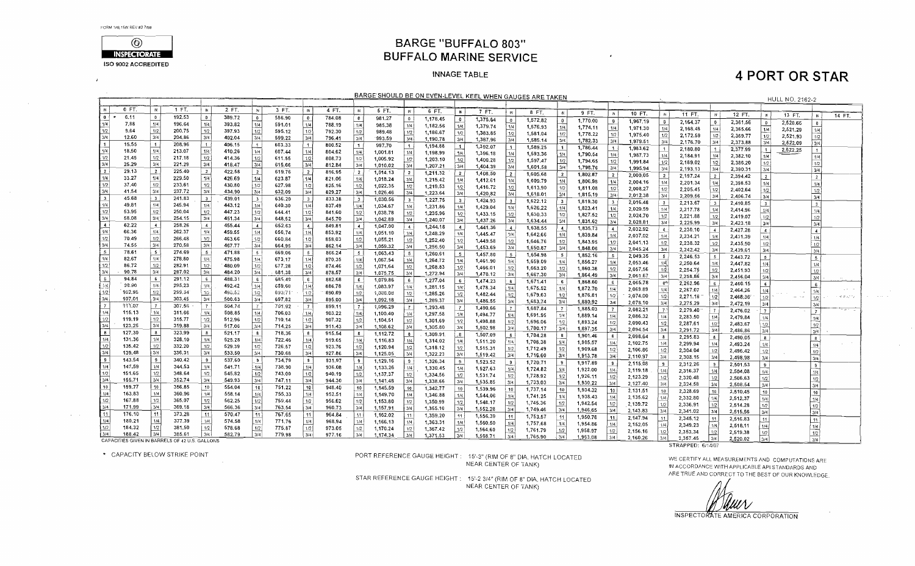$\mathcal{F}$ 

 $\sim 10^7$ 

 $\sim 100$ 

 $\Delta \sim 100$ 

 $\mathcal{A}=\{1,2,3,4\}$ 

 $\mathcal{A}^{\mathcal{A}}$  and  $\mathcal{A}^{\mathcal{A}}$ 



**BARGE "BUFFALO 803" BUFFALO MARINE SERVICE** 

#### **INNAGE TABLE**

## **4 PORT OR STAR**

| BARGE SHOULD BE ON EVEN-LEVEL KEEL WHEN GAUGES ARE TAKEN<br>HULL NO. 2162-2                 |        |                          |                                                |                          |                  |                         |         |                         |        |                         |          |                   |          |                   |                      |                                |          |                      |                      |                                 |                      |                   |          |                         |          |                    |                                     |                  |                                                                                                            |
|---------------------------------------------------------------------------------------------|--------|--------------------------|------------------------------------------------|--------------------------|------------------|-------------------------|---------|-------------------------|--------|-------------------------|----------|-------------------|----------|-------------------|----------------------|--------------------------------|----------|----------------------|----------------------|---------------------------------|----------------------|-------------------|----------|-------------------------|----------|--------------------|-------------------------------------|------------------|------------------------------------------------------------------------------------------------------------|
|                                                                                             |        |                          |                                                |                          |                  |                         |         |                         |        |                         |          |                   |          |                   |                      |                                |          |                      |                      |                                 |                      |                   |          |                         |          |                    |                                     |                  |                                                                                                            |
| <b>IN</b>                                                                                   | 0 FT.  | IN                       | 1 FT.                                          | - IN                     | 2 FT.            | 1N                      | 3 FT.   | $\mathbb{N}$            | 4 FT.  | $\mathbb{R}$            | 5 FT.    | -lk               | 6 FT.    | $\mathbb{N}$      | 7 FT.                | $\mathbb{R}$                   | 8 FT.    | - IN                 | 9 FT.                |                                 |                      |                   |          |                         |          |                    |                                     |                  |                                                                                                            |
| $\bullet$                                                                                   | 6.11   | $\overline{\phantom{a}}$ | 192.53                                         | $\bullet$                | 389.72           | $\mathbf{0}$            | 586.90  | $\mathbf{0}$            | 784.08 | $\mathbf{0}$            | 981.27   | 0 <sup>1</sup>    | 1,178,45 | $\bullet$         | 1,375.64             | $\overline{\mathbf{0}}$        | 1,572.82 |                      |                      | $\mathbb{N}$                    | 10 FT.               | - IN I            | 11 $FT$  | N                       | 12 FT.   | $\mathbf{w}$       | 13 FT.                              | $\mathbb{N}$     | 14 FT.                                                                                                     |
|                                                                                             | 7.88   | 1/4                      | 196.64                                         | 1/4                      | 393.82           | 1/4                     | 591.01  | 1/4                     | 788.19 | 1/4                     | 985.38   | 1/4               | 1,182.56 | 1/4               | 1,379.74             | 1/4                            |          | $\mathbf{0}$         | 1,770.00             | $\bullet$                       | 1,967.19             | $\mathbf{D}$      | 2,164.37 | $0-1$                   | 2,361.56 | $\mathbf{0}$       | 2,520.66                            |                  |                                                                                                            |
|                                                                                             | 9,64   | $\overline{1/2}$         | 200.75                                         | 1/2                      | 397.93           | 1/2                     | 595.12  | 1/2                     | 792.30 | $\vert$ 1/2             | 989.48   | 1/2               | 1,186.67 | 1/2               |                      |                                | 1,576.93 | 1/4                  | 1,774.11             | 1/4                             | 1.971.30             | 1/4               | 2,168.48 | 1/4                     | 2,365.66 | 1/4                | 2,521.29                            | 1/4              |                                                                                                            |
| $\frac{1/4}{1/2}$ $\frac{1/2}{1/4}$ $\frac{1/4}{1/4}$ $\frac{1/4}{1/2}$ $\frac{1/4}{1/2}$   | 12.60  | 3/4                      | 204.86                                         | 3/4                      | 402.04           | 3/4                     | 599.22  | 3/4                     | 796.41 | 3/4                     | 993.59   | 3/4               | 1,190.78 | 3/4               | 1,383.85<br>1,387.96 | 1/2<br>3/4                     | 1,581.04 | 1/2                  | 1,778.22             | 1/2                             | 1,975.40             | $\overline{1/2}$  | 2,172.59 | 1/2                     | 2,369.77 | 1/2                | 2,521.93                            | 1/2              |                                                                                                            |
|                                                                                             | 15.55  | $\blacksquare$           | 208.96                                         | $\blacksquare$           | 406.15           | $\left  \right $        | 603.33  | 1 <sub>1</sub>          | 800.52 | $-1$                    | 997.70   | -11               | 1,194.88 | $\lceil 1 \rceil$ |                      |                                | 1,585.14 | 3/4                  | 1,782.33             | 3/4                             | 1,979.51             | 3/4               | 2,176.70 | 3/4                     | 2,373.88 | 3/4                | 2,522.09                            | $\frac{1}{3}$ /4 |                                                                                                            |
|                                                                                             | 18,50  | 1/4                      | 213.07                                         | 1/4                      | 410.26           | 1/4                     | 607.44  | 1/4                     | 804.62 | 1/4                     | 1,001.81 | 1/4               | 1,198.99 | 1/4               | 1,392.07             | $\mathbf{1}$                   | 1,589.25 | $\blacktriangleleft$ | 1.786.44             | -11                             | 1,983.62             |                   | 2,180.80 | $\vert$ 1               | 2,377.99 | $1 \frac{1}{2}$    | 2,522.25                            |                  |                                                                                                            |
|                                                                                             | 21.45  | $1/2$                    | 217.18                                         | 1/2                      | 414.36           | 1/2                     | 611.55  | 1/2                     | 808.73 | 1/2                     | 1,005.92 | 1/2               | 1,203.10 | 1/2               | 1,396.18             | 1/4                            | 1,593,36 | 1/4                  | 1,790.54             | 1/4                             | 1,987.73             | 1/4               | 2,184,91 | $\frac{1/4}{1/2}$       | 2,382.10 | 1/4                |                                     | 1/4              |                                                                                                            |
|                                                                                             | 25.29  | 3/4                      | 221.29                                         | 3/4                      | 418.47           | 3/4                     | 615.66  | 3/4                     | 812.84 | 3/4                     | 1,010.02 | 3/4               |          | 3/4               | 1,400.28             | 1/2                            | 1,597.47 | 1/2                  | 1,794.65             | 1/2                             | 1,991.84             | $\frac{1/2}{3/4}$ | 2,189.02 |                         | 2,386.20 | 1/2                |                                     | 1/2              |                                                                                                            |
|                                                                                             | 29.13  | $\overline{2}$           | 225.40                                         | $\overline{z}$           | 422.58           | $\overline{2}$          | 619.76  | $\overline{2}$          | 816.95 | ∣ 2 I                   | 1,014.13 |                   | 1,207.21 |                   | 1,404.39             | 3/4                            | 1,601.58 | 3/4                  | 1,798.76             | 3/4                             | 1,995.94             |                   | 2,193.13 | 3/4                     | 2,390.31 | 3/4                |                                     | 3/4              |                                                                                                            |
|                                                                                             | 33.27  | 1/4                      | 229.50                                         | 1/4                      | 426.69           | 1/4                     | 623.87  | 1/4                     | 821.06 | 1/4                     |          | $\overline{2}$    | 1,211.32 | $\overline{2}$    | 1,408.50             | $\overline{2}$                 | 1,605,68 | $\overline{2}$       | 1,802.87             | 2 <sup>1</sup>                  | 2,000.05             | 2 <sup>1</sup>    | 2,197.24 | 2                       | 2,394.42 | 2                  |                                     | $\overline{2}$   |                                                                                                            |
|                                                                                             | 37.40  | 1/2                      | 233.61                                         | 1/2                      | 430.80           | 1/2                     | 627.98  |                         | 825.16 | 1/2                     | 1,018.24 | .1/4.<br> 1/2     | 1,215.42 | 1/4               | 1,412.61             | 1/4                            | 1,609.79 | 1/4                  | 1,806.98             | 1/4                             | 2,004.16             | 1/4               | 2,201.34 | 1/4                     | 2,398.53 | 1/4                |                                     | 1/4              |                                                                                                            |
|                                                                                             | 41.54  | 3/4                      | 237.72                                         | 3/4                      | 434.90           | 3/4                     | 632.09  | $\frac{1/2}{3/4}$       | 829.27 | 3/4                     | 1,022.35 | 3/4               | 1,219.53 | 1/2               | 1,416.72             | 1/2                            | 1,613,90 | 1/2                  | 1,811.08             | 1/2                             | 2,008.27             | 1/2               | 2,205.45 | 1/2                     | 2,402.64 | 1/2                |                                     | 1/2              |                                                                                                            |
|                                                                                             | 45.68  | 3                        | 241.83                                         | $\overline{\mathbf{3}}$  | 439.01           |                         |         |                         |        |                         | 1,026.46 |                   | 1,223.64 | 3/4               | 1,420.82             | 3/4                            | 1,618.01 | 3/4                  | 1,815.19             | 3/4                             | 2,012.38             | 3/4               | 2,209.56 | 3/4                     | 2,406.74 | 3/4                |                                     | 3/4              |                                                                                                            |
|                                                                                             | 49.81  | 1/4                      | 245.94                                         | 1/4                      |                  | $\overline{\mathbf{3}}$ | 636.20  | 3 <sub>1</sub>          | 833.38 | $\overline{\mathbf{3}}$ | 1,030.56 | -3-1              | 1,227.75 | 3 <sup>1</sup>    | 1,424.93             | $\overline{\phantom{a}3}$      | 1,622.12 | 3 <sup>1</sup>       | 1,819.30             | $\overline{\mathbf{3}}$         | 2,016.48             | 3 <sup>1</sup>    | 2,213.67 | $\overline{\mathbf{3}}$ | 2,410.85 | 3 <sup>7</sup>     |                                     | $\mathbf{3}$     |                                                                                                            |
|                                                                                             | 53.95  | 1/2                      | 250.04                                         |                          | 443.12<br>447.23 | 1/4                     | 640.30  | 1/4                     | 837.49 | 1/4                     | 1,034.67 | 1/4               | 1,231.86 | 1/4               | 1,429.04             | 1/4                            | 1,626.22 | 1/4                  | 1,823.41             | 1/4                             | 2,020.59             | 1/4               | 2,217.78 | 1/4                     | 2,414.96 | 1/4                |                                     | 1/4              |                                                                                                            |
|                                                                                             | 58.08  | 3/4                      | 254.15                                         | 1/2<br>3/4               |                  | 1/2                     | 644.41  | 1/2                     | 841.60 | 1/2                     | 1,038.78 | 1/2               | 1,235.96 | 1/2               | 1,433.15             | 1/2                            | 1,630.33 | 1/2                  | 1,827.52             | 1/2                             | 2,024.70             | 1/2               | 2,221.88 |                         | 2,419.07 | 1/2                |                                     | 1/2              |                                                                                                            |
| $\begin{array}{r} 3/4 \\ 3 \\ \hline 1/4 \\ \hline 1/2 \\ 3/4 \\ \hline 4 \end{array}$      |        |                          |                                                |                          | 451.34           | 3/4                     | 648.52  | 3/4                     | 845.70 | 3/4                     | 1,042.89 | 3/4               | 1,240.07 | 3/4               | 1,437.26             | 3/4                            | 1,634.44 | 3/4                  | 1,831.62             | 3/4                             | 2,028.81             | 3/4               | 2,225.99 | $\frac{1/2}{3/4}$       | 2,423.18 | 3/4                |                                     | 3/4              |                                                                                                            |
|                                                                                             | 62.22  | $\overline{4}$           | 258.26                                         | $\overline{A}$           | 455.44           | $\overline{4}$          | 652.63  | $\overline{A}$          | 849.81 | $\ddot{ }$              | 1,047.00 | $\sim$            | 1,244.18 | $\overline{4}$    | 1,441.36             | $\left  4 \right $             | 1,638.55 | -4-1                 | 1,835.73             | $\left  4 \right $              | 2,032.92             | $\sim$            | 2,230.10 | $\overline{4}$          | 2,427.28 | $\left  4 \right $ |                                     | $\overline{4}$   |                                                                                                            |
| 1/4                                                                                         | 66.36  | 1/4<br>1/2               | 262.37                                         | 1/4                      | 459.55           | 1/4                     | 656,74  | 1/4                     | 853.92 | 1/4                     | 1,051.10 | 1/4               | 1,248.29 | 1/4               | 1,445.47             | 1/4                            | 1,642.66 | 1/4                  | 1,839.84             | 1/4                             | 2,037.02             | 1/4               | 2,234.21 | 1/4                     | 2,431.39 | 1/4                |                                     | 1/4              |                                                                                                            |
| $\frac{1/2}{3/4}$                                                                           | 70.49  | 3/4                      | 266.48                                         | 1/2                      | 463.66           | 1/2                     | 660.84  | $\frac{1/2}{3/4}$       | 858,03 | 1/2                     | 1,055.21 | 1/2               | 1,252.40 | 1/2               | 1,449.58             | $\frac{1/2}{3/4}$              | 1,646.76 | 1/2                  | 1,843.95             | 1/2                             | 2,041.13             | 1/2               | 2,238.32 |                         | 2,435.50 | 1/2                |                                     | 1/2              |                                                                                                            |
|                                                                                             | 74.55  |                          | 270.58                                         | 3/4                      | 467.77           | 3/4                     | 664,95  |                         | 862.14 | 3/4                     | 1,059.32 | 3/4               | 1,256.50 | 3/4               | 1,453.69             |                                | 1,650.87 | 3/4                  | 1,848.06             | 3/4                             | 2,045.24             | 3/4               | 2,242.42 | $\frac{1/2}{3/4}$       | 2,439.61 | 3/4                |                                     | 3/4              |                                                                                                            |
| $\begin{array}{ c c }\n\hline\n5 \\ \hline\n1/4\n\end{array}$                               | 78.61  | $\sim$                   | 274.69                                         | $5^{\circ}$              | 471.88           | 5 <sub>5</sub>          | 669.06  | $\frac{5}{2}$           | 866.24 | 5 <sub>1</sub>          | 1,063.43 | 5 <sup>1</sup>    | 1,260.61 | -51               | 1,457.80             | - 5                            | 1,654.98 | 5 <sub>5</sub>       | 1,852.16             | $5 \frac{1}{2}$                 | 2,049.35             | 5 <sup>1</sup>    | 2,246.53 | 5                       | 2,443.72 | 5 <sup>1</sup>     |                                     | $\sim$           |                                                                                                            |
|                                                                                             | 82.67  | 1/4                      | 278.80                                         | 1/4                      | 475.98           | 1/4                     | 673.17  | 1/4!                    | 870.35 | 1/4                     | 1,067.54 | 1/4               | 1,264.72 | 1/4               | 1,461.90             | 1/4                            | 1,659.09 | 1/4                  | 1,856.27             | 1/4                             | 2,053.46             | 1/4               | 2,250.64 | 1/4                     | 2,447.82 | 1/4                |                                     |                  |                                                                                                            |
| 1/2                                                                                         | 86,72  | 1/2                      | 282.91                                         | 1/2                      | 480.09           | 1/2                     | 677.28  | 1/2                     | 874.46 | 1/2                     | 1,071.64 | 1/2               | 1,268.83 | 1/2               | 1,466.01             | $1/2$                          | 1,663.20 | 1/2                  | 1,860.38             | 1/2                             | 2,057,56             | $\frac{1}{2}$     | 2,254.75 | 1/2                     | 2,451.93 | 1/2                |                                     | 1/4              |                                                                                                            |
| 3/4                                                                                         | 90.78  | 3/4                      | 287.02                                         | 3/4                      | 484.20           | 3/4                     | 581,38  | 3/4                     | 878.57 | 3/4                     | 1,075.75 | 3/4               | 1,272.94 | 3/4               | 1,470.12             | 3/4                            | 1,667.30 | 3/4                  | 1,864.49             | 3/4                             | 2,061.67             | 3/4               | 2,258.86 | 3/4                     | 2,456.04 | 3/4                |                                     | 1/2<br>3/4       |                                                                                                            |
| 5                                                                                           | 94.84  | 6                        | 291.12                                         | $6^{\circ}$              | 488.31           | $-6$                    | 685.49  | $-6$                    | 882.68 | 6                       | 1,079.86 | 6 <sup>1</sup>    | 1,277.04 | 6                 | 1,474.23             | 6 <sup>1</sup>                 | 1,671.41 | 6 <sup>1</sup>       | 1,868.60             | 6                               | 2,065.78             | $8^{6}$           | 2,262.96 | 6                       | 2,460.15 | 6 <sub>1</sub>     |                                     |                  |                                                                                                            |
| $\frac{1/4}{2}$                                                                             | 98.90  | 1/4                      | 295.23                                         | $1/4$                    | 492.42           | 1/4                     | 639,60  | $\frac{1}{4}$           | 886,78 | 1/4                     | 1,083.97 | 1/4               | 1,281.15 | 1/4               | 1,478.34             | 1/4                            | 1,675.52 | 1/4                  | 1,872.70             | 1/4                             | 2,069.89             | 1/4               | 2,267.07 | 1/4                     | 2,464.26 |                    |                                     | 6                |                                                                                                            |
| 1/2                                                                                         | 102.96 | $1/2$                    | 299.34                                         | $\frac{1/2}{3/4}$        | 496,62           | $1/2$                   | 693,711 |                         | 890.89 | 1/2                     | 1,088.08 | 1/2               | 1,285.26 | 1/2               | 1,482.44             |                                | 1,679.63 | 1/2                  | 1,876.81             | 1/2                             | 2,074.00             | 1/2               | 2,271.18 | $\overline{1/2}$        |          | 1/4                | $\omega_{\rm c} \rightarrow \omega$ | 1/4              | $\label{eq:2.1} \mathcal{A}^{\mu} \mathcal{B}^{\nu} \mathcal{A}^{\mu} \mathcal{A}^{\nu} \mathcal{A}^{\nu}$ |
| 3/4                                                                                         | 107.01 | 3/4                      | 303,45                                         |                          | 500.63           | 3/4                     | 697.82  | 3/4                     | 895.00 | 3/4                     | 1,092.18 | 3/4               | 1,289.37 | 3/4               | 1,486.55             | $\frac{1}{2}$<br>$\frac{1}{2}$ | 1,683.74 | 3/4                  | 1,880.92             | 3/4                             | 2,078.10             | 3/4               | 2,275.29 | 3/4                     | 2,468,36 | 1/2                |                                     | 1/21             |                                                                                                            |
| $\overline{7}$                                                                              | 111.07 | $\overline{7}$           | 307.56                                         | $\overline{7}$           | 504.74           | -7                      | 701.92  | $\vert$ 7               | 899.11 | 7                       | 1,096.29 | - 7 I             | 1,293.48 | $\overline{7}$    | 1,490.66             | $\mathbf{7}$                   | 1,687.84 | $\overline{7}$       | 1,885.03             | $\overline{7}$                  | 2,082.21             | 7.5               |          |                         | 2,472.19 | 3/4                |                                     | 3i4              |                                                                                                            |
| 1/4                                                                                         | 115.13 | 1/4                      | 311.66                                         | ا 1/4                    | 508.85           | 1/4                     | 706,03  | 1/4 }                   | 903.22 | 1/4                     | 1,100.40 | 1/4               | 1,297.58 | 1/4               | 1,494.77             | 1/4                            | 1,691.95 | 1/4                  | 1,889.14             | 1/4                             | 2,086.32             | 1/4               | 2,279.40 |                         | 2,476.02 | 7 <sup>1</sup>     |                                     | $7^{\circ}$      |                                                                                                            |
|                                                                                             | 119.19 | 1/2                      | 315.77                                         | 1/2                      | 512.96           | 1/2                     | 710,14  | $\frac{1/2}{3/4}$       | 907.32 | 1/2                     | 1,104.51 | $\frac{1/2}{3/4}$ | 1,301.69 | 1/2               | 1,498.88             | $\overline{1/2}$               | 1,696.06 | 1/2                  | 1,893.24             | 1/2                             | 2,090.43             |                   | 2,283.50 | 1/4                     | 2,479.84 | 1/4                |                                     | 1/4              |                                                                                                            |
|                                                                                             | 123.25 | 3/4                      | 319.88                                         | 3/4                      | 517.06           | 3/4                     | 714.25  |                         | 911.43 | 3/4                     | 1,108.62 |                   | 1,305.80 | 3/4               | 1,502.98             | 3/4                            | 1,700.17 | 3/4                  | 1,897.35             | 3/4                             | 2,094.54             | 1/2<br>3/4        | 2,287.61 | 1/2<br>3/4              | 2,483.67 | 1/2                |                                     | 1/2              |                                                                                                            |
| $\begin{array}{ c c }\n\hline\n1/2 \\ \hline\n3/4 \\ \hline\n8 \\ \hline\n1/4\n\end{array}$ | 127.30 | $\bf{8}$                 | 323.99                                         | 8                        | 521.17           | -8                      | 718,36  | $_{\rm 6}$              | 915,54 | $\overline{\mathbf{8}}$ | 1,112.72 | 8                 | 1,309.91 | 3 <sub>1</sub>    | 1,507.09             | _8                             | 1,704.28 | 8                    | 1,901.46             | 8                               | 2,098.64             |                   | 2,291.72 |                         | 2,486.86 | $\overline{3}/4$   |                                     | 3/4              |                                                                                                            |
|                                                                                             | 131.36 | $\sqrt{4}$               | 328,10                                         | 1/4                      | 525.28           | 1/4                     | 722.46  | 1/4                     | 919.65 | 1/4                     | 1,116.83 | 1/4               | 1,314.02 | 1/4               | 1,511.20             | 1/4                            | 1,708.38 | 1/4                  | 1,905.57             | 1/4                             |                      | 8                 | 2,295.83 | 8                       | 2,490.05 | 8                  |                                     | -8               |                                                                                                            |
| $\frac{1/2}{3/4}$<br>$\frac{9}{1/4}$                                                        | 135.42 | 1/2                      | 332.20                                         | 1/2                      | 529.39           | 1/2                     | 726.57  | $\frac{1/2}{3/4}$       | 923.76 | 1/2                     | 1,120.94 | 1/2               | 1,318.12 | 1/2               | 1,515.31             | 1/2                            | 1,712.49 | 1/2                  | 1,909.68             | 1/2                             | 2,102.75<br>2,106.86 | 1/4               | 2,299.94 | 1/4                     | 2,493.24 | 1/4                |                                     | 1/4              |                                                                                                            |
|                                                                                             | 139.48 | 3/4                      | 336.31                                         | 3/4                      | 533,50           | 3/4                     | 730,68  |                         | 927.86 | 3/4                     | 1,125.05 | 3/4               | 1,322.23 | 3/4               | 1,519.42             | 3/4                            | 1,716.60 | 3/4                  | 1,913.78             | 3/4                             | 2,110.97             | 1/2<br>3/4        | 2,304.04 | 1/2                     | 2,496.42 | 1/2                |                                     | 1/2              |                                                                                                            |
|                                                                                             | 143.54 | 9                        | 340.42                                         | $\overline{\phantom{a}}$ | 537,60           | $\theta$                | 734.79  | $\overline{\mathbf{3}}$ | 931.97 | 9                       | 1.129.16 | -91               | 1,326.34 | 9 <sup>1</sup>    | 1,523.52             | 9 <sub>1</sub>                 | 1,720.71 | 9                    |                      |                                 |                      |                   | 2,308.15 | 3/4                     | 2,498.98 | 3/4                |                                     | 3/4              |                                                                                                            |
|                                                                                             | 147,59 | 1/4                      | 344.53                                         | 1/4                      | 541.71           | 1/4                     | 738.90  |                         | 936.08 | 1/4                     | 1,133.26 | 1/4               | 1,330.45 | 1/4               | 1,527.63             | 1/4                            | 1,724.82 | 1/4                  | 1,917.89<br>1,922.00 | $\overline{\phantom{a}}$<br>1/4 | 2,115,08             |                   | 2,312.26 | 9                       | 2,501.53 | 9 <sup>1</sup>     |                                     | $\overline{9}$   |                                                                                                            |
|                                                                                             | 151.65 | 1/2                      | 348.64                                         | 1/2                      | 545.82           | 1/2                     | 743.00  | $\frac{114}{1/2}$       | 940.19 | 1/2                     | 1,137.37 | 1/2               | 1,334.56 | 1/2               | 1,531.74             | 1/2                            | 1,728.92 | 1/2                  |                      |                                 | 2,119.18             | 1/4               | 2,316,37 | 1/4                     | 2,504.08 | 1/4                |                                     | 1/4              |                                                                                                            |
| $\frac{1/2}{3/4}$                                                                           | 155.71 | 3/4                      | 352.74                                         | 3/4                      | 549.93           | 3/4                     | 747.11  | 3/4                     | 944.30 | 3/4                     | 1.141.48 | 3/4               | 1,338.66 | 3/4               | 1,535.85             | 3/4                            | 1,733.03 | 3/4                  | 1,926.11             | 1/2                             | 2,123.29             | 1/2               | 2,320.48 | 1/2                     | 2,506.63 | 1/2                |                                     | $\overline{1/2}$ |                                                                                                            |
| $\sqrt{10}$                                                                                 | 159,77 | 10                       | 356,85                                         | 10                       | 554.04           | 10                      | 751.22  | 10 <sup>1</sup>         | 948.40 | 10 <sup>1</sup>         | 1,145.59 | 10                | 1,342.77 | 10 <sup>1</sup>   | 1,539.96             |                                |          |                      | 1,930.22             | 3/4                             | 2,127.40             |                   | 2,324.58 | 3/4                     | 2.508.54 | 3/4                |                                     | 3/4              |                                                                                                            |
| 1/4                                                                                         | 163.83 | 1/4                      | 360.96                                         | 1/4                      | 558.14           | 1/4                     | 755.33  | 1/4                     | 952.51 | 1/4                     | 1.149.70 | 1/4               | 1,346.88 | 1/4               | 1,544.06             | 10<br>1/4                      | 1,737.14 | 10                   | 1,934.32             | 10                              | 2,131.51             | 10                | 2,328.69 | 10                      | 2,510.45 | 10 <sup>1</sup>    |                                     | 10 <sup>1</sup>  |                                                                                                            |
| $\sqrt{1/2}$                                                                                | 167.88 | $\vert$ 1/2              | 365.07                                         | 1/2                      | 562.25           | 1/2                     | 759.44  | 1/2                     | 956.62 | 1/2                     | 1,153.80 | $1/2$             | 1,350.99 | 1/2               | 1,548.17             |                                | 1,741.25 | 1/4                  | 1,938.43             | 1/4                             | 2,135.62             | 1/4               | 2,332.80 | 1/4                     | 2,512.37 | 1/4 I              |                                     | 1/4              |                                                                                                            |
| 3/4                                                                                         | 171.99 | 3/4                      | 369.18                                         | 3/4                      | 566.36           | 3/4                     | 763.54  | 3/4                     | 960.73 | 3/4                     | 1,157.91 | 3/4               | 1,355.10 | 3/4               |                      | $\frac{1/2}{3/4}$              | 1,745.36 | $\frac{1}{2}$        | 1,942.54             | 1/2                             | 2,139.72             | 1/2               | 2,336.91 | $1/2$                   | 2,514.28 | 1/2                |                                     | 1/2              |                                                                                                            |
| $\frac{1}{11}$                                                                              | 176.10 | 11                       | 373.28                                         | 11                       | 570.47           | 11                      | 767.65  | 11                      | 964.84 | 11 I                    | 1,162.02 | 11 <sup>1</sup>   |          |                   | 1,552.28             |                                | 1,749.46 |                      | 1,946.65             | 3/4                             | 2,143.83             | 3/4               | 2,341.02 | 3/4                     | 2,515.56 | 3/4                |                                     | 3/4              |                                                                                                            |
| I 1/4 I                                                                                     | 180.21 | 1/4                      | 377.39                                         | 1/4                      | 574,58           | 1/4                     | 771.76  | $1/4$                   | 968.94 | 1/4                     |          |                   | 1,359.20 | 11                | 1,556.39             | 11                             | 1,753.57 | 11                   | 1,950.76             | 11                              | 2,147.94             | 11                | 2,345.12 | 11                      | 2,516.83 | 11                 |                                     | 11               |                                                                                                            |
| 11/2                                                                                        | 184.32 | 1/2                      | 381.50                                         | 1/2                      | 578.68           | 1/2                     | 775.87  | 1/2                     | 973.05 | 1/2                     | 1,166.13 | 1/4               | 1.363.31 | 1/4               | 1,560,50             | 1/4                            | 1,757.68 | 1/4                  | 1,954.86             | 1/4                             | 2,152.05             |                   | 2,349.23 | 1/4                     | 2,518.11 | /4                 |                                     | 1/4              |                                                                                                            |
| 3/4                                                                                         | 188.42 | 3/4                      | 385.61                                         | 3/4                      | 582.79           | 3/4                     | 779.98  | 3/4                     | 977.16 | 3/4                     | 1,170.24 | 1/2<br>3/4        | 1,367.42 | 1/2               | 1,564.60             | 1/2                            | 1,761.79 | 1/2                  | 1,958.97             | 1/2                             | 2,156.16             | 1/2               | 2,353.34 | 1/2                     | 2.519.38 |                    |                                     | 1/2              |                                                                                                            |
|                                                                                             |        |                          | CAPACITIES GIVEN IN BARRELS OF 42 U.S. GALLONS |                          |                  |                         |         |                         |        |                         | 1,174.34 |                   | 1,371.53 | 3/4               | 1,568.71             | 3/4                            | 1,765.90 | 3/4                  | 1,963.08             | 3/4                             | 2,160.26             | 3/4               | 2,357.45 | 3/4                     | 2,520.02 | ا 3/4              |                                     | 3/4              |                                                                                                            |

CAPACITIES GIVEN IN BARRELS OF 42 U.S. GALLONS \* CAPACITY BELOW STRIKE POINT

PORT REFERENCE GAUGE HEIGHT: 15'-3" (RIM OF 8" DIA. HATCH LOCATED NEAR CENTER OF TANK)

STAR REFERENCE GAUGE HEIGHT: 15'-2 3/4" (RIM OF 8" DIA, HATCH LOCATED NEAR CENTER OF TANK)

WE CERTIFY ALL MEASUREMENTS AND COMPUTATIONS ARE IN ACCORDANCE WITH APPLICABLE API STANDARDS AND ARE TRUE AND CORRECT TO THE BEST OF OUR KNOWLEDGE.

uv v

STRAPPED: 6/14/07

INSPECTORATE AMERICA CORPORATION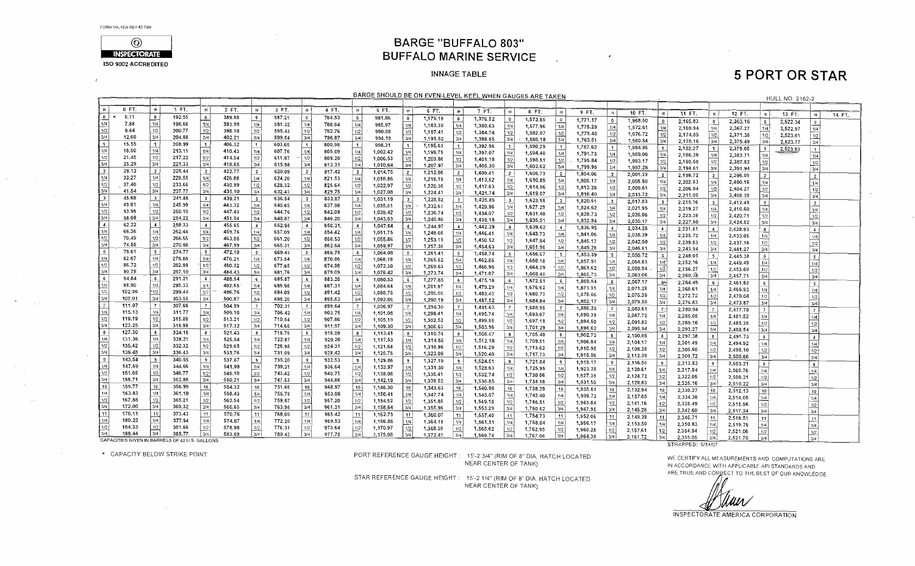$\overline{1}$ 

 $\sim$   $\sim$ 

 $\sim 10^{-1}$ 



### **BARGE "BUFFALO 803" BUFFALO MARINE SERVICE**

#### **INNAGE TABLE**

# **5 PORT OR STAR**

| 0 FT<br>$\,$ IR<br>1 FT.<br>$2$ FT.<br><b>IN</b><br>$\blacksquare$<br>3 FT.<br>$\mathbb{N}$<br>4 FT.<br>$\mathbb{N}$<br>5 FT.<br><b>IN</b><br>6 FT.<br>[ M ]<br>7 FT.<br>-m i<br><b>IN</b><br>8 FT.<br><b>IN</b><br>9 FT.<br>10 FT.<br>1N<br>- IN 3<br>11 FT.<br>12 FT.<br>$\mathbb{N}$<br>$\mathbb{R}$<br>13 FT.<br>14 FT.<br>6.11<br>$\bullet$<br>192.55<br>389.88<br>$\overline{\phantom{a}}$<br>$\bullet$<br>587.21<br>784.53<br>- 0 i<br>$\mathbf{D}$<br>981.86<br>$\bullet$<br>1,179.19<br>$\overline{\mathbf{0}}$<br>1,376.52<br>$\bullet$<br>1,573.85<br>1,771.17<br>$\overline{0}$<br>$\overline{0}$<br>1,968.50<br>$^{\circ}$<br>2,165.83<br>2,363.16<br>$\circ$<br>2,522.34<br>$\overline{\mathbf{0}}$<br>1/4<br>1/4<br>1/4<br>7.88<br>196.66<br>1/4<br>393,99<br>1/4<br>1/4<br>591.32<br>788,64<br>985.97<br>1/4<br>1/4<br>1,183.30<br>1/4<br>1,380.63<br>1,577.96<br>1/4<br>1,775.29<br>1/4<br>1/4<br>1,972.61<br>1/4<br>2,169.94<br>2,367.27<br>1/4<br>2,522.97<br>1/4<br>$\overline{1/2}$<br>1/2<br>1/2<br>1/2<br>9.64<br>200.77<br>398.10<br>595.43<br>1/2<br>$1/2$<br>792.76<br>1/2<br>990.08<br>1/2<br>1/2<br>1,187.41<br>1,384.74<br>1/2<br>1,582.07<br>1/2<br>1,779.40<br>1/2<br>1,976.72<br>1/2<br>2,174.05<br>1/2<br>2,371.38<br>2,523.61<br>1/2<br>3/4<br>$\frac{3/4}{1}$<br>3/4<br>3/4<br>204.88<br>3/4<br>12.60<br>402.21<br>599.54<br>3/4<br>3/4<br>796.87<br>3/4<br>994.19<br>3/4<br>1,191.52<br>1,388.85<br>1,586.18<br>3/4<br>3/4<br>1,783.51<br>3/4<br>1,980.84<br>3/4<br>3/4<br>3/4<br>2,178.16<br>2,375.49<br>2,523.77<br>15.55<br>$\blacksquare$<br>1<br>208.99<br>406.32<br>$\mathbf{1}$<br>603.65<br>$\ddot{\phantom{1}}$<br>800.98<br>1 <sup>1</sup><br>-11<br>998.31<br>1,195.63<br>-11<br>1,392.96<br>1 <sup>1</sup><br>1,590.29<br>$\uparrow$<br>$\mathbf{1}$<br>1,787.62<br>1,984.95<br>$\blacksquare$<br>2,182.27<br>1 <sup>1</sup><br>2,379.60<br>$\lceil$<br>2,523.93<br>$\overline{1}$<br>1/4<br>1/4<br>18,50<br>213.11<br>1/4<br>410.43<br>1/4<br>1/4<br>607.76<br>1/4<br>805.09<br>1/4<br>1,002.42<br>$\overline{1/4}$<br>1/4<br>1,199.75<br>1,397.07<br>1,594.40<br>1/4<br>1,791.73<br>1/4<br>1,989.06<br>1/4<br>1/4<br>2,186.39<br>1/4<br>2,383.71<br>1/4<br>$\frac{1/2}{3/4}$<br>1/2<br>1/2<br>21.45<br>217,22<br>1/2<br> 1/2 <br>414.54<br>611.87<br> 1/2 <br>1/2<br>809.20<br>1,006.53<br>1/2<br>1,203.86<br>1/2<br>1,401.18<br>1/2<br>1,598.51<br>1/2<br>1,795.84<br>1/2<br>1,993.17<br>1/2<br>1/2<br>2,190.50<br>1/2<br>2,387.82<br>3/4<br>25.29<br>3/4<br>221.33<br>3/4<br>3/4<br>3/4<br>418.65<br>3/4<br>615.98<br>813.31<br>1,010.64<br>3/4<br>3/4<br>1,207.97<br>1,405.30<br>3/4<br>1,602.62<br>1,799.95<br>3/4<br>3/4<br>1,997.28<br>3/4<br>3/4<br>2,194.61<br>2,391.94<br>3/4<br>$\overline{2}$<br>29.13<br>225.44<br>$\overline{2}$<br>422.77<br>$\overline{2}$<br>620.09<br>$\overline{2}$<br>817.42<br>$\overline{2}$<br>1,014.75<br>$\vert$ 2 $\vert$<br>1,212.08<br>2 <sup>1</sup><br>1,409.41<br>2 <sup>1</sup><br>1,606.73<br>-21<br>1,804.06<br>2 <sup>1</sup><br>2 <sup>1</sup><br>$\overline{2}$<br>2,001.39<br>2,198.72<br>$\overline{2}$<br>2,396.05<br>$\overline{2}$<br>1/4<br>1/4<br>33.27<br>229,55<br>1/4<br>426.88<br>1/4<br>624,20<br>821.53<br>1/4<br>1/4<br>1.018.86<br>1/4<br>1/4<br>1,216.19<br>1,413.52<br>1/4<br>1/4<br>1,610.85<br>1,808.17<br>1/4<br>2,005.50<br>1/4<br>2,202.83<br>1/4<br>1/4<br>2,400.16<br>1/4<br>$\frac{1/2}{3/4}$<br>$\frac{1/2}{3/4}$<br>1/2<br>37.40<br>1/2<br>233.66<br>1/2<br>430.99<br>628.32<br>1/2<br>825.64<br>1/2<br>$\overline{u_2}$<br>1,022.97<br>1/2<br>1,220.30<br>1,417.63<br>1/2<br>1,614.96<br>$\frac{1/2}{3/4}$<br>1,812.28<br>1/2<br>1/2<br>2,009.61<br>2,206.94<br>1/2<br>2,404.27<br>1/2<br>3/4<br>3/4<br>41.54<br>237.77<br>3/4<br>3/4<br>435.10<br>632.43<br>829.75<br>1,027.08<br>3/4<br>3/4<br>1,224.41<br>3/4<br>3/4<br>1,421.74<br>1,619.07<br>3/4<br>1,816.40<br>3/4<br>2,013.72<br>2,211.05<br>3/4<br>3/4<br>2,408.38<br>$\sqrt{3}$<br>45.68<br>$\overline{\mathbf{3}}$<br>$\overline{\mathbf{3}}$<br>241.88<br>439.21<br>∣3.<br>636.54<br>833.87<br>$\overline{\mathbf{3}}$<br>l 3 J<br>1,031.19<br>-31<br>1,228.52<br>3 <sup>1</sup><br>1,425.85<br>3<br>1,623,18<br>$\overline{\mathbf{3}}$<br>1,820.51<br>3 <sub>1</sub><br>2,017.83<br>$\mathbf{3}$<br>$\vert$ 3<br>2,215.16<br>$\overline{\mathbf{3}}$<br>2.412.49<br>$\overline{\mathbf{3}}$<br>1/4<br>1/4<br>49.81<br>1/4<br>1/4<br>245.99<br>443.32<br>1/4<br>640.65<br>1/4<br>837.98<br>1,035.31<br>1/4<br>1/4<br>1,232.63<br>1/4<br>1,429.96<br>1,627.29<br>1/4<br>1/4<br>1,824.62<br>1/4<br>1/4<br>2,021.95<br>2,219.27<br>1/4<br>2,416.60<br>1/4<br>$1/2$<br>1/2<br>53.95<br>1/2<br>1/2<br>1/2<br>250.10<br>447.43<br>1/2<br>644.76<br>842.09<br>1/2<br>1/2<br>1,039.42<br>1,236.74<br>1/2<br>1,434.07<br>1/2<br>1,631.40<br>1/2<br>1,828.73<br>1/2<br>2,026.06<br>1/2<br>1/2<br>2,223.38<br>2,420.71<br>1/2<br>$\frac{3/4}{4}$<br>$\frac{4}{1/4}$<br>$\overline{3/4}$<br>3/4<br>3/4<br>58.08<br>254.22<br>3/4<br>451.54<br>3/4<br>3/4<br>648.87<br>846.20<br>1.043.53<br>3/4<br>3/4<br>1,240.86<br>1,438.18<br>3/4<br>1,635.51<br>3/4<br>1,832.84<br>3/4<br>3/4<br>2,030.17<br>2,227.50<br>3/4<br>2,424.82<br>3/4<br>62.22<br>$\overline{4}$<br>258.33<br>$\overline{4}$<br>455.65<br>$\overline{4}$<br>652.98<br>$\overline{4}$<br>850.31<br>4<br>1,047.64<br>-4-1<br>$\overline{4}$<br>1,244.97<br>1,442.29<br>4 <sup>1</sup><br>1,639,62<br>$\sim$<br>1,836.95<br>$\vert$ 4<br>2,034.28<br>$\overline{4}$<br>2,231.61<br>$\vert$ 4 $\vert$<br>2,428.93<br>$\vert$ 4<br>$\Delta$<br>66.36<br>1/4<br>1/4<br>262.44<br>459.76<br>1/4<br>657.09<br>1/4<br> 1/4 <br>854.42<br>1,051.75<br>1/4<br>1,249.08<br>1/4<br>1,446.41<br>1/4<br>1,643.73<br>1/4<br>1/4<br>1.841.06<br>2,038.39<br>1/4<br>2,235.72<br>1/4<br>1/4<br>2,433.05<br>1/4<br>1/2<br>1/2<br>70.49<br>266,55<br>1/2<br>1/2<br>463,88<br> 1/2 <br>661.20<br>858.53<br>1/2<br>1,055,86<br>1/2<br>1,253.19<br>1/2<br>1,450.52<br>1/2<br>1,647.84<br>1/2<br>1,845.17<br>1/2<br>2,042.50<br> 1/2 <br>2,239.83<br>2,437.16<br>1/2<br>1/2<br>$\overline{3/4}$<br>$\frac{3/4}{5}$<br>3/4<br>74.55<br>3/4<br>270.66<br>3/4<br>3/4<br>467.99<br>665.31<br>3/4<br>862.64<br>1,059.97<br>3/4<br>3/4<br>1,257.30<br>1,454.63<br>1,651.96<br>3/4<br>3/4<br>1,849.28<br>3/4<br>2,046.61<br>3/4<br>2,243.94<br>3/4<br>2,441.27<br>3/4<br>78,61<br>5 <sub>1</sub><br>274.77<br>5<br>5 <sub>5</sub><br>472,10<br>5<br>669.43<br>866.75<br>5.1<br>1.064.08<br>5 <sup>1</sup><br>1,261.41<br>5 <sup>1</sup><br>1,458.74<br>-51<br>1,656.07<br>5 <sub>5</sub><br>5 <sup>1</sup><br>1,853.39<br>2,050.72<br>$5 -$<br>2,248.05<br>5<br>2,445.38<br>5.<br>5<br>82.67<br>1/4<br>278.88<br>1/4<br>476.21<br>1/4<br>1/4<br>1/4<br>673.54<br>870.86<br>1,068.19<br>$\sqrt{4}$<br>1/4<br>1,265.52<br>1,462.85<br>1/4<br>1,660.18<br>1/4<br>1,857.51<br>1/4<br>2,054.83<br>1/4<br>2,252.16<br>1/4<br>2,449.49<br>1/4 İ<br>1/4<br>1/2<br>1/2<br>86.72<br> 1/2 <br>1/2<br>1/2<br>282.99<br>480.32<br>1/2<br>677.65<br>874.98<br>1,072.30<br>1/2<br>1/2<br>1,269.63<br>1,466.96<br>1/2<br>1/2<br>1,664.29<br>1/2<br>1/2<br>1,861.62<br>2,058.94<br>1/2<br>2,256.27<br>1/2<br>2,453.60<br>1/2<br>$\frac{3/4}{6}$<br>3/4<br>3/4<br>90.78<br>287.10<br>3/4<br>3/4<br>3/4<br>484.43<br>681.76<br>3/4<br>879.09<br>1,076.42<br>3/4<br>3/4<br>1,273.74<br>1,471.07<br>3/4<br>1,668.40<br>3/4<br>1,865.73<br>2,063.06<br>3/4<br>3/4<br>2,260.38<br>2,457.71<br>3/4<br>3/4<br>94.84<br>- 6<br>291.21<br>6<br>488.54<br>6 <sup>1</sup><br>685.87<br>6<br>883.20<br>6<br>1,080.53<br>6<br>1,277.85<br>6<br>1,475.18<br>6<br>1,672.51<br>6 <sub>1</sub><br>1,869.84<br>6 <sup>1</sup><br>2,067.17<br>$.65 -$<br>2,264.49<br>$6 \frac{1}{2}$<br>2,461.82<br>6<br>6<br>$\frac{1/4}{1/2}$<br>$\frac{3/4}{7}$<br>$\frac{7}{1/4}$<br>98.90<br>1/4<br>295.33<br>1/4<br>492.65<br>1/4<br>689.98<br>1/4<br>887.31<br>1/4<br>1,084.64<br>1/4<br>1,281.97<br>1/4<br>1/4<br>1,479.29<br>1/4<br>1,676.62<br>1/4<br>1,873.95<br>1/4<br>2,071.28<br>2,268.61<br>1/4<br>2,465.93<br>1/4<br>1/4<br>1/2<br>102.96<br>1/2<br>299.44<br>496,76<br>1/2<br>1/2<br>694.09<br>1/2<br>891.42<br>1,088.75<br>1/2<br>1/2<br>1/2<br>1,286.08<br>1,483.40<br>1,680.73<br>1/2<br>1/2<br>1,678.06<br>2,075.39<br>$1/2 -$<br>1/2<br>1/2<br>2,272.72<br>2,470.04<br>1/2<br>3/4<br>3/4<br>107.01<br>303.55<br>3/4<br>3/4<br>3/4<br>500,87<br>698.20<br>895.53<br>3/4<br>1,092.86<br>3/4<br>3/4<br>1,290.19<br>3/4<br>1,487.52<br>3/4<br>1,684.84<br>1,882.17<br>3/4<br>$\overline{3/4}$<br>2,079.50<br>2,276.83<br>3/4<br>2,473.87<br>3/4<br>$\overline{7}$<br>$\overline{7}$<br>111.07<br>307.66<br>$\overline{7}$<br>504.99<br>702.31<br>$\overline{7}$<br>899.64<br>1,096.97<br>$\overline{7}$<br>1,294.30<br>-71<br>1,491.63.<br>7<br>1,688,95<br>$\mathbf{7}$<br>1,886.28<br>7 <sup>1</sup><br>2,083.61<br>7.1<br>2,280.94<br>$\overline{7}$<br>2,477.70<br>7 <sup>1</sup><br>1/4<br>  1/4  <br>115.13<br>311.77<br>509.10<br>1/4<br>706.42<br>1/4<br>903.75<br>1/4<br>1,101.08<br>1/4<br>1,298.41<br>1/4<br>1/4<br>1,495.74<br>1/4<br>1,693.07<br>1,890.39<br>1/4<br>2,087.72<br>1/4<br>1/4<br>2,285.05<br>2,481.52<br>1/4<br>1/4<br>1/2<br>119.19<br>1/2<br>1/2<br>1/2<br> 1/2 <br>315.88<br>513.21<br>1/2<br>710.54<br>907.86<br>1,105,19<br>1/2<br>1/2<br>1/2<br>1,302.52<br>1,499.85<br>1/2<br>1,697.18<br>1/2<br>1,894.50<br>1/2<br>2,091.83<br>1/2<br>2,289.16<br>1/2<br>2,485.35<br>1/2<br>3/4<br>3/4<br>3/4<br>3/4<br>3/4<br>123.25<br>3/4<br>319.99<br>517.32<br>714.65<br>3/4<br>911.97<br>1,109.30<br>3/4<br>3/4<br>1,306.63<br>1,503.96<br>3/4<br>1,701.29<br>3/4<br>1,898.62<br>3/4<br>3/4<br>2,095.94<br>2,293.27<br>3/4<br>2,488.54<br>3/4<br>$\overline{\mathbf{8}}$<br>127.30<br>324.10<br>-8<br>8 <sup>1</sup><br>521.43<br>718.76<br>B<br>8<br>-8<br>916.09<br>1,113.41<br>-81<br>8<br>1,310.74<br>8<br>1,508.07<br>1,705.40<br>$\mathbf{B}$<br>1,902.73<br>8 <sup>1</sup><br>2,100.05<br>2,297.38<br>8<br>2,491.73<br>8<br>$\bf{8}$<br>$\frac{1/4}{1/2}$<br>131.36<br>1/4<br>328,21<br>1/4<br>525.54<br>1/4<br>722.87<br>1/4<br>920.20<br>1/4<br>1.117.53<br>1/4<br>1,314.85<br>1/4<br>1,512.18<br>1/4<br>1/4<br>1,709,51<br>1,906.84<br>1/4<br>1/4<br>2,104.17<br>2,301.49<br>1/4<br>2,494.92<br>1/4<br>1/2<br>1/2<br>135.42<br>332.32<br>529.65<br>1/2<br>726.98<br>1/2<br>924.31<br>1/2<br>1/2<br>1,121.64<br>1/2<br>1,318.96<br>1,516.29<br>1/2<br>1/2<br>1/2<br>1,713.62<br>1,910.95<br>1/2<br>2,108.28<br>2,305.60<br>1/2<br>2,498.10<br>1/2<br>3/4<br>3/4<br>$\frac{3/4}{9}$<br>139.48<br>336.43<br>$3/4$<br>3/4<br>533.76<br>3/4<br>928.42<br>3/4<br>3/4<br>3/4<br>731.09<br>1,125.75<br>1,323.08<br>1,520.40<br>3/4<br>1,717.73<br>3/4<br>1,915.06<br>2.112.39<br>3/4<br>3/4<br>3/4<br>2,309.72<br>2,500.66<br>3/4<br>143.54<br>9<br>-9<br>340.55<br>537.87<br>735.20<br>9<br>932.53<br>9<br>$\overline{9}$<br>1,129.86<br>-91<br>1,327.19<br>ا و.<br>1,524.51<br>-9  <br>-91<br>1,721.84<br>1,919.17<br>9<br>2,116.50<br>2,313.83<br>9 <sup>1</sup><br>2,503.21<br>9 <sup>1</sup><br>$\mathbf{9}$<br>$\frac{1/4}{1/2}$<br>1/4<br>147.59<br>344.66<br>1/4<br>1/4<br>541.98<br>1/4<br>739.31<br>936.64<br>1/4<br>1,133.97<br>1/4<br>1/4<br>1/4<br>1,331.30<br>1,528.63<br>1,725,95<br>1/4<br>1,923.28<br>1/4<br>2,120.61<br>1/4<br>2,317.94<br>1/41<br>2,505.76<br>1/4<br>1/4<br>1/2<br>151.65<br>1/2<br>1/2<br>348.77<br>743,42<br>1/2<br>$1/2$<br>546.10<br>940.75<br>1/2<br>1,138.08<br>1,335.41<br>1/2<br>1/2<br>1,532.74<br>1/2<br>1/2<br>1,730.06<br>1,927.39<br>2,124.72<br>1/2<br>1/2<br>2,322.05<br>1/2<br>2,508.31<br>1/2<br>$\frac{3/4}{10}$<br>3/4<br>155.71<br>352.88<br>3/4<br>3/4<br>$-550.21$<br>3/4<br>747.53<br>944.86<br>3/4<br>3/4<br>1,142.19<br>3/4<br>3/4<br>1,339.52<br>1,536.85<br>3/4<br>1,734.18<br>3/4<br>1,931.50<br>2,128.83<br>3/4<br>3/4<br>2,326.16<br>3/4<br>2,510.22<br>3/4<br>10<br>159.77<br>356.99<br>10<br>554.32<br>751.65<br>10<br>948.97<br>10<br>10<br>1,146.30<br>10 <sup>1</sup><br>1,343.63<br>10 <sup>1</sup><br>1,540.96<br>10<br>1,738.29<br>10<br>1,935.61<br>10<br>2,132.94<br>10<br>10<br>2,330.27<br>2,512.13<br>10 <sup>1</sup><br>10<br>1/4<br>1/4<br>163.83<br>361.10<br>1/4<br>558.43<br>755.76<br>1/4<br>1/4<br>953.08<br>1/4<br>1/4<br>1,150.41<br>1,347.74<br>1/4<br>(1/4)<br>1,545.07<br>1,742.40<br>1/4<br>1/4<br>1,939.73<br>2,137.05<br>1/4<br>2,334.38<br>2,514.05<br>1/4<br>1/4<br>1/2<br>t/2<br>167,88<br>365.21<br>1/2<br>562.54<br>1/2<br>759.87<br> 1/2 <br>1/2<br>957.20<br>1/2<br>1/2<br>1,154.52<br>1/2<br>1,351.85<br>1,549.18<br>1,746.51<br>1/2<br>1,943.84<br>1/2<br>1/2<br>1/2<br>2,141.16<br>2,338.49<br>1/2<br>2,515.96<br>3/4<br>1/2<br>3/4<br>172.00<br>369.32<br>3/4<br>566.65<br>3/4<br>3/4<br>3/4<br>763,98<br>3/4<br>961.31<br>1,158.64<br>3/4<br>3/4<br>1,355.96<br>1,553.29<br>3/4<br>3/4<br>1,750.62<br>1,947.95<br>3/4<br>3/4<br>2.145.28<br>2,342.60<br>2,517.24<br>3/4<br>3/4<br>11<br>176.11<br>11<br>373.43<br>11<br>570,76<br>768,09<br>11<br>965.42<br>11 <sup>1</sup><br>l 11 i<br>1,162.75<br>11!<br>1,360.07<br>11<br>1,557.40<br>11<br>1,754,73<br>1,952.06<br>11<br>11<br>2,149.39<br>11<br>2,346.71<br>11<br>2,518.51<br>11<br>11<br>1/4<br>114<br>180.22<br>377.54<br>1/4<br>574.87<br>772.20<br>969.53<br>1,166.86<br>1/4<br>1/4<br>1/4<br>1/4<br>1/4<br>1,364.19<br>1,561.51<br>1/4<br>1,758.84<br>1/4<br>1,956.17<br>1/4<br>2,153.50<br>1/4<br>2,350.83<br>2,519.79<br>1/4<br>1/4<br>1/2<br>1/2<br>184,33<br>1/2<br>381.66<br>578.98<br>1/2<br>1/2<br>776.31<br>1/2<br>973.64<br>1,170.97<br>1/2<br>1/2<br>1/2<br>1,368.30<br>1,565.62<br>1,762.95<br>1/2<br>1,960.28<br>1/2<br>2,157.61<br>1/2<br>1/2<br>2,354.94<br>1/2<br>1/2<br>2,521.06<br>3/4<br>3/4<br>3/4<br>188.44<br>385.77<br>3/4<br>583.09<br>780.42<br>3/4<br>3/4<br>977.75<br>1,175.08<br>3/4<br>3/4<br>3/4<br>1,372.41<br>1,569.74<br>3/4<br>3/4<br>1,767.06<br>1,964.39<br>3/4<br>2,161.72<br>3/4<br>2,359.05<br>2,521.70<br>3/4<br>3/4<br>CAPACITIES GIVEN IN BARRELS OF 42 U.S. GALLONS. |                    | BARGE SHOULD BE ON EVEN-LEVEL KEEL WHEN GAUGES ARE TAKEN<br>HULL NO. 2162-2 |  |  |  |  |  |  |  |  |  |  |  |  |  |  |  |  |  |  |  |  |  |
|---------------------------------------------------------------------------------------------------------------------------------------------------------------------------------------------------------------------------------------------------------------------------------------------------------------------------------------------------------------------------------------------------------------------------------------------------------------------------------------------------------------------------------------------------------------------------------------------------------------------------------------------------------------------------------------------------------------------------------------------------------------------------------------------------------------------------------------------------------------------------------------------------------------------------------------------------------------------------------------------------------------------------------------------------------------------------------------------------------------------------------------------------------------------------------------------------------------------------------------------------------------------------------------------------------------------------------------------------------------------------------------------------------------------------------------------------------------------------------------------------------------------------------------------------------------------------------------------------------------------------------------------------------------------------------------------------------------------------------------------------------------------------------------------------------------------------------------------------------------------------------------------------------------------------------------------------------------------------------------------------------------------------------------------------------------------------------------------------------------------------------------------------------------------------------------------------------------------------------------------------------------------------------------------------------------------------------------------------------------------------------------------------------------------------------------------------------------------------------------------------------------------------------------------------------------------------------------------------------------------------------------------------------------------------------------------------------------------------------------------------------------------------------------------------------------------------------------------------------------------------------------------------------------------------------------------------------------------------------------------------------------------------------------------------------------------------------------------------------------------------------------------------------------------------------------------------------------------------------------------------------------------------------------------------------------------------------------------------------------------------------------------------------------------------------------------------------------------------------------------------------------------------------------------------------------------------------------------------------------------------------------------------------------------------------------------------------------------------------------------------------------------------------------------------------------------------------------------------------------------------------------------------------------------------------------------------------------------------------------------------------------------------------------------------------------------------------------------------------------------------------------------------------------------------------------------------------------------------------------------------------------------------------------------------------------------------------------------------------------------------------------------------------------------------------------------------------------------------------------------------------------------------------------------------------------------------------------------------------------------------------------------------------------------------------------------------------------------------------------------------------------------------------------------------------------------------------------------------------------------------------------------------------------------------------------------------------------------------------------------------------------------------------------------------------------------------------------------------------------------------------------------------------------------------------------------------------------------------------------------------------------------------------------------------------------------------------------------------------------------------------------------------------------------------------------------------------------------------------------------------------------------------------------------------------------------------------------------------------------------------------------------------------------------------------------------------------------------------------------------------------------------------------------------------------------------------------------------------------------------------------------------------------------------------------------------------------------------------------------------------------------------------------------------------------------------------------------------------------------------------------------------------------------------------------------------------------------------------------------------------------------------------------------------------------------------------------------------------------------------------------------------------------------------------------------------------------------------------------------------------------------------------------------------------------------------------------------------------------------------------------------------------------------------------------------------------------------------------------------------------------------------------------------------------------------------------------------------------------------------------------------------------------------------------------------------------------------------------------------------------------------------------------------------------------------------------------------------------------------------------------------------------------------------------------------------------------------------------------------------------------------------------------------------------------------------------------------------------------------------------------------------------------------------------------------------------------------------------------------------------------------------------------------------------------------------------------------------------------------------------------------------------------------------------------------------------------------------------------------------------------------------------------------------------------------------------------------------------------------------------------------------------------------------------------------------------------------------------------------------------------------------------------------------------------------------------------------------------------------------------------------------------------------------------------------------------------------------------------------------------------------------------------------------------------------------------------------------------------------------------------------------------------------------------------------------------------------------------------------------------------------------------------------------------------------------------------------------------------------------------------------------------------------------------------------------------------------------------------------------------------------------------------------------------------------------------------------------------------------------------------------------------------------------------------------------------------------------------------------------------------------------------------------------------------------------------------------------------------------------------------------------------------------------------------------------------------------------------------------------------------------------------------------------------------------------------------------------------------------------------------------------------------------------------------------------------------------------------------------------------------------------------------------------------------------------------------------------------------------------------------------------------------------------------------------------------------------------------------------------------------------------------------------------------------------------------------------------------------------------------------------------------------------------------------------------------------------------------------------------------------------------------------------------------------------------------------------------------------------------------------------------------------------------------------------------------------------------------------------------------------------------------------------------------------------------------------------------------------------------------------------------------------------------------------------------------------------------------------------------------------------------------------------------------------------------------------------------------------------------------------------------------------------------------------------------------------------------------------------------------------------------------------------------------------------------------------------------------------------------------------------------------------------------------------------------------------------------------------------------------------------------------------------------------------------------------------------------------------------------------------------------------------------------------------------------------------------------------------------------------------------------------------------------------------------------------------------------------------------------------------------------------------------------------------------------------------------------------------------------------------------------------------------------------------------------------------------------------------------------------------------------------------------------------------------------------------------------------------------------------------------------------------------------------------------------------------------------------------------------------------------------------------------------------------------------------------------------------------------------------------------------------------------------------------------------------------------------------------------------------------------------------------------------------------------------------------------------------------------------------------------------------------------------------------------------------------------------------------------------------------------------------------------------------------------------------------------------------------------------------------------------------------------------------------------------------------------------------------------------------------------------------------------------------------------------------------------------------------------------------------------------------------------------------------------------------------------------------------------------------------------------------------------------------------------------------------------------------------------------------------------------------------------------------------------------------------------------------------------------------------------------------------------------------------------------------------------------------------------------------------------------------------------------------------------------------------------------------------------------------------------------------------------------------------------------------------------------------------------------------------------------------------------------------------------------------------------------------------------------------------------------------------------------------------------------------------------------------------------------------------------------------------------------------------------------------------------------------------------------------------------------------------------------------------------------------------------------------------------------------------------------------------------------------------------------------------------------|--------------------|-----------------------------------------------------------------------------|--|--|--|--|--|--|--|--|--|--|--|--|--|--|--|--|--|--|--|--|--|
|                                                                                                                                                                                                                                                                                                                                                                                                                                                                                                                                                                                                                                                                                                                                                                                                                                                                                                                                                                                                                                                                                                                                                                                                                                                                                                                                                                                                                                                                                                                                                                                                                                                                                                                                                                                                                                                                                                                                                                                                                                                                                                                                                                                                                                                                                                                                                                                                                                                                                                                                                                                                                                                                                                                                                                                                                                                                                                                                                                                                                                                                                                                                                                                                                                                                                                                                                                                                                                                                                                                                                                                                                                                                                                                                                                                                                                                                                                                                                                                                                                                                                                                                                                                                                                                                                                                                                                                                                                                                                                                                                                                                                                                                                                                                                                                                                                                                                                                                                                                                                                                                                                                                                                                                                                                                                                                                                                                                                                                                                                                                                                                                                                                                                                                                                                                                                                                                                                                                                                                                                                                                                                                                                                                                                                                                                                                                                                                                                                                                                                                                                                                                                                                                                                                                                                                                                                                                                                                                                                                                                                                                                                                                                                                                                                                                                                                                                                                                                                                                                                                                                                                                                                                                                                                                                                                                                                                                                                                                                                                                                                                                                                                                                                                                                                                                                                                                                                                                                                                                                                                                                                                                                                                                                                                                                                                                                                                                                                                                                                                                                                                                                                                                                                                                                                                                                                                                                                                                                                                                                                                                                                                                                                                                                                                                                                                                                                                                                                                                                                                                                                                                                                                                                                                                                                                                                                                                                                                                                                                                                                                                                                                                                                                                                                                                                                                                                                                                                                                                                                                                                                                                                                                                                                                                                                                                                                                                                                                                                                                                                                                                                                                                                                                                                                                                                                                                                                                                                                                                                                                                                                                                                                                                                                                                                                                                                                                                                                                                                                                                                                                                                                                                                                                                                                                                                                                                                                                                                                                                                                                                                                                                                                                                                                                                                                                                                                                                                                                                                                                                                                                                                                                                                                                                                                                                                                                                                                                                                                                                                                                                                                                                                             |                    |                                                                             |  |  |  |  |  |  |  |  |  |  |  |  |  |  |  |  |  |  |  |  |  |
|                                                                                                                                                                                                                                                                                                                                                                                                                                                                                                                                                                                                                                                                                                                                                                                                                                                                                                                                                                                                                                                                                                                                                                                                                                                                                                                                                                                                                                                                                                                                                                                                                                                                                                                                                                                                                                                                                                                                                                                                                                                                                                                                                                                                                                                                                                                                                                                                                                                                                                                                                                                                                                                                                                                                                                                                                                                                                                                                                                                                                                                                                                                                                                                                                                                                                                                                                                                                                                                                                                                                                                                                                                                                                                                                                                                                                                                                                                                                                                                                                                                                                                                                                                                                                                                                                                                                                                                                                                                                                                                                                                                                                                                                                                                                                                                                                                                                                                                                                                                                                                                                                                                                                                                                                                                                                                                                                                                                                                                                                                                                                                                                                                                                                                                                                                                                                                                                                                                                                                                                                                                                                                                                                                                                                                                                                                                                                                                                                                                                                                                                                                                                                                                                                                                                                                                                                                                                                                                                                                                                                                                                                                                                                                                                                                                                                                                                                                                                                                                                                                                                                                                                                                                                                                                                                                                                                                                                                                                                                                                                                                                                                                                                                                                                                                                                                                                                                                                                                                                                                                                                                                                                                                                                                                                                                                                                                                                                                                                                                                                                                                                                                                                                                                                                                                                                                                                                                                                                                                                                                                                                                                                                                                                                                                                                                                                                                                                                                                                                                                                                                                                                                                                                                                                                                                                                                                                                                                                                                                                                                                                                                                                                                                                                                                                                                                                                                                                                                                                                                                                                                                                                                                                                                                                                                                                                                                                                                                                                                                                                                                                                                                                                                                                                                                                                                                                                                                                                                                                                                                                                                                                                                                                                                                                                                                                                                                                                                                                                                                                                                                                                                                                                                                                                                                                                                                                                                                                                                                                                                                                                                                                                                                                                                                                                                                                                                                                                                                                                                                                                                                                                                                                                                                                                                                                                                                                                                                                                                                                                                                                                                                                                                             |                    |                                                                             |  |  |  |  |  |  |  |  |  |  |  |  |  |  |  |  |  |  |  |  |  |
|                                                                                                                                                                                                                                                                                                                                                                                                                                                                                                                                                                                                                                                                                                                                                                                                                                                                                                                                                                                                                                                                                                                                                                                                                                                                                                                                                                                                                                                                                                                                                                                                                                                                                                                                                                                                                                                                                                                                                                                                                                                                                                                                                                                                                                                                                                                                                                                                                                                                                                                                                                                                                                                                                                                                                                                                                                                                                                                                                                                                                                                                                                                                                                                                                                                                                                                                                                                                                                                                                                                                                                                                                                                                                                                                                                                                                                                                                                                                                                                                                                                                                                                                                                                                                                                                                                                                                                                                                                                                                                                                                                                                                                                                                                                                                                                                                                                                                                                                                                                                                                                                                                                                                                                                                                                                                                                                                                                                                                                                                                                                                                                                                                                                                                                                                                                                                                                                                                                                                                                                                                                                                                                                                                                                                                                                                                                                                                                                                                                                                                                                                                                                                                                                                                                                                                                                                                                                                                                                                                                                                                                                                                                                                                                                                                                                                                                                                                                                                                                                                                                                                                                                                                                                                                                                                                                                                                                                                                                                                                                                                                                                                                                                                                                                                                                                                                                                                                                                                                                                                                                                                                                                                                                                                                                                                                                                                                                                                                                                                                                                                                                                                                                                                                                                                                                                                                                                                                                                                                                                                                                                                                                                                                                                                                                                                                                                                                                                                                                                                                                                                                                                                                                                                                                                                                                                                                                                                                                                                                                                                                                                                                                                                                                                                                                                                                                                                                                                                                                                                                                                                                                                                                                                                                                                                                                                                                                                                                                                                                                                                                                                                                                                                                                                                                                                                                                                                                                                                                                                                                                                                                                                                                                                                                                                                                                                                                                                                                                                                                                                                                                                                                                                                                                                                                                                                                                                                                                                                                                                                                                                                                                                                                                                                                                                                                                                                                                                                                                                                                                                                                                                                                                                                                                                                                                                                                                                                                                                                                                                                                                                                                                                                             | $\overline{\cdot}$ |                                                                             |  |  |  |  |  |  |  |  |  |  |  |  |  |  |  |  |  |  |  |  |  |
|                                                                                                                                                                                                                                                                                                                                                                                                                                                                                                                                                                                                                                                                                                                                                                                                                                                                                                                                                                                                                                                                                                                                                                                                                                                                                                                                                                                                                                                                                                                                                                                                                                                                                                                                                                                                                                                                                                                                                                                                                                                                                                                                                                                                                                                                                                                                                                                                                                                                                                                                                                                                                                                                                                                                                                                                                                                                                                                                                                                                                                                                                                                                                                                                                                                                                                                                                                                                                                                                                                                                                                                                                                                                                                                                                                                                                                                                                                                                                                                                                                                                                                                                                                                                                                                                                                                                                                                                                                                                                                                                                                                                                                                                                                                                                                                                                                                                                                                                                                                                                                                                                                                                                                                                                                                                                                                                                                                                                                                                                                                                                                                                                                                                                                                                                                                                                                                                                                                                                                                                                                                                                                                                                                                                                                                                                                                                                                                                                                                                                                                                                                                                                                                                                                                                                                                                                                                                                                                                                                                                                                                                                                                                                                                                                                                                                                                                                                                                                                                                                                                                                                                                                                                                                                                                                                                                                                                                                                                                                                                                                                                                                                                                                                                                                                                                                                                                                                                                                                                                                                                                                                                                                                                                                                                                                                                                                                                                                                                                                                                                                                                                                                                                                                                                                                                                                                                                                                                                                                                                                                                                                                                                                                                                                                                                                                                                                                                                                                                                                                                                                                                                                                                                                                                                                                                                                                                                                                                                                                                                                                                                                                                                                                                                                                                                                                                                                                                                                                                                                                                                                                                                                                                                                                                                                                                                                                                                                                                                                                                                                                                                                                                                                                                                                                                                                                                                                                                                                                                                                                                                                                                                                                                                                                                                                                                                                                                                                                                                                                                                                                                                                                                                                                                                                                                                                                                                                                                                                                                                                                                                                                                                                                                                                                                                                                                                                                                                                                                                                                                                                                                                                                                                                                                                                                                                                                                                                                                                                                                                                                                                                                                                                             |                    |                                                                             |  |  |  |  |  |  |  |  |  |  |  |  |  |  |  |  |  |  |  |  |  |
|                                                                                                                                                                                                                                                                                                                                                                                                                                                                                                                                                                                                                                                                                                                                                                                                                                                                                                                                                                                                                                                                                                                                                                                                                                                                                                                                                                                                                                                                                                                                                                                                                                                                                                                                                                                                                                                                                                                                                                                                                                                                                                                                                                                                                                                                                                                                                                                                                                                                                                                                                                                                                                                                                                                                                                                                                                                                                                                                                                                                                                                                                                                                                                                                                                                                                                                                                                                                                                                                                                                                                                                                                                                                                                                                                                                                                                                                                                                                                                                                                                                                                                                                                                                                                                                                                                                                                                                                                                                                                                                                                                                                                                                                                                                                                                                                                                                                                                                                                                                                                                                                                                                                                                                                                                                                                                                                                                                                                                                                                                                                                                                                                                                                                                                                                                                                                                                                                                                                                                                                                                                                                                                                                                                                                                                                                                                                                                                                                                                                                                                                                                                                                                                                                                                                                                                                                                                                                                                                                                                                                                                                                                                                                                                                                                                                                                                                                                                                                                                                                                                                                                                                                                                                                                                                                                                                                                                                                                                                                                                                                                                                                                                                                                                                                                                                                                                                                                                                                                                                                                                                                                                                                                                                                                                                                                                                                                                                                                                                                                                                                                                                                                                                                                                                                                                                                                                                                                                                                                                                                                                                                                                                                                                                                                                                                                                                                                                                                                                                                                                                                                                                                                                                                                                                                                                                                                                                                                                                                                                                                                                                                                                                                                                                                                                                                                                                                                                                                                                                                                                                                                                                                                                                                                                                                                                                                                                                                                                                                                                                                                                                                                                                                                                                                                                                                                                                                                                                                                                                                                                                                                                                                                                                                                                                                                                                                                                                                                                                                                                                                                                                                                                                                                                                                                                                                                                                                                                                                                                                                                                                                                                                                                                                                                                                                                                                                                                                                                                                                                                                                                                                                                                                                                                                                                                                                                                                                                                                                                                                                                                                                                                                                             |                    |                                                                             |  |  |  |  |  |  |  |  |  |  |  |  |  |  |  |  |  |  |  |  |  |
|                                                                                                                                                                                                                                                                                                                                                                                                                                                                                                                                                                                                                                                                                                                                                                                                                                                                                                                                                                                                                                                                                                                                                                                                                                                                                                                                                                                                                                                                                                                                                                                                                                                                                                                                                                                                                                                                                                                                                                                                                                                                                                                                                                                                                                                                                                                                                                                                                                                                                                                                                                                                                                                                                                                                                                                                                                                                                                                                                                                                                                                                                                                                                                                                                                                                                                                                                                                                                                                                                                                                                                                                                                                                                                                                                                                                                                                                                                                                                                                                                                                                                                                                                                                                                                                                                                                                                                                                                                                                                                                                                                                                                                                                                                                                                                                                                                                                                                                                                                                                                                                                                                                                                                                                                                                                                                                                                                                                                                                                                                                                                                                                                                                                                                                                                                                                                                                                                                                                                                                                                                                                                                                                                                                                                                                                                                                                                                                                                                                                                                                                                                                                                                                                                                                                                                                                                                                                                                                                                                                                                                                                                                                                                                                                                                                                                                                                                                                                                                                                                                                                                                                                                                                                                                                                                                                                                                                                                                                                                                                                                                                                                                                                                                                                                                                                                                                                                                                                                                                                                                                                                                                                                                                                                                                                                                                                                                                                                                                                                                                                                                                                                                                                                                                                                                                                                                                                                                                                                                                                                                                                                                                                                                                                                                                                                                                                                                                                                                                                                                                                                                                                                                                                                                                                                                                                                                                                                                                                                                                                                                                                                                                                                                                                                                                                                                                                                                                                                                                                                                                                                                                                                                                                                                                                                                                                                                                                                                                                                                                                                                                                                                                                                                                                                                                                                                                                                                                                                                                                                                                                                                                                                                                                                                                                                                                                                                                                                                                                                                                                                                                                                                                                                                                                                                                                                                                                                                                                                                                                                                                                                                                                                                                                                                                                                                                                                                                                                                                                                                                                                                                                                                                                                                                                                                                                                                                                                                                                                                                                                                                                                                                                                             |                    |                                                                             |  |  |  |  |  |  |  |  |  |  |  |  |  |  |  |  |  |  |  |  |  |
|                                                                                                                                                                                                                                                                                                                                                                                                                                                                                                                                                                                                                                                                                                                                                                                                                                                                                                                                                                                                                                                                                                                                                                                                                                                                                                                                                                                                                                                                                                                                                                                                                                                                                                                                                                                                                                                                                                                                                                                                                                                                                                                                                                                                                                                                                                                                                                                                                                                                                                                                                                                                                                                                                                                                                                                                                                                                                                                                                                                                                                                                                                                                                                                                                                                                                                                                                                                                                                                                                                                                                                                                                                                                                                                                                                                                                                                                                                                                                                                                                                                                                                                                                                                                                                                                                                                                                                                                                                                                                                                                                                                                                                                                                                                                                                                                                                                                                                                                                                                                                                                                                                                                                                                                                                                                                                                                                                                                                                                                                                                                                                                                                                                                                                                                                                                                                                                                                                                                                                                                                                                                                                                                                                                                                                                                                                                                                                                                                                                                                                                                                                                                                                                                                                                                                                                                                                                                                                                                                                                                                                                                                                                                                                                                                                                                                                                                                                                                                                                                                                                                                                                                                                                                                                                                                                                                                                                                                                                                                                                                                                                                                                                                                                                                                                                                                                                                                                                                                                                                                                                                                                                                                                                                                                                                                                                                                                                                                                                                                                                                                                                                                                                                                                                                                                                                                                                                                                                                                                                                                                                                                                                                                                                                                                                                                                                                                                                                                                                                                                                                                                                                                                                                                                                                                                                                                                                                                                                                                                                                                                                                                                                                                                                                                                                                                                                                                                                                                                                                                                                                                                                                                                                                                                                                                                                                                                                                                                                                                                                                                                                                                                                                                                                                                                                                                                                                                                                                                                                                                                                                                                                                                                                                                                                                                                                                                                                                                                                                                                                                                                                                                                                                                                                                                                                                                                                                                                                                                                                                                                                                                                                                                                                                                                                                                                                                                                                                                                                                                                                                                                                                                                                                                                                                                                                                                                                                                                                                                                                                                                                                                                                                                             |                    |                                                                             |  |  |  |  |  |  |  |  |  |  |  |  |  |  |  |  |  |  |  |  |  |
|                                                                                                                                                                                                                                                                                                                                                                                                                                                                                                                                                                                                                                                                                                                                                                                                                                                                                                                                                                                                                                                                                                                                                                                                                                                                                                                                                                                                                                                                                                                                                                                                                                                                                                                                                                                                                                                                                                                                                                                                                                                                                                                                                                                                                                                                                                                                                                                                                                                                                                                                                                                                                                                                                                                                                                                                                                                                                                                                                                                                                                                                                                                                                                                                                                                                                                                                                                                                                                                                                                                                                                                                                                                                                                                                                                                                                                                                                                                                                                                                                                                                                                                                                                                                                                                                                                                                                                                                                                                                                                                                                                                                                                                                                                                                                                                                                                                                                                                                                                                                                                                                                                                                                                                                                                                                                                                                                                                                                                                                                                                                                                                                                                                                                                                                                                                                                                                                                                                                                                                                                                                                                                                                                                                                                                                                                                                                                                                                                                                                                                                                                                                                                                                                                                                                                                                                                                                                                                                                                                                                                                                                                                                                                                                                                                                                                                                                                                                                                                                                                                                                                                                                                                                                                                                                                                                                                                                                                                                                                                                                                                                                                                                                                                                                                                                                                                                                                                                                                                                                                                                                                                                                                                                                                                                                                                                                                                                                                                                                                                                                                                                                                                                                                                                                                                                                                                                                                                                                                                                                                                                                                                                                                                                                                                                                                                                                                                                                                                                                                                                                                                                                                                                                                                                                                                                                                                                                                                                                                                                                                                                                                                                                                                                                                                                                                                                                                                                                                                                                                                                                                                                                                                                                                                                                                                                                                                                                                                                                                                                                                                                                                                                                                                                                                                                                                                                                                                                                                                                                                                                                                                                                                                                                                                                                                                                                                                                                                                                                                                                                                                                                                                                                                                                                                                                                                                                                                                                                                                                                                                                                                                                                                                                                                                                                                                                                                                                                                                                                                                                                                                                                                                                                                                                                                                                                                                                                                                                                                                                                                                                                                                                                                             |                    |                                                                             |  |  |  |  |  |  |  |  |  |  |  |  |  |  |  |  |  |  |  |  |  |
|                                                                                                                                                                                                                                                                                                                                                                                                                                                                                                                                                                                                                                                                                                                                                                                                                                                                                                                                                                                                                                                                                                                                                                                                                                                                                                                                                                                                                                                                                                                                                                                                                                                                                                                                                                                                                                                                                                                                                                                                                                                                                                                                                                                                                                                                                                                                                                                                                                                                                                                                                                                                                                                                                                                                                                                                                                                                                                                                                                                                                                                                                                                                                                                                                                                                                                                                                                                                                                                                                                                                                                                                                                                                                                                                                                                                                                                                                                                                                                                                                                                                                                                                                                                                                                                                                                                                                                                                                                                                                                                                                                                                                                                                                                                                                                                                                                                                                                                                                                                                                                                                                                                                                                                                                                                                                                                                                                                                                                                                                                                                                                                                                                                                                                                                                                                                                                                                                                                                                                                                                                                                                                                                                                                                                                                                                                                                                                                                                                                                                                                                                                                                                                                                                                                                                                                                                                                                                                                                                                                                                                                                                                                                                                                                                                                                                                                                                                                                                                                                                                                                                                                                                                                                                                                                                                                                                                                                                                                                                                                                                                                                                                                                                                                                                                                                                                                                                                                                                                                                                                                                                                                                                                                                                                                                                                                                                                                                                                                                                                                                                                                                                                                                                                                                                                                                                                                                                                                                                                                                                                                                                                                                                                                                                                                                                                                                                                                                                                                                                                                                                                                                                                                                                                                                                                                                                                                                                                                                                                                                                                                                                                                                                                                                                                                                                                                                                                                                                                                                                                                                                                                                                                                                                                                                                                                                                                                                                                                                                                                                                                                                                                                                                                                                                                                                                                                                                                                                                                                                                                                                                                                                                                                                                                                                                                                                                                                                                                                                                                                                                                                                                                                                                                                                                                                                                                                                                                                                                                                                                                                                                                                                                                                                                                                                                                                                                                                                                                                                                                                                                                                                                                                                                                                                                                                                                                                                                                                                                                                                                                                                                                                                                             |                    |                                                                             |  |  |  |  |  |  |  |  |  |  |  |  |  |  |  |  |  |  |  |  |  |
|                                                                                                                                                                                                                                                                                                                                                                                                                                                                                                                                                                                                                                                                                                                                                                                                                                                                                                                                                                                                                                                                                                                                                                                                                                                                                                                                                                                                                                                                                                                                                                                                                                                                                                                                                                                                                                                                                                                                                                                                                                                                                                                                                                                                                                                                                                                                                                                                                                                                                                                                                                                                                                                                                                                                                                                                                                                                                                                                                                                                                                                                                                                                                                                                                                                                                                                                                                                                                                                                                                                                                                                                                                                                                                                                                                                                                                                                                                                                                                                                                                                                                                                                                                                                                                                                                                                                                                                                                                                                                                                                                                                                                                                                                                                                                                                                                                                                                                                                                                                                                                                                                                                                                                                                                                                                                                                                                                                                                                                                                                                                                                                                                                                                                                                                                                                                                                                                                                                                                                                                                                                                                                                                                                                                                                                                                                                                                                                                                                                                                                                                                                                                                                                                                                                                                                                                                                                                                                                                                                                                                                                                                                                                                                                                                                                                                                                                                                                                                                                                                                                                                                                                                                                                                                                                                                                                                                                                                                                                                                                                                                                                                                                                                                                                                                                                                                                                                                                                                                                                                                                                                                                                                                                                                                                                                                                                                                                                                                                                                                                                                                                                                                                                                                                                                                                                                                                                                                                                                                                                                                                                                                                                                                                                                                                                                                                                                                                                                                                                                                                                                                                                                                                                                                                                                                                                                                                                                                                                                                                                                                                                                                                                                                                                                                                                                                                                                                                                                                                                                                                                                                                                                                                                                                                                                                                                                                                                                                                                                                                                                                                                                                                                                                                                                                                                                                                                                                                                                                                                                                                                                                                                                                                                                                                                                                                                                                                                                                                                                                                                                                                                                                                                                                                                                                                                                                                                                                                                                                                                                                                                                                                                                                                                                                                                                                                                                                                                                                                                                                                                                                                                                                                                                                                                                                                                                                                                                                                                                                                                                                                                                                                                                             |                    |                                                                             |  |  |  |  |  |  |  |  |  |  |  |  |  |  |  |  |  |  |  |  |  |
|                                                                                                                                                                                                                                                                                                                                                                                                                                                                                                                                                                                                                                                                                                                                                                                                                                                                                                                                                                                                                                                                                                                                                                                                                                                                                                                                                                                                                                                                                                                                                                                                                                                                                                                                                                                                                                                                                                                                                                                                                                                                                                                                                                                                                                                                                                                                                                                                                                                                                                                                                                                                                                                                                                                                                                                                                                                                                                                                                                                                                                                                                                                                                                                                                                                                                                                                                                                                                                                                                                                                                                                                                                                                                                                                                                                                                                                                                                                                                                                                                                                                                                                                                                                                                                                                                                                                                                                                                                                                                                                                                                                                                                                                                                                                                                                                                                                                                                                                                                                                                                                                                                                                                                                                                                                                                                                                                                                                                                                                                                                                                                                                                                                                                                                                                                                                                                                                                                                                                                                                                                                                                                                                                                                                                                                                                                                                                                                                                                                                                                                                                                                                                                                                                                                                                                                                                                                                                                                                                                                                                                                                                                                                                                                                                                                                                                                                                                                                                                                                                                                                                                                                                                                                                                                                                                                                                                                                                                                                                                                                                                                                                                                                                                                                                                                                                                                                                                                                                                                                                                                                                                                                                                                                                                                                                                                                                                                                                                                                                                                                                                                                                                                                                                                                                                                                                                                                                                                                                                                                                                                                                                                                                                                                                                                                                                                                                                                                                                                                                                                                                                                                                                                                                                                                                                                                                                                                                                                                                                                                                                                                                                                                                                                                                                                                                                                                                                                                                                                                                                                                                                                                                                                                                                                                                                                                                                                                                                                                                                                                                                                                                                                                                                                                                                                                                                                                                                                                                                                                                                                                                                                                                                                                                                                                                                                                                                                                                                                                                                                                                                                                                                                                                                                                                                                                                                                                                                                                                                                                                                                                                                                                                                                                                                                                                                                                                                                                                                                                                                                                                                                                                                                                                                                                                                                                                                                                                                                                                                                                                                                                                                                                                             |                    |                                                                             |  |  |  |  |  |  |  |  |  |  |  |  |  |  |  |  |  |  |  |  |  |
|                                                                                                                                                                                                                                                                                                                                                                                                                                                                                                                                                                                                                                                                                                                                                                                                                                                                                                                                                                                                                                                                                                                                                                                                                                                                                                                                                                                                                                                                                                                                                                                                                                                                                                                                                                                                                                                                                                                                                                                                                                                                                                                                                                                                                                                                                                                                                                                                                                                                                                                                                                                                                                                                                                                                                                                                                                                                                                                                                                                                                                                                                                                                                                                                                                                                                                                                                                                                                                                                                                                                                                                                                                                                                                                                                                                                                                                                                                                                                                                                                                                                                                                                                                                                                                                                                                                                                                                                                                                                                                                                                                                                                                                                                                                                                                                                                                                                                                                                                                                                                                                                                                                                                                                                                                                                                                                                                                                                                                                                                                                                                                                                                                                                                                                                                                                                                                                                                                                                                                                                                                                                                                                                                                                                                                                                                                                                                                                                                                                                                                                                                                                                                                                                                                                                                                                                                                                                                                                                                                                                                                                                                                                                                                                                                                                                                                                                                                                                                                                                                                                                                                                                                                                                                                                                                                                                                                                                                                                                                                                                                                                                                                                                                                                                                                                                                                                                                                                                                                                                                                                                                                                                                                                                                                                                                                                                                                                                                                                                                                                                                                                                                                                                                                                                                                                                                                                                                                                                                                                                                                                                                                                                                                                                                                                                                                                                                                                                                                                                                                                                                                                                                                                                                                                                                                                                                                                                                                                                                                                                                                                                                                                                                                                                                                                                                                                                                                                                                                                                                                                                                                                                                                                                                                                                                                                                                                                                                                                                                                                                                                                                                                                                                                                                                                                                                                                                                                                                                                                                                                                                                                                                                                                                                                                                                                                                                                                                                                                                                                                                                                                                                                                                                                                                                                                                                                                                                                                                                                                                                                                                                                                                                                                                                                                                                                                                                                                                                                                                                                                                                                                                                                                                                                                                                                                                                                                                                                                                                                                                                                                                                                                                                             |                    |                                                                             |  |  |  |  |  |  |  |  |  |  |  |  |  |  |  |  |  |  |  |  |  |
|                                                                                                                                                                                                                                                                                                                                                                                                                                                                                                                                                                                                                                                                                                                                                                                                                                                                                                                                                                                                                                                                                                                                                                                                                                                                                                                                                                                                                                                                                                                                                                                                                                                                                                                                                                                                                                                                                                                                                                                                                                                                                                                                                                                                                                                                                                                                                                                                                                                                                                                                                                                                                                                                                                                                                                                                                                                                                                                                                                                                                                                                                                                                                                                                                                                                                                                                                                                                                                                                                                                                                                                                                                                                                                                                                                                                                                                                                                                                                                                                                                                                                                                                                                                                                                                                                                                                                                                                                                                                                                                                                                                                                                                                                                                                                                                                                                                                                                                                                                                                                                                                                                                                                                                                                                                                                                                                                                                                                                                                                                                                                                                                                                                                                                                                                                                                                                                                                                                                                                                                                                                                                                                                                                                                                                                                                                                                                                                                                                                                                                                                                                                                                                                                                                                                                                                                                                                                                                                                                                                                                                                                                                                                                                                                                                                                                                                                                                                                                                                                                                                                                                                                                                                                                                                                                                                                                                                                                                                                                                                                                                                                                                                                                                                                                                                                                                                                                                                                                                                                                                                                                                                                                                                                                                                                                                                                                                                                                                                                                                                                                                                                                                                                                                                                                                                                                                                                                                                                                                                                                                                                                                                                                                                                                                                                                                                                                                                                                                                                                                                                                                                                                                                                                                                                                                                                                                                                                                                                                                                                                                                                                                                                                                                                                                                                                                                                                                                                                                                                                                                                                                                                                                                                                                                                                                                                                                                                                                                                                                                                                                                                                                                                                                                                                                                                                                                                                                                                                                                                                                                                                                                                                                                                                                                                                                                                                                                                                                                                                                                                                                                                                                                                                                                                                                                                                                                                                                                                                                                                                                                                                                                                                                                                                                                                                                                                                                                                                                                                                                                                                                                                                                                                                                                                                                                                                                                                                                                                                                                                                                                                                                                                                             |                    |                                                                             |  |  |  |  |  |  |  |  |  |  |  |  |  |  |  |  |  |  |  |  |  |
|                                                                                                                                                                                                                                                                                                                                                                                                                                                                                                                                                                                                                                                                                                                                                                                                                                                                                                                                                                                                                                                                                                                                                                                                                                                                                                                                                                                                                                                                                                                                                                                                                                                                                                                                                                                                                                                                                                                                                                                                                                                                                                                                                                                                                                                                                                                                                                                                                                                                                                                                                                                                                                                                                                                                                                                                                                                                                                                                                                                                                                                                                                                                                                                                                                                                                                                                                                                                                                                                                                                                                                                                                                                                                                                                                                                                                                                                                                                                                                                                                                                                                                                                                                                                                                                                                                                                                                                                                                                                                                                                                                                                                                                                                                                                                                                                                                                                                                                                                                                                                                                                                                                                                                                                                                                                                                                                                                                                                                                                                                                                                                                                                                                                                                                                                                                                                                                                                                                                                                                                                                                                                                                                                                                                                                                                                                                                                                                                                                                                                                                                                                                                                                                                                                                                                                                                                                                                                                                                                                                                                                                                                                                                                                                                                                                                                                                                                                                                                                                                                                                                                                                                                                                                                                                                                                                                                                                                                                                                                                                                                                                                                                                                                                                                                                                                                                                                                                                                                                                                                                                                                                                                                                                                                                                                                                                                                                                                                                                                                                                                                                                                                                                                                                                                                                                                                                                                                                                                                                                                                                                                                                                                                                                                                                                                                                                                                                                                                                                                                                                                                                                                                                                                                                                                                                                                                                                                                                                                                                                                                                                                                                                                                                                                                                                                                                                                                                                                                                                                                                                                                                                                                                                                                                                                                                                                                                                                                                                                                                                                                                                                                                                                                                                                                                                                                                                                                                                                                                                                                                                                                                                                                                                                                                                                                                                                                                                                                                                                                                                                                                                                                                                                                                                                                                                                                                                                                                                                                                                                                                                                                                                                                                                                                                                                                                                                                                                                                                                                                                                                                                                                                                                                                                                                                                                                                                                                                                                                                                                                                                                                                                                                                             |                    |                                                                             |  |  |  |  |  |  |  |  |  |  |  |  |  |  |  |  |  |  |  |  |  |
|                                                                                                                                                                                                                                                                                                                                                                                                                                                                                                                                                                                                                                                                                                                                                                                                                                                                                                                                                                                                                                                                                                                                                                                                                                                                                                                                                                                                                                                                                                                                                                                                                                                                                                                                                                                                                                                                                                                                                                                                                                                                                                                                                                                                                                                                                                                                                                                                                                                                                                                                                                                                                                                                                                                                                                                                                                                                                                                                                                                                                                                                                                                                                                                                                                                                                                                                                                                                                                                                                                                                                                                                                                                                                                                                                                                                                                                                                                                                                                                                                                                                                                                                                                                                                                                                                                                                                                                                                                                                                                                                                                                                                                                                                                                                                                                                                                                                                                                                                                                                                                                                                                                                                                                                                                                                                                                                                                                                                                                                                                                                                                                                                                                                                                                                                                                                                                                                                                                                                                                                                                                                                                                                                                                                                                                                                                                                                                                                                                                                                                                                                                                                                                                                                                                                                                                                                                                                                                                                                                                                                                                                                                                                                                                                                                                                                                                                                                                                                                                                                                                                                                                                                                                                                                                                                                                                                                                                                                                                                                                                                                                                                                                                                                                                                                                                                                                                                                                                                                                                                                                                                                                                                                                                                                                                                                                                                                                                                                                                                                                                                                                                                                                                                                                                                                                                                                                                                                                                                                                                                                                                                                                                                                                                                                                                                                                                                                                                                                                                                                                                                                                                                                                                                                                                                                                                                                                                                                                                                                                                                                                                                                                                                                                                                                                                                                                                                                                                                                                                                                                                                                                                                                                                                                                                                                                                                                                                                                                                                                                                                                                                                                                                                                                                                                                                                                                                                                                                                                                                                                                                                                                                                                                                                                                                                                                                                                                                                                                                                                                                                                                                                                                                                                                                                                                                                                                                                                                                                                                                                                                                                                                                                                                                                                                                                                                                                                                                                                                                                                                                                                                                                                                                                                                                                                                                                                                                                                                                                                                                                                                                                                                                                             |                    |                                                                             |  |  |  |  |  |  |  |  |  |  |  |  |  |  |  |  |  |  |  |  |  |
|                                                                                                                                                                                                                                                                                                                                                                                                                                                                                                                                                                                                                                                                                                                                                                                                                                                                                                                                                                                                                                                                                                                                                                                                                                                                                                                                                                                                                                                                                                                                                                                                                                                                                                                                                                                                                                                                                                                                                                                                                                                                                                                                                                                                                                                                                                                                                                                                                                                                                                                                                                                                                                                                                                                                                                                                                                                                                                                                                                                                                                                                                                                                                                                                                                                                                                                                                                                                                                                                                                                                                                                                                                                                                                                                                                                                                                                                                                                                                                                                                                                                                                                                                                                                                                                                                                                                                                                                                                                                                                                                                                                                                                                                                                                                                                                                                                                                                                                                                                                                                                                                                                                                                                                                                                                                                                                                                                                                                                                                                                                                                                                                                                                                                                                                                                                                                                                                                                                                                                                                                                                                                                                                                                                                                                                                                                                                                                                                                                                                                                                                                                                                                                                                                                                                                                                                                                                                                                                                                                                                                                                                                                                                                                                                                                                                                                                                                                                                                                                                                                                                                                                                                                                                                                                                                                                                                                                                                                                                                                                                                                                                                                                                                                                                                                                                                                                                                                                                                                                                                                                                                                                                                                                                                                                                                                                                                                                                                                                                                                                                                                                                                                                                                                                                                                                                                                                                                                                                                                                                                                                                                                                                                                                                                                                                                                                                                                                                                                                                                                                                                                                                                                                                                                                                                                                                                                                                                                                                                                                                                                                                                                                                                                                                                                                                                                                                                                                                                                                                                                                                                                                                                                                                                                                                                                                                                                                                                                                                                                                                                                                                                                                                                                                                                                                                                                                                                                                                                                                                                                                                                                                                                                                                                                                                                                                                                                                                                                                                                                                                                                                                                                                                                                                                                                                                                                                                                                                                                                                                                                                                                                                                                                                                                                                                                                                                                                                                                                                                                                                                                                                                                                                                                                                                                                                                                                                                                                                                                                                                                                                                                                                                                             |                    |                                                                             |  |  |  |  |  |  |  |  |  |  |  |  |  |  |  |  |  |  |  |  |  |
|                                                                                                                                                                                                                                                                                                                                                                                                                                                                                                                                                                                                                                                                                                                                                                                                                                                                                                                                                                                                                                                                                                                                                                                                                                                                                                                                                                                                                                                                                                                                                                                                                                                                                                                                                                                                                                                                                                                                                                                                                                                                                                                                                                                                                                                                                                                                                                                                                                                                                                                                                                                                                                                                                                                                                                                                                                                                                                                                                                                                                                                                                                                                                                                                                                                                                                                                                                                                                                                                                                                                                                                                                                                                                                                                                                                                                                                                                                                                                                                                                                                                                                                                                                                                                                                                                                                                                                                                                                                                                                                                                                                                                                                                                                                                                                                                                                                                                                                                                                                                                                                                                                                                                                                                                                                                                                                                                                                                                                                                                                                                                                                                                                                                                                                                                                                                                                                                                                                                                                                                                                                                                                                                                                                                                                                                                                                                                                                                                                                                                                                                                                                                                                                                                                                                                                                                                                                                                                                                                                                                                                                                                                                                                                                                                                                                                                                                                                                                                                                                                                                                                                                                                                                                                                                                                                                                                                                                                                                                                                                                                                                                                                                                                                                                                                                                                                                                                                                                                                                                                                                                                                                                                                                                                                                                                                                                                                                                                                                                                                                                                                                                                                                                                                                                                                                                                                                                                                                                                                                                                                                                                                                                                                                                                                                                                                                                                                                                                                                                                                                                                                                                                                                                                                                                                                                                                                                                                                                                                                                                                                                                                                                                                                                                                                                                                                                                                                                                                                                                                                                                                                                                                                                                                                                                                                                                                                                                                                                                                                                                                                                                                                                                                                                                                                                                                                                                                                                                                                                                                                                                                                                                                                                                                                                                                                                                                                                                                                                                                                                                                                                                                                                                                                                                                                                                                                                                                                                                                                                                                                                                                                                                                                                                                                                                                                                                                                                                                                                                                                                                                                                                                                                                                                                                                                                                                                                                                                                                                                                                                                                                                                                                                             |                    |                                                                             |  |  |  |  |  |  |  |  |  |  |  |  |  |  |  |  |  |  |  |  |  |
|                                                                                                                                                                                                                                                                                                                                                                                                                                                                                                                                                                                                                                                                                                                                                                                                                                                                                                                                                                                                                                                                                                                                                                                                                                                                                                                                                                                                                                                                                                                                                                                                                                                                                                                                                                                                                                                                                                                                                                                                                                                                                                                                                                                                                                                                                                                                                                                                                                                                                                                                                                                                                                                                                                                                                                                                                                                                                                                                                                                                                                                                                                                                                                                                                                                                                                                                                                                                                                                                                                                                                                                                                                                                                                                                                                                                                                                                                                                                                                                                                                                                                                                                                                                                                                                                                                                                                                                                                                                                                                                                                                                                                                                                                                                                                                                                                                                                                                                                                                                                                                                                                                                                                                                                                                                                                                                                                                                                                                                                                                                                                                                                                                                                                                                                                                                                                                                                                                                                                                                                                                                                                                                                                                                                                                                                                                                                                                                                                                                                                                                                                                                                                                                                                                                                                                                                                                                                                                                                                                                                                                                                                                                                                                                                                                                                                                                                                                                                                                                                                                                                                                                                                                                                                                                                                                                                                                                                                                                                                                                                                                                                                                                                                                                                                                                                                                                                                                                                                                                                                                                                                                                                                                                                                                                                                                                                                                                                                                                                                                                                                                                                                                                                                                                                                                                                                                                                                                                                                                                                                                                                                                                                                                                                                                                                                                                                                                                                                                                                                                                                                                                                                                                                                                                                                                                                                                                                                                                                                                                                                                                                                                                                                                                                                                                                                                                                                                                                                                                                                                                                                                                                                                                                                                                                                                                                                                                                                                                                                                                                                                                                                                                                                                                                                                                                                                                                                                                                                                                                                                                                                                                                                                                                                                                                                                                                                                                                                                                                                                                                                                                                                                                                                                                                                                                                                                                                                                                                                                                                                                                                                                                                                                                                                                                                                                                                                                                                                                                                                                                                                                                                                                                                                                                                                                                                                                                                                                                                                                                                                                                                                                                                                             |                    |                                                                             |  |  |  |  |  |  |  |  |  |  |  |  |  |  |  |  |  |  |  |  |  |
|                                                                                                                                                                                                                                                                                                                                                                                                                                                                                                                                                                                                                                                                                                                                                                                                                                                                                                                                                                                                                                                                                                                                                                                                                                                                                                                                                                                                                                                                                                                                                                                                                                                                                                                                                                                                                                                                                                                                                                                                                                                                                                                                                                                                                                                                                                                                                                                                                                                                                                                                                                                                                                                                                                                                                                                                                                                                                                                                                                                                                                                                                                                                                                                                                                                                                                                                                                                                                                                                                                                                                                                                                                                                                                                                                                                                                                                                                                                                                                                                                                                                                                                                                                                                                                                                                                                                                                                                                                                                                                                                                                                                                                                                                                                                                                                                                                                                                                                                                                                                                                                                                                                                                                                                                                                                                                                                                                                                                                                                                                                                                                                                                                                                                                                                                                                                                                                                                                                                                                                                                                                                                                                                                                                                                                                                                                                                                                                                                                                                                                                                                                                                                                                                                                                                                                                                                                                                                                                                                                                                                                                                                                                                                                                                                                                                                                                                                                                                                                                                                                                                                                                                                                                                                                                                                                                                                                                                                                                                                                                                                                                                                                                                                                                                                                                                                                                                                                                                                                                                                                                                                                                                                                                                                                                                                                                                                                                                                                                                                                                                                                                                                                                                                                                                                                                                                                                                                                                                                                                                                                                                                                                                                                                                                                                                                                                                                                                                                                                                                                                                                                                                                                                                                                                                                                                                                                                                                                                                                                                                                                                                                                                                                                                                                                                                                                                                                                                                                                                                                                                                                                                                                                                                                                                                                                                                                                                                                                                                                                                                                                                                                                                                                                                                                                                                                                                                                                                                                                                                                                                                                                                                                                                                                                                                                                                                                                                                                                                                                                                                                                                                                                                                                                                                                                                                                                                                                                                                                                                                                                                                                                                                                                                                                                                                                                                                                                                                                                                                                                                                                                                                                                                                                                                                                                                                                                                                                                                                                                                                                                                                                                                                                             |                    |                                                                             |  |  |  |  |  |  |  |  |  |  |  |  |  |  |  |  |  |  |  |  |  |
|                                                                                                                                                                                                                                                                                                                                                                                                                                                                                                                                                                                                                                                                                                                                                                                                                                                                                                                                                                                                                                                                                                                                                                                                                                                                                                                                                                                                                                                                                                                                                                                                                                                                                                                                                                                                                                                                                                                                                                                                                                                                                                                                                                                                                                                                                                                                                                                                                                                                                                                                                                                                                                                                                                                                                                                                                                                                                                                                                                                                                                                                                                                                                                                                                                                                                                                                                                                                                                                                                                                                                                                                                                                                                                                                                                                                                                                                                                                                                                                                                                                                                                                                                                                                                                                                                                                                                                                                                                                                                                                                                                                                                                                                                                                                                                                                                                                                                                                                                                                                                                                                                                                                                                                                                                                                                                                                                                                                                                                                                                                                                                                                                                                                                                                                                                                                                                                                                                                                                                                                                                                                                                                                                                                                                                                                                                                                                                                                                                                                                                                                                                                                                                                                                                                                                                                                                                                                                                                                                                                                                                                                                                                                                                                                                                                                                                                                                                                                                                                                                                                                                                                                                                                                                                                                                                                                                                                                                                                                                                                                                                                                                                                                                                                                                                                                                                                                                                                                                                                                                                                                                                                                                                                                                                                                                                                                                                                                                                                                                                                                                                                                                                                                                                                                                                                                                                                                                                                                                                                                                                                                                                                                                                                                                                                                                                                                                                                                                                                                                                                                                                                                                                                                                                                                                                                                                                                                                                                                                                                                                                                                                                                                                                                                                                                                                                                                                                                                                                                                                                                                                                                                                                                                                                                                                                                                                                                                                                                                                                                                                                                                                                                                                                                                                                                                                                                                                                                                                                                                                                                                                                                                                                                                                                                                                                                                                                                                                                                                                                                                                                                                                                                                                                                                                                                                                                                                                                                                                                                                                                                                                                                                                                                                                                                                                                                                                                                                                                                                                                                                                                                                                                                                                                                                                                                                                                                                                                                                                                                                                                                                                                                                                             |                    |                                                                             |  |  |  |  |  |  |  |  |  |  |  |  |  |  |  |  |  |  |  |  |  |
|                                                                                                                                                                                                                                                                                                                                                                                                                                                                                                                                                                                                                                                                                                                                                                                                                                                                                                                                                                                                                                                                                                                                                                                                                                                                                                                                                                                                                                                                                                                                                                                                                                                                                                                                                                                                                                                                                                                                                                                                                                                                                                                                                                                                                                                                                                                                                                                                                                                                                                                                                                                                                                                                                                                                                                                                                                                                                                                                                                                                                                                                                                                                                                                                                                                                                                                                                                                                                                                                                                                                                                                                                                                                                                                                                                                                                                                                                                                                                                                                                                                                                                                                                                                                                                                                                                                                                                                                                                                                                                                                                                                                                                                                                                                                                                                                                                                                                                                                                                                                                                                                                                                                                                                                                                                                                                                                                                                                                                                                                                                                                                                                                                                                                                                                                                                                                                                                                                                                                                                                                                                                                                                                                                                                                                                                                                                                                                                                                                                                                                                                                                                                                                                                                                                                                                                                                                                                                                                                                                                                                                                                                                                                                                                                                                                                                                                                                                                                                                                                                                                                                                                                                                                                                                                                                                                                                                                                                                                                                                                                                                                                                                                                                                                                                                                                                                                                                                                                                                                                                                                                                                                                                                                                                                                                                                                                                                                                                                                                                                                                                                                                                                                                                                                                                                                                                                                                                                                                                                                                                                                                                                                                                                                                                                                                                                                                                                                                                                                                                                                                                                                                                                                                                                                                                                                                                                                                                                                                                                                                                                                                                                                                                                                                                                                                                                                                                                                                                                                                                                                                                                                                                                                                                                                                                                                                                                                                                                                                                                                                                                                                                                                                                                                                                                                                                                                                                                                                                                                                                                                                                                                                                                                                                                                                                                                                                                                                                                                                                                                                                                                                                                                                                                                                                                                                                                                                                                                                                                                                                                                                                                                                                                                                                                                                                                                                                                                                                                                                                                                                                                                                                                                                                                                                                                                                                                                                                                                                                                                                                                                                                                                                                             |                    |                                                                             |  |  |  |  |  |  |  |  |  |  |  |  |  |  |  |  |  |  |  |  |  |
|                                                                                                                                                                                                                                                                                                                                                                                                                                                                                                                                                                                                                                                                                                                                                                                                                                                                                                                                                                                                                                                                                                                                                                                                                                                                                                                                                                                                                                                                                                                                                                                                                                                                                                                                                                                                                                                                                                                                                                                                                                                                                                                                                                                                                                                                                                                                                                                                                                                                                                                                                                                                                                                                                                                                                                                                                                                                                                                                                                                                                                                                                                                                                                                                                                                                                                                                                                                                                                                                                                                                                                                                                                                                                                                                                                                                                                                                                                                                                                                                                                                                                                                                                                                                                                                                                                                                                                                                                                                                                                                                                                                                                                                                                                                                                                                                                                                                                                                                                                                                                                                                                                                                                                                                                                                                                                                                                                                                                                                                                                                                                                                                                                                                                                                                                                                                                                                                                                                                                                                                                                                                                                                                                                                                                                                                                                                                                                                                                                                                                                                                                                                                                                                                                                                                                                                                                                                                                                                                                                                                                                                                                                                                                                                                                                                                                                                                                                                                                                                                                                                                                                                                                                                                                                                                                                                                                                                                                                                                                                                                                                                                                                                                                                                                                                                                                                                                                                                                                                                                                                                                                                                                                                                                                                                                                                                                                                                                                                                                                                                                                                                                                                                                                                                                                                                                                                                                                                                                                                                                                                                                                                                                                                                                                                                                                                                                                                                                                                                                                                                                                                                                                                                                                                                                                                                                                                                                                                                                                                                                                                                                                                                                                                                                                                                                                                                                                                                                                                                                                                                                                                                                                                                                                                                                                                                                                                                                                                                                                                                                                                                                                                                                                                                                                                                                                                                                                                                                                                                                                                                                                                                                                                                                                                                                                                                                                                                                                                                                                                                                                                                                                                                                                                                                                                                                                                                                                                                                                                                                                                                                                                                                                                                                                                                                                                                                                                                                                                                                                                                                                                                                                                                                                                                                                                                                                                                                                                                                                                                                                                                                                                                                                             |                    |                                                                             |  |  |  |  |  |  |  |  |  |  |  |  |  |  |  |  |  |  |  |  |  |
|                                                                                                                                                                                                                                                                                                                                                                                                                                                                                                                                                                                                                                                                                                                                                                                                                                                                                                                                                                                                                                                                                                                                                                                                                                                                                                                                                                                                                                                                                                                                                                                                                                                                                                                                                                                                                                                                                                                                                                                                                                                                                                                                                                                                                                                                                                                                                                                                                                                                                                                                                                                                                                                                                                                                                                                                                                                                                                                                                                                                                                                                                                                                                                                                                                                                                                                                                                                                                                                                                                                                                                                                                                                                                                                                                                                                                                                                                                                                                                                                                                                                                                                                                                                                                                                                                                                                                                                                                                                                                                                                                                                                                                                                                                                                                                                                                                                                                                                                                                                                                                                                                                                                                                                                                                                                                                                                                                                                                                                                                                                                                                                                                                                                                                                                                                                                                                                                                                                                                                                                                                                                                                                                                                                                                                                                                                                                                                                                                                                                                                                                                                                                                                                                                                                                                                                                                                                                                                                                                                                                                                                                                                                                                                                                                                                                                                                                                                                                                                                                                                                                                                                                                                                                                                                                                                                                                                                                                                                                                                                                                                                                                                                                                                                                                                                                                                                                                                                                                                                                                                                                                                                                                                                                                                                                                                                                                                                                                                                                                                                                                                                                                                                                                                                                                                                                                                                                                                                                                                                                                                                                                                                                                                                                                                                                                                                                                                                                                                                                                                                                                                                                                                                                                                                                                                                                                                                                                                                                                                                                                                                                                                                                                                                                                                                                                                                                                                                                                                                                                                                                                                                                                                                                                                                                                                                                                                                                                                                                                                                                                                                                                                                                                                                                                                                                                                                                                                                                                                                                                                                                                                                                                                                                                                                                                                                                                                                                                                                                                                                                                                                                                                                                                                                                                                                                                                                                                                                                                                                                                                                                                                                                                                                                                                                                                                                                                                                                                                                                                                                                                                                                                                                                                                                                                                                                                                                                                                                                                                                                                                                                                                                                                             |                    |                                                                             |  |  |  |  |  |  |  |  |  |  |  |  |  |  |  |  |  |  |  |  |  |
|                                                                                                                                                                                                                                                                                                                                                                                                                                                                                                                                                                                                                                                                                                                                                                                                                                                                                                                                                                                                                                                                                                                                                                                                                                                                                                                                                                                                                                                                                                                                                                                                                                                                                                                                                                                                                                                                                                                                                                                                                                                                                                                                                                                                                                                                                                                                                                                                                                                                                                                                                                                                                                                                                                                                                                                                                                                                                                                                                                                                                                                                                                                                                                                                                                                                                                                                                                                                                                                                                                                                                                                                                                                                                                                                                                                                                                                                                                                                                                                                                                                                                                                                                                                                                                                                                                                                                                                                                                                                                                                                                                                                                                                                                                                                                                                                                                                                                                                                                                                                                                                                                                                                                                                                                                                                                                                                                                                                                                                                                                                                                                                                                                                                                                                                                                                                                                                                                                                                                                                                                                                                                                                                                                                                                                                                                                                                                                                                                                                                                                                                                                                                                                                                                                                                                                                                                                                                                                                                                                                                                                                                                                                                                                                                                                                                                                                                                                                                                                                                                                                                                                                                                                                                                                                                                                                                                                                                                                                                                                                                                                                                                                                                                                                                                                                                                                                                                                                                                                                                                                                                                                                                                                                                                                                                                                                                                                                                                                                                                                                                                                                                                                                                                                                                                                                                                                                                                                                                                                                                                                                                                                                                                                                                                                                                                                                                                                                                                                                                                                                                                                                                                                                                                                                                                                                                                                                                                                                                                                                                                                                                                                                                                                                                                                                                                                                                                                                                                                                                                                                                                                                                                                                                                                                                                                                                                                                                                                                                                                                                                                                                                                                                                                                                                                                                                                                                                                                                                                                                                                                                                                                                                                                                                                                                                                                                                                                                                                                                                                                                                                                                                                                                                                                                                                                                                                                                                                                                                                                                                                                                                                                                                                                                                                                                                                                                                                                                                                                                                                                                                                                                                                                                                                                                                                                                                                                                                                                                                                                                                                                                                                                                                             |                    |                                                                             |  |  |  |  |  |  |  |  |  |  |  |  |  |  |  |  |  |  |  |  |  |
|                                                                                                                                                                                                                                                                                                                                                                                                                                                                                                                                                                                                                                                                                                                                                                                                                                                                                                                                                                                                                                                                                                                                                                                                                                                                                                                                                                                                                                                                                                                                                                                                                                                                                                                                                                                                                                                                                                                                                                                                                                                                                                                                                                                                                                                                                                                                                                                                                                                                                                                                                                                                                                                                                                                                                                                                                                                                                                                                                                                                                                                                                                                                                                                                                                                                                                                                                                                                                                                                                                                                                                                                                                                                                                                                                                                                                                                                                                                                                                                                                                                                                                                                                                                                                                                                                                                                                                                                                                                                                                                                                                                                                                                                                                                                                                                                                                                                                                                                                                                                                                                                                                                                                                                                                                                                                                                                                                                                                                                                                                                                                                                                                                                                                                                                                                                                                                                                                                                                                                                                                                                                                                                                                                                                                                                                                                                                                                                                                                                                                                                                                                                                                                                                                                                                                                                                                                                                                                                                                                                                                                                                                                                                                                                                                                                                                                                                                                                                                                                                                                                                                                                                                                                                                                                                                                                                                                                                                                                                                                                                                                                                                                                                                                                                                                                                                                                                                                                                                                                                                                                                                                                                                                                                                                                                                                                                                                                                                                                                                                                                                                                                                                                                                                                                                                                                                                                                                                                                                                                                                                                                                                                                                                                                                                                                                                                                                                                                                                                                                                                                                                                                                                                                                                                                                                                                                                                                                                                                                                                                                                                                                                                                                                                                                                                                                                                                                                                                                                                                                                                                                                                                                                                                                                                                                                                                                                                                                                                                                                                                                                                                                                                                                                                                                                                                                                                                                                                                                                                                                                                                                                                                                                                                                                                                                                                                                                                                                                                                                                                                                                                                                                                                                                                                                                                                                                                                                                                                                                                                                                                                                                                                                                                                                                                                                                                                                                                                                                                                                                                                                                                                                                                                                                                                                                                                                                                                                                                                                                                                                                                                                                                                                             | 1/4                |                                                                             |  |  |  |  |  |  |  |  |  |  |  |  |  |  |  |  |  |  |  |  |  |
|                                                                                                                                                                                                                                                                                                                                                                                                                                                                                                                                                                                                                                                                                                                                                                                                                                                                                                                                                                                                                                                                                                                                                                                                                                                                                                                                                                                                                                                                                                                                                                                                                                                                                                                                                                                                                                                                                                                                                                                                                                                                                                                                                                                                                                                                                                                                                                                                                                                                                                                                                                                                                                                                                                                                                                                                                                                                                                                                                                                                                                                                                                                                                                                                                                                                                                                                                                                                                                                                                                                                                                                                                                                                                                                                                                                                                                                                                                                                                                                                                                                                                                                                                                                                                                                                                                                                                                                                                                                                                                                                                                                                                                                                                                                                                                                                                                                                                                                                                                                                                                                                                                                                                                                                                                                                                                                                                                                                                                                                                                                                                                                                                                                                                                                                                                                                                                                                                                                                                                                                                                                                                                                                                                                                                                                                                                                                                                                                                                                                                                                                                                                                                                                                                                                                                                                                                                                                                                                                                                                                                                                                                                                                                                                                                                                                                                                                                                                                                                                                                                                                                                                                                                                                                                                                                                                                                                                                                                                                                                                                                                                                                                                                                                                                                                                                                                                                                                                                                                                                                                                                                                                                                                                                                                                                                                                                                                                                                                                                                                                                                                                                                                                                                                                                                                                                                                                                                                                                                                                                                                                                                                                                                                                                                                                                                                                                                                                                                                                                                                                                                                                                                                                                                                                                                                                                                                                                                                                                                                                                                                                                                                                                                                                                                                                                                                                                                                                                                                                                                                                                                                                                                                                                                                                                                                                                                                                                                                                                                                                                                                                                                                                                                                                                                                                                                                                                                                                                                                                                                                                                                                                                                                                                                                                                                                                                                                                                                                                                                                                                                                                                                                                                                                                                                                                                                                                                                                                                                                                                                                                                                                                                                                                                                                                                                                                                                                                                                                                                                                                                                                                                                                                                                                                                                                                                                                                                                                                                                                                                                                                                                                                                                             |                    |                                                                             |  |  |  |  |  |  |  |  |  |  |  |  |  |  |  |  |  |  |  |  |  |
|                                                                                                                                                                                                                                                                                                                                                                                                                                                                                                                                                                                                                                                                                                                                                                                                                                                                                                                                                                                                                                                                                                                                                                                                                                                                                                                                                                                                                                                                                                                                                                                                                                                                                                                                                                                                                                                                                                                                                                                                                                                                                                                                                                                                                                                                                                                                                                                                                                                                                                                                                                                                                                                                                                                                                                                                                                                                                                                                                                                                                                                                                                                                                                                                                                                                                                                                                                                                                                                                                                                                                                                                                                                                                                                                                                                                                                                                                                                                                                                                                                                                                                                                                                                                                                                                                                                                                                                                                                                                                                                                                                                                                                                                                                                                                                                                                                                                                                                                                                                                                                                                                                                                                                                                                                                                                                                                                                                                                                                                                                                                                                                                                                                                                                                                                                                                                                                                                                                                                                                                                                                                                                                                                                                                                                                                                                                                                                                                                                                                                                                                                                                                                                                                                                                                                                                                                                                                                                                                                                                                                                                                                                                                                                                                                                                                                                                                                                                                                                                                                                                                                                                                                                                                                                                                                                                                                                                                                                                                                                                                                                                                                                                                                                                                                                                                                                                                                                                                                                                                                                                                                                                                                                                                                                                                                                                                                                                                                                                                                                                                                                                                                                                                                                                                                                                                                                                                                                                                                                                                                                                                                                                                                                                                                                                                                                                                                                                                                                                                                                                                                                                                                                                                                                                                                                                                                                                                                                                                                                                                                                                                                                                                                                                                                                                                                                                                                                                                                                                                                                                                                                                                                                                                                                                                                                                                                                                                                                                                                                                                                                                                                                                                                                                                                                                                                                                                                                                                                                                                                                                                                                                                                                                                                                                                                                                                                                                                                                                                                                                                                                                                                                                                                                                                                                                                                                                                                                                                                                                                                                                                                                                                                                                                                                                                                                                                                                                                                                                                                                                                                                                                                                                                                                                                                                                                                                                                                                                                                                                                                                                                                                                                                             |                    |                                                                             |  |  |  |  |  |  |  |  |  |  |  |  |  |  |  |  |  |  |  |  |  |
|                                                                                                                                                                                                                                                                                                                                                                                                                                                                                                                                                                                                                                                                                                                                                                                                                                                                                                                                                                                                                                                                                                                                                                                                                                                                                                                                                                                                                                                                                                                                                                                                                                                                                                                                                                                                                                                                                                                                                                                                                                                                                                                                                                                                                                                                                                                                                                                                                                                                                                                                                                                                                                                                                                                                                                                                                                                                                                                                                                                                                                                                                                                                                                                                                                                                                                                                                                                                                                                                                                                                                                                                                                                                                                                                                                                                                                                                                                                                                                                                                                                                                                                                                                                                                                                                                                                                                                                                                                                                                                                                                                                                                                                                                                                                                                                                                                                                                                                                                                                                                                                                                                                                                                                                                                                                                                                                                                                                                                                                                                                                                                                                                                                                                                                                                                                                                                                                                                                                                                                                                                                                                                                                                                                                                                                                                                                                                                                                                                                                                                                                                                                                                                                                                                                                                                                                                                                                                                                                                                                                                                                                                                                                                                                                                                                                                                                                                                                                                                                                                                                                                                                                                                                                                                                                                                                                                                                                                                                                                                                                                                                                                                                                                                                                                                                                                                                                                                                                                                                                                                                                                                                                                                                                                                                                                                                                                                                                                                                                                                                                                                                                                                                                                                                                                                                                                                                                                                                                                                                                                                                                                                                                                                                                                                                                                                                                                                                                                                                                                                                                                                                                                                                                                                                                                                                                                                                                                                                                                                                                                                                                                                                                                                                                                                                                                                                                                                                                                                                                                                                                                                                                                                                                                                                                                                                                                                                                                                                                                                                                                                                                                                                                                                                                                                                                                                                                                                                                                                                                                                                                                                                                                                                                                                                                                                                                                                                                                                                                                                                                                                                                                                                                                                                                                                                                                                                                                                                                                                                                                                                                                                                                                                                                                                                                                                                                                                                                                                                                                                                                                                                                                                                                                                                                                                                                                                                                                                                                                                                                                                                                                                                                                             |                    |                                                                             |  |  |  |  |  |  |  |  |  |  |  |  |  |  |  |  |  |  |  |  |  |
|                                                                                                                                                                                                                                                                                                                                                                                                                                                                                                                                                                                                                                                                                                                                                                                                                                                                                                                                                                                                                                                                                                                                                                                                                                                                                                                                                                                                                                                                                                                                                                                                                                                                                                                                                                                                                                                                                                                                                                                                                                                                                                                                                                                                                                                                                                                                                                                                                                                                                                                                                                                                                                                                                                                                                                                                                                                                                                                                                                                                                                                                                                                                                                                                                                                                                                                                                                                                                                                                                                                                                                                                                                                                                                                                                                                                                                                                                                                                                                                                                                                                                                                                                                                                                                                                                                                                                                                                                                                                                                                                                                                                                                                                                                                                                                                                                                                                                                                                                                                                                                                                                                                                                                                                                                                                                                                                                                                                                                                                                                                                                                                                                                                                                                                                                                                                                                                                                                                                                                                                                                                                                                                                                                                                                                                                                                                                                                                                                                                                                                                                                                                                                                                                                                                                                                                                                                                                                                                                                                                                                                                                                                                                                                                                                                                                                                                                                                                                                                                                                                                                                                                                                                                                                                                                                                                                                                                                                                                                                                                                                                                                                                                                                                                                                                                                                                                                                                                                                                                                                                                                                                                                                                                                                                                                                                                                                                                                                                                                                                                                                                                                                                                                                                                                                                                                                                                                                                                                                                                                                                                                                                                                                                                                                                                                                                                                                                                                                                                                                                                                                                                                                                                                                                                                                                                                                                                                                                                                                                                                                                                                                                                                                                                                                                                                                                                                                                                                                                                                                                                                                                                                                                                                                                                                                                                                                                                                                                                                                                                                                                                                                                                                                                                                                                                                                                                                                                                                                                                                                                                                                                                                                                                                                                                                                                                                                                                                                                                                                                                                                                                                                                                                                                                                                                                                                                                                                                                                                                                                                                                                                                                                                                                                                                                                                                                                                                                                                                                                                                                                                                                                                                                                                                                                                                                                                                                                                                                                                                                                                                                                                                                                                             |                    |                                                                             |  |  |  |  |  |  |  |  |  |  |  |  |  |  |  |  |  |  |  |  |  |
|                                                                                                                                                                                                                                                                                                                                                                                                                                                                                                                                                                                                                                                                                                                                                                                                                                                                                                                                                                                                                                                                                                                                                                                                                                                                                                                                                                                                                                                                                                                                                                                                                                                                                                                                                                                                                                                                                                                                                                                                                                                                                                                                                                                                                                                                                                                                                                                                                                                                                                                                                                                                                                                                                                                                                                                                                                                                                                                                                                                                                                                                                                                                                                                                                                                                                                                                                                                                                                                                                                                                                                                                                                                                                                                                                                                                                                                                                                                                                                                                                                                                                                                                                                                                                                                                                                                                                                                                                                                                                                                                                                                                                                                                                                                                                                                                                                                                                                                                                                                                                                                                                                                                                                                                                                                                                                                                                                                                                                                                                                                                                                                                                                                                                                                                                                                                                                                                                                                                                                                                                                                                                                                                                                                                                                                                                                                                                                                                                                                                                                                                                                                                                                                                                                                                                                                                                                                                                                                                                                                                                                                                                                                                                                                                                                                                                                                                                                                                                                                                                                                                                                                                                                                                                                                                                                                                                                                                                                                                                                                                                                                                                                                                                                                                                                                                                                                                                                                                                                                                                                                                                                                                                                                                                                                                                                                                                                                                                                                                                                                                                                                                                                                                                                                                                                                                                                                                                                                                                                                                                                                                                                                                                                                                                                                                                                                                                                                                                                                                                                                                                                                                                                                                                                                                                                                                                                                                                                                                                                                                                                                                                                                                                                                                                                                                                                                                                                                                                                                                                                                                                                                                                                                                                                                                                                                                                                                                                                                                                                                                                                                                                                                                                                                                                                                                                                                                                                                                                                                                                                                                                                                                                                                                                                                                                                                                                                                                                                                                                                                                                                                                                                                                                                                                                                                                                                                                                                                                                                                                                                                                                                                                                                                                                                                                                                                                                                                                                                                                                                                                                                                                                                                                                                                                                                                                                                                                                                                                                                                                                                                                                                                                                             |                    |                                                                             |  |  |  |  |  |  |  |  |  |  |  |  |  |  |  |  |  |  |  |  |  |
|                                                                                                                                                                                                                                                                                                                                                                                                                                                                                                                                                                                                                                                                                                                                                                                                                                                                                                                                                                                                                                                                                                                                                                                                                                                                                                                                                                                                                                                                                                                                                                                                                                                                                                                                                                                                                                                                                                                                                                                                                                                                                                                                                                                                                                                                                                                                                                                                                                                                                                                                                                                                                                                                                                                                                                                                                                                                                                                                                                                                                                                                                                                                                                                                                                                                                                                                                                                                                                                                                                                                                                                                                                                                                                                                                                                                                                                                                                                                                                                                                                                                                                                                                                                                                                                                                                                                                                                                                                                                                                                                                                                                                                                                                                                                                                                                                                                                                                                                                                                                                                                                                                                                                                                                                                                                                                                                                                                                                                                                                                                                                                                                                                                                                                                                                                                                                                                                                                                                                                                                                                                                                                                                                                                                                                                                                                                                                                                                                                                                                                                                                                                                                                                                                                                                                                                                                                                                                                                                                                                                                                                                                                                                                                                                                                                                                                                                                                                                                                                                                                                                                                                                                                                                                                                                                                                                                                                                                                                                                                                                                                                                                                                                                                                                                                                                                                                                                                                                                                                                                                                                                                                                                                                                                                                                                                                                                                                                                                                                                                                                                                                                                                                                                                                                                                                                                                                                                                                                                                                                                                                                                                                                                                                                                                                                                                                                                                                                                                                                                                                                                                                                                                                                                                                                                                                                                                                                                                                                                                                                                                                                                                                                                                                                                                                                                                                                                                                                                                                                                                                                                                                                                                                                                                                                                                                                                                                                                                                                                                                                                                                                                                                                                                                                                                                                                                                                                                                                                                                                                                                                                                                                                                                                                                                                                                                                                                                                                                                                                                                                                                                                                                                                                                                                                                                                                                                                                                                                                                                                                                                                                                                                                                                                                                                                                                                                                                                                                                                                                                                                                                                                                                                                                                                                                                                                                                                                                                                                                                                                                                                                                                                                                             |                    |                                                                             |  |  |  |  |  |  |  |  |  |  |  |  |  |  |  |  |  |  |  |  |  |
|                                                                                                                                                                                                                                                                                                                                                                                                                                                                                                                                                                                                                                                                                                                                                                                                                                                                                                                                                                                                                                                                                                                                                                                                                                                                                                                                                                                                                                                                                                                                                                                                                                                                                                                                                                                                                                                                                                                                                                                                                                                                                                                                                                                                                                                                                                                                                                                                                                                                                                                                                                                                                                                                                                                                                                                                                                                                                                                                                                                                                                                                                                                                                                                                                                                                                                                                                                                                                                                                                                                                                                                                                                                                                                                                                                                                                                                                                                                                                                                                                                                                                                                                                                                                                                                                                                                                                                                                                                                                                                                                                                                                                                                                                                                                                                                                                                                                                                                                                                                                                                                                                                                                                                                                                                                                                                                                                                                                                                                                                                                                                                                                                                                                                                                                                                                                                                                                                                                                                                                                                                                                                                                                                                                                                                                                                                                                                                                                                                                                                                                                                                                                                                                                                                                                                                                                                                                                                                                                                                                                                                                                                                                                                                                                                                                                                                                                                                                                                                                                                                                                                                                                                                                                                                                                                                                                                                                                                                                                                                                                                                                                                                                                                                                                                                                                                                                                                                                                                                                                                                                                                                                                                                                                                                                                                                                                                                                                                                                                                                                                                                                                                                                                                                                                                                                                                                                                                                                                                                                                                                                                                                                                                                                                                                                                                                                                                                                                                                                                                                                                                                                                                                                                                                                                                                                                                                                                                                                                                                                                                                                                                                                                                                                                                                                                                                                                                                                                                                                                                                                                                                                                                                                                                                                                                                                                                                                                                                                                                                                                                                                                                                                                                                                                                                                                                                                                                                                                                                                                                                                                                                                                                                                                                                                                                                                                                                                                                                                                                                                                                                                                                                                                                                                                                                                                                                                                                                                                                                                                                                                                                                                                                                                                                                                                                                                                                                                                                                                                                                                                                                                                                                                                                                                                                                                                                                                                                                                                                                                                                                                                                                                                                             |                    |                                                                             |  |  |  |  |  |  |  |  |  |  |  |  |  |  |  |  |  |  |  |  |  |
|                                                                                                                                                                                                                                                                                                                                                                                                                                                                                                                                                                                                                                                                                                                                                                                                                                                                                                                                                                                                                                                                                                                                                                                                                                                                                                                                                                                                                                                                                                                                                                                                                                                                                                                                                                                                                                                                                                                                                                                                                                                                                                                                                                                                                                                                                                                                                                                                                                                                                                                                                                                                                                                                                                                                                                                                                                                                                                                                                                                                                                                                                                                                                                                                                                                                                                                                                                                                                                                                                                                                                                                                                                                                                                                                                                                                                                                                                                                                                                                                                                                                                                                                                                                                                                                                                                                                                                                                                                                                                                                                                                                                                                                                                                                                                                                                                                                                                                                                                                                                                                                                                                                                                                                                                                                                                                                                                                                                                                                                                                                                                                                                                                                                                                                                                                                                                                                                                                                                                                                                                                                                                                                                                                                                                                                                                                                                                                                                                                                                                                                                                                                                                                                                                                                                                                                                                                                                                                                                                                                                                                                                                                                                                                                                                                                                                                                                                                                                                                                                                                                                                                                                                                                                                                                                                                                                                                                                                                                                                                                                                                                                                                                                                                                                                                                                                                                                                                                                                                                                                                                                                                                                                                                                                                                                                                                                                                                                                                                                                                                                                                                                                                                                                                                                                                                                                                                                                                                                                                                                                                                                                                                                                                                                                                                                                                                                                                                                                                                                                                                                                                                                                                                                                                                                                                                                                                                                                                                                                                                                                                                                                                                                                                                                                                                                                                                                                                                                                                                                                                                                                                                                                                                                                                                                                                                                                                                                                                                                                                                                                                                                                                                                                                                                                                                                                                                                                                                                                                                                                                                                                                                                                                                                                                                                                                                                                                                                                                                                                                                                                                                                                                                                                                                                                                                                                                                                                                                                                                                                                                                                                                                                                                                                                                                                                                                                                                                                                                                                                                                                                                                                                                                                                                                                                                                                                                                                                                                                                                                                                                                                                                                                                             |                    |                                                                             |  |  |  |  |  |  |  |  |  |  |  |  |  |  |  |  |  |  |  |  |  |
|                                                                                                                                                                                                                                                                                                                                                                                                                                                                                                                                                                                                                                                                                                                                                                                                                                                                                                                                                                                                                                                                                                                                                                                                                                                                                                                                                                                                                                                                                                                                                                                                                                                                                                                                                                                                                                                                                                                                                                                                                                                                                                                                                                                                                                                                                                                                                                                                                                                                                                                                                                                                                                                                                                                                                                                                                                                                                                                                                                                                                                                                                                                                                                                                                                                                                                                                                                                                                                                                                                                                                                                                                                                                                                                                                                                                                                                                                                                                                                                                                                                                                                                                                                                                                                                                                                                                                                                                                                                                                                                                                                                                                                                                                                                                                                                                                                                                                                                                                                                                                                                                                                                                                                                                                                                                                                                                                                                                                                                                                                                                                                                                                                                                                                                                                                                                                                                                                                                                                                                                                                                                                                                                                                                                                                                                                                                                                                                                                                                                                                                                                                                                                                                                                                                                                                                                                                                                                                                                                                                                                                                                                                                                                                                                                                                                                                                                                                                                                                                                                                                                                                                                                                                                                                                                                                                                                                                                                                                                                                                                                                                                                                                                                                                                                                                                                                                                                                                                                                                                                                                                                                                                                                                                                                                                                                                                                                                                                                                                                                                                                                                                                                                                                                                                                                                                                                                                                                                                                                                                                                                                                                                                                                                                                                                                                                                                                                                                                                                                                                                                                                                                                                                                                                                                                                                                                                                                                                                                                                                                                                                                                                                                                                                                                                                                                                                                                                                                                                                                                                                                                                                                                                                                                                                                                                                                                                                                                                                                                                                                                                                                                                                                                                                                                                                                                                                                                                                                                                                                                                                                                                                                                                                                                                                                                                                                                                                                                                                                                                                                                                                                                                                                                                                                                                                                                                                                                                                                                                                                                                                                                                                                                                                                                                                                                                                                                                                                                                                                                                                                                                                                                                                                                                                                                                                                                                                                                                                                                                                                                                                                                                                                                             |                    |                                                                             |  |  |  |  |  |  |  |  |  |  |  |  |  |  |  |  |  |  |  |  |  |
|                                                                                                                                                                                                                                                                                                                                                                                                                                                                                                                                                                                                                                                                                                                                                                                                                                                                                                                                                                                                                                                                                                                                                                                                                                                                                                                                                                                                                                                                                                                                                                                                                                                                                                                                                                                                                                                                                                                                                                                                                                                                                                                                                                                                                                                                                                                                                                                                                                                                                                                                                                                                                                                                                                                                                                                                                                                                                                                                                                                                                                                                                                                                                                                                                                                                                                                                                                                                                                                                                                                                                                                                                                                                                                                                                                                                                                                                                                                                                                                                                                                                                                                                                                                                                                                                                                                                                                                                                                                                                                                                                                                                                                                                                                                                                                                                                                                                                                                                                                                                                                                                                                                                                                                                                                                                                                                                                                                                                                                                                                                                                                                                                                                                                                                                                                                                                                                                                                                                                                                                                                                                                                                                                                                                                                                                                                                                                                                                                                                                                                                                                                                                                                                                                                                                                                                                                                                                                                                                                                                                                                                                                                                                                                                                                                                                                                                                                                                                                                                                                                                                                                                                                                                                                                                                                                                                                                                                                                                                                                                                                                                                                                                                                                                                                                                                                                                                                                                                                                                                                                                                                                                                                                                                                                                                                                                                                                                                                                                                                                                                                                                                                                                                                                                                                                                                                                                                                                                                                                                                                                                                                                                                                                                                                                                                                                                                                                                                                                                                                                                                                                                                                                                                                                                                                                                                                                                                                                                                                                                                                                                                                                                                                                                                                                                                                                                                                                                                                                                                                                                                                                                                                                                                                                                                                                                                                                                                                                                                                                                                                                                                                                                                                                                                                                                                                                                                                                                                                                                                                                                                                                                                                                                                                                                                                                                                                                                                                                                                                                                                                                                                                                                                                                                                                                                                                                                                                                                                                                                                                                                                                                                                                                                                                                                                                                                                                                                                                                                                                                                                                                                                                                                                                                                                                                                                                                                                                                                                                                                                                                                                                                                                                             |                    |                                                                             |  |  |  |  |  |  |  |  |  |  |  |  |  |  |  |  |  |  |  |  |  |
|                                                                                                                                                                                                                                                                                                                                                                                                                                                                                                                                                                                                                                                                                                                                                                                                                                                                                                                                                                                                                                                                                                                                                                                                                                                                                                                                                                                                                                                                                                                                                                                                                                                                                                                                                                                                                                                                                                                                                                                                                                                                                                                                                                                                                                                                                                                                                                                                                                                                                                                                                                                                                                                                                                                                                                                                                                                                                                                                                                                                                                                                                                                                                                                                                                                                                                                                                                                                                                                                                                                                                                                                                                                                                                                                                                                                                                                                                                                                                                                                                                                                                                                                                                                                                                                                                                                                                                                                                                                                                                                                                                                                                                                                                                                                                                                                                                                                                                                                                                                                                                                                                                                                                                                                                                                                                                                                                                                                                                                                                                                                                                                                                                                                                                                                                                                                                                                                                                                                                                                                                                                                                                                                                                                                                                                                                                                                                                                                                                                                                                                                                                                                                                                                                                                                                                                                                                                                                                                                                                                                                                                                                                                                                                                                                                                                                                                                                                                                                                                                                                                                                                                                                                                                                                                                                                                                                                                                                                                                                                                                                                                                                                                                                                                                                                                                                                                                                                                                                                                                                                                                                                                                                                                                                                                                                                                                                                                                                                                                                                                                                                                                                                                                                                                                                                                                                                                                                                                                                                                                                                                                                                                                                                                                                                                                                                                                                                                                                                                                                                                                                                                                                                                                                                                                                                                                                                                                                                                                                                                                                                                                                                                                                                                                                                                                                                                                                                                                                                                                                                                                                                                                                                                                                                                                                                                                                                                                                                                                                                                                                                                                                                                                                                                                                                                                                                                                                                                                                                                                                                                                                                                                                                                                                                                                                                                                                                                                                                                                                                                                                                                                                                                                                                                                                                                                                                                                                                                                                                                                                                                                                                                                                                                                                                                                                                                                                                                                                                                                                                                                                                                                                                                                                                                                                                                                                                                                                                                                                                                                                                                                                                                                                             |                    |                                                                             |  |  |  |  |  |  |  |  |  |  |  |  |  |  |  |  |  |  |  |  |  |
|                                                                                                                                                                                                                                                                                                                                                                                                                                                                                                                                                                                                                                                                                                                                                                                                                                                                                                                                                                                                                                                                                                                                                                                                                                                                                                                                                                                                                                                                                                                                                                                                                                                                                                                                                                                                                                                                                                                                                                                                                                                                                                                                                                                                                                                                                                                                                                                                                                                                                                                                                                                                                                                                                                                                                                                                                                                                                                                                                                                                                                                                                                                                                                                                                                                                                                                                                                                                                                                                                                                                                                                                                                                                                                                                                                                                                                                                                                                                                                                                                                                                                                                                                                                                                                                                                                                                                                                                                                                                                                                                                                                                                                                                                                                                                                                                                                                                                                                                                                                                                                                                                                                                                                                                                                                                                                                                                                                                                                                                                                                                                                                                                                                                                                                                                                                                                                                                                                                                                                                                                                                                                                                                                                                                                                                                                                                                                                                                                                                                                                                                                                                                                                                                                                                                                                                                                                                                                                                                                                                                                                                                                                                                                                                                                                                                                                                                                                                                                                                                                                                                                                                                                                                                                                                                                                                                                                                                                                                                                                                                                                                                                                                                                                                                                                                                                                                                                                                                                                                                                                                                                                                                                                                                                                                                                                                                                                                                                                                                                                                                                                                                                                                                                                                                                                                                                                                                                                                                                                                                                                                                                                                                                                                                                                                                                                                                                                                                                                                                                                                                                                                                                                                                                                                                                                                                                                                                                                                                                                                                                                                                                                                                                                                                                                                                                                                                                                                                                                                                                                                                                                                                                                                                                                                                                                                                                                                                                                                                                                                                                                                                                                                                                                                                                                                                                                                                                                                                                                                                                                                                                                                                                                                                                                                                                                                                                                                                                                                                                                                                                                                                                                                                                                                                                                                                                                                                                                                                                                                                                                                                                                                                                                                                                                                                                                                                                                                                                                                                                                                                                                                                                                                                                                                                                                                                                                                                                                                                                                                                                                                                                                                                                             |                    |                                                                             |  |  |  |  |  |  |  |  |  |  |  |  |  |  |  |  |  |  |  |  |  |
|                                                                                                                                                                                                                                                                                                                                                                                                                                                                                                                                                                                                                                                                                                                                                                                                                                                                                                                                                                                                                                                                                                                                                                                                                                                                                                                                                                                                                                                                                                                                                                                                                                                                                                                                                                                                                                                                                                                                                                                                                                                                                                                                                                                                                                                                                                                                                                                                                                                                                                                                                                                                                                                                                                                                                                                                                                                                                                                                                                                                                                                                                                                                                                                                                                                                                                                                                                                                                                                                                                                                                                                                                                                                                                                                                                                                                                                                                                                                                                                                                                                                                                                                                                                                                                                                                                                                                                                                                                                                                                                                                                                                                                                                                                                                                                                                                                                                                                                                                                                                                                                                                                                                                                                                                                                                                                                                                                                                                                                                                                                                                                                                                                                                                                                                                                                                                                                                                                                                                                                                                                                                                                                                                                                                                                                                                                                                                                                                                                                                                                                                                                                                                                                                                                                                                                                                                                                                                                                                                                                                                                                                                                                                                                                                                                                                                                                                                                                                                                                                                                                                                                                                                                                                                                                                                                                                                                                                                                                                                                                                                                                                                                                                                                                                                                                                                                                                                                                                                                                                                                                                                                                                                                                                                                                                                                                                                                                                                                                                                                                                                                                                                                                                                                                                                                                                                                                                                                                                                                                                                                                                                                                                                                                                                                                                                                                                                                                                                                                                                                                                                                                                                                                                                                                                                                                                                                                                                                                                                                                                                                                                                                                                                                                                                                                                                                                                                                                                                                                                                                                                                                                                                                                                                                                                                                                                                                                                                                                                                                                                                                                                                                                                                                                                                                                                                                                                                                                                                                                                                                                                                                                                                                                                                                                                                                                                                                                                                                                                                                                                                                                                                                                                                                                                                                                                                                                                                                                                                                                                                                                                                                                                                                                                                                                                                                                                                                                                                                                                                                                                                                                                                                                                                                                                                                                                                                                                                                                                                                                                                                                                                                                                                             |                    |                                                                             |  |  |  |  |  |  |  |  |  |  |  |  |  |  |  |  |  |  |  |  |  |
|                                                                                                                                                                                                                                                                                                                                                                                                                                                                                                                                                                                                                                                                                                                                                                                                                                                                                                                                                                                                                                                                                                                                                                                                                                                                                                                                                                                                                                                                                                                                                                                                                                                                                                                                                                                                                                                                                                                                                                                                                                                                                                                                                                                                                                                                                                                                                                                                                                                                                                                                                                                                                                                                                                                                                                                                                                                                                                                                                                                                                                                                                                                                                                                                                                                                                                                                                                                                                                                                                                                                                                                                                                                                                                                                                                                                                                                                                                                                                                                                                                                                                                                                                                                                                                                                                                                                                                                                                                                                                                                                                                                                                                                                                                                                                                                                                                                                                                                                                                                                                                                                                                                                                                                                                                                                                                                                                                                                                                                                                                                                                                                                                                                                                                                                                                                                                                                                                                                                                                                                                                                                                                                                                                                                                                                                                                                                                                                                                                                                                                                                                                                                                                                                                                                                                                                                                                                                                                                                                                                                                                                                                                                                                                                                                                                                                                                                                                                                                                                                                                                                                                                                                                                                                                                                                                                                                                                                                                                                                                                                                                                                                                                                                                                                                                                                                                                                                                                                                                                                                                                                                                                                                                                                                                                                                                                                                                                                                                                                                                                                                                                                                                                                                                                                                                                                                                                                                                                                                                                                                                                                                                                                                                                                                                                                                                                                                                                                                                                                                                                                                                                                                                                                                                                                                                                                                                                                                                                                                                                                                                                                                                                                                                                                                                                                                                                                                                                                                                                                                                                                                                                                                                                                                                                                                                                                                                                                                                                                                                                                                                                                                                                                                                                                                                                                                                                                                                                                                                                                                                                                                                                                                                                                                                                                                                                                                                                                                                                                                                                                                                                                                                                                                                                                                                                                                                                                                                                                                                                                                                                                                                                                                                                                                                                                                                                                                                                                                                                                                                                                                                                                                                                                                                                                                                                                                                                                                                                                                                                                                                                                                                                                                             |                    |                                                                             |  |  |  |  |  |  |  |  |  |  |  |  |  |  |  |  |  |  |  |  |  |
|                                                                                                                                                                                                                                                                                                                                                                                                                                                                                                                                                                                                                                                                                                                                                                                                                                                                                                                                                                                                                                                                                                                                                                                                                                                                                                                                                                                                                                                                                                                                                                                                                                                                                                                                                                                                                                                                                                                                                                                                                                                                                                                                                                                                                                                                                                                                                                                                                                                                                                                                                                                                                                                                                                                                                                                                                                                                                                                                                                                                                                                                                                                                                                                                                                                                                                                                                                                                                                                                                                                                                                                                                                                                                                                                                                                                                                                                                                                                                                                                                                                                                                                                                                                                                                                                                                                                                                                                                                                                                                                                                                                                                                                                                                                                                                                                                                                                                                                                                                                                                                                                                                                                                                                                                                                                                                                                                                                                                                                                                                                                                                                                                                                                                                                                                                                                                                                                                                                                                                                                                                                                                                                                                                                                                                                                                                                                                                                                                                                                                                                                                                                                                                                                                                                                                                                                                                                                                                                                                                                                                                                                                                                                                                                                                                                                                                                                                                                                                                                                                                                                                                                                                                                                                                                                                                                                                                                                                                                                                                                                                                                                                                                                                                                                                                                                                                                                                                                                                                                                                                                                                                                                                                                                                                                                                                                                                                                                                                                                                                                                                                                                                                                                                                                                                                                                                                                                                                                                                                                                                                                                                                                                                                                                                                                                                                                                                                                                                                                                                                                                                                                                                                                                                                                                                                                                                                                                                                                                                                                                                                                                                                                                                                                                                                                                                                                                                                                                                                                                                                                                                                                                                                                                                                                                                                                                                                                                                                                                                                                                                                                                                                                                                                                                                                                                                                                                                                                                                                                                                                                                                                                                                                                                                                                                                                                                                                                                                                                                                                                                                                                                                                                                                                                                                                                                                                                                                                                                                                                                                                                                                                                                                                                                                                                                                                                                                                                                                                                                                                                                                                                                                                                                                                                                                                                                                                                                                                                                                                                                                                                                                                                                                             |                    |                                                                             |  |  |  |  |  |  |  |  |  |  |  |  |  |  |  |  |  |  |  |  |  |
|                                                                                                                                                                                                                                                                                                                                                                                                                                                                                                                                                                                                                                                                                                                                                                                                                                                                                                                                                                                                                                                                                                                                                                                                                                                                                                                                                                                                                                                                                                                                                                                                                                                                                                                                                                                                                                                                                                                                                                                                                                                                                                                                                                                                                                                                                                                                                                                                                                                                                                                                                                                                                                                                                                                                                                                                                                                                                                                                                                                                                                                                                                                                                                                                                                                                                                                                                                                                                                                                                                                                                                                                                                                                                                                                                                                                                                                                                                                                                                                                                                                                                                                                                                                                                                                                                                                                                                                                                                                                                                                                                                                                                                                                                                                                                                                                                                                                                                                                                                                                                                                                                                                                                                                                                                                                                                                                                                                                                                                                                                                                                                                                                                                                                                                                                                                                                                                                                                                                                                                                                                                                                                                                                                                                                                                                                                                                                                                                                                                                                                                                                                                                                                                                                                                                                                                                                                                                                                                                                                                                                                                                                                                                                                                                                                                                                                                                                                                                                                                                                                                                                                                                                                                                                                                                                                                                                                                                                                                                                                                                                                                                                                                                                                                                                                                                                                                                                                                                                                                                                                                                                                                                                                                                                                                                                                                                                                                                                                                                                                                                                                                                                                                                                                                                                                                                                                                                                                                                                                                                                                                                                                                                                                                                                                                                                                                                                                                                                                                                                                                                                                                                                                                                                                                                                                                                                                                                                                                                                                                                                                                                                                                                                                                                                                                                                                                                                                                                                                                                                                                                                                                                                                                                                                                                                                                                                                                                                                                                                                                                                                                                                                                                                                                                                                                                                                                                                                                                                                                                                                                                                                                                                                                                                                                                                                                                                                                                                                                                                                                                                                                                                                                                                                                                                                                                                                                                                                                                                                                                                                                                                                                                                                                                                                                                                                                                                                                                                                                                                                                                                                                                                                                                                                                                                                                                                                                                                                                                                                                                                                                                                                                                                             |                    |                                                                             |  |  |  |  |  |  |  |  |  |  |  |  |  |  |  |  |  |  |  |  |  |
|                                                                                                                                                                                                                                                                                                                                                                                                                                                                                                                                                                                                                                                                                                                                                                                                                                                                                                                                                                                                                                                                                                                                                                                                                                                                                                                                                                                                                                                                                                                                                                                                                                                                                                                                                                                                                                                                                                                                                                                                                                                                                                                                                                                                                                                                                                                                                                                                                                                                                                                                                                                                                                                                                                                                                                                                                                                                                                                                                                                                                                                                                                                                                                                                                                                                                                                                                                                                                                                                                                                                                                                                                                                                                                                                                                                                                                                                                                                                                                                                                                                                                                                                                                                                                                                                                                                                                                                                                                                                                                                                                                                                                                                                                                                                                                                                                                                                                                                                                                                                                                                                                                                                                                                                                                                                                                                                                                                                                                                                                                                                                                                                                                                                                                                                                                                                                                                                                                                                                                                                                                                                                                                                                                                                                                                                                                                                                                                                                                                                                                                                                                                                                                                                                                                                                                                                                                                                                                                                                                                                                                                                                                                                                                                                                                                                                                                                                                                                                                                                                                                                                                                                                                                                                                                                                                                                                                                                                                                                                                                                                                                                                                                                                                                                                                                                                                                                                                                                                                                                                                                                                                                                                                                                                                                                                                                                                                                                                                                                                                                                                                                                                                                                                                                                                                                                                                                                                                                                                                                                                                                                                                                                                                                                                                                                                                                                                                                                                                                                                                                                                                                                                                                                                                                                                                                                                                                                                                                                                                                                                                                                                                                                                                                                                                                                                                                                                                                                                                                                                                                                                                                                                                                                                                                                                                                                                                                                                                                                                                                                                                                                                                                                                                                                                                                                                                                                                                                                                                                                                                                                                                                                                                                                                                                                                                                                                                                                                                                                                                                                                                                                                                                                                                                                                                                                                                                                                                                                                                                                                                                                                                                                                                                                                                                                                                                                                                                                                                                                                                                                                                                                                                                                                                                                                                                                                                                                                                                                                                                                                                                                                                                                                             |                    |                                                                             |  |  |  |  |  |  |  |  |  |  |  |  |  |  |  |  |  |  |  |  |  |
|                                                                                                                                                                                                                                                                                                                                                                                                                                                                                                                                                                                                                                                                                                                                                                                                                                                                                                                                                                                                                                                                                                                                                                                                                                                                                                                                                                                                                                                                                                                                                                                                                                                                                                                                                                                                                                                                                                                                                                                                                                                                                                                                                                                                                                                                                                                                                                                                                                                                                                                                                                                                                                                                                                                                                                                                                                                                                                                                                                                                                                                                                                                                                                                                                                                                                                                                                                                                                                                                                                                                                                                                                                                                                                                                                                                                                                                                                                                                                                                                                                                                                                                                                                                                                                                                                                                                                                                                                                                                                                                                                                                                                                                                                                                                                                                                                                                                                                                                                                                                                                                                                                                                                                                                                                                                                                                                                                                                                                                                                                                                                                                                                                                                                                                                                                                                                                                                                                                                                                                                                                                                                                                                                                                                                                                                                                                                                                                                                                                                                                                                                                                                                                                                                                                                                                                                                                                                                                                                                                                                                                                                                                                                                                                                                                                                                                                                                                                                                                                                                                                                                                                                                                                                                                                                                                                                                                                                                                                                                                                                                                                                                                                                                                                                                                                                                                                                                                                                                                                                                                                                                                                                                                                                                                                                                                                                                                                                                                                                                                                                                                                                                                                                                                                                                                                                                                                                                                                                                                                                                                                                                                                                                                                                                                                                                                                                                                                                                                                                                                                                                                                                                                                                                                                                                                                                                                                                                                                                                                                                                                                                                                                                                                                                                                                                                                                                                                                                                                                                                                                                                                                                                                                                                                                                                                                                                                                                                                                                                                                                                                                                                                                                                                                                                                                                                                                                                                                                                                                                                                                                                                                                                                                                                                                                                                                                                                                                                                                                                                                                                                                                                                                                                                                                                                                                                                                                                                                                                                                                                                                                                                                                                                                                                                                                                                                                                                                                                                                                                                                                                                                                                                                                                                                                                                                                                                                                                                                                                                                                                                                                                                                                                             |                    |                                                                             |  |  |  |  |  |  |  |  |  |  |  |  |  |  |  |  |  |  |  |  |  |
|                                                                                                                                                                                                                                                                                                                                                                                                                                                                                                                                                                                                                                                                                                                                                                                                                                                                                                                                                                                                                                                                                                                                                                                                                                                                                                                                                                                                                                                                                                                                                                                                                                                                                                                                                                                                                                                                                                                                                                                                                                                                                                                                                                                                                                                                                                                                                                                                                                                                                                                                                                                                                                                                                                                                                                                                                                                                                                                                                                                                                                                                                                                                                                                                                                                                                                                                                                                                                                                                                                                                                                                                                                                                                                                                                                                                                                                                                                                                                                                                                                                                                                                                                                                                                                                                                                                                                                                                                                                                                                                                                                                                                                                                                                                                                                                                                                                                                                                                                                                                                                                                                                                                                                                                                                                                                                                                                                                                                                                                                                                                                                                                                                                                                                                                                                                                                                                                                                                                                                                                                                                                                                                                                                                                                                                                                                                                                                                                                                                                                                                                                                                                                                                                                                                                                                                                                                                                                                                                                                                                                                                                                                                                                                                                                                                                                                                                                                                                                                                                                                                                                                                                                                                                                                                                                                                                                                                                                                                                                                                                                                                                                                                                                                                                                                                                                                                                                                                                                                                                                                                                                                                                                                                                                                                                                                                                                                                                                                                                                                                                                                                                                                                                                                                                                                                                                                                                                                                                                                                                                                                                                                                                                                                                                                                                                                                                                                                                                                                                                                                                                                                                                                                                                                                                                                                                                                                                                                                                                                                                                                                                                                                                                                                                                                                                                                                                                                                                                                                                                                                                                                                                                                                                                                                                                                                                                                                                                                                                                                                                                                                                                                                                                                                                                                                                                                                                                                                                                                                                                                                                                                                                                                                                                                                                                                                                                                                                                                                                                                                                                                                                                                                                                                                                                                                                                                                                                                                                                                                                                                                                                                                                                                                                                                                                                                                                                                                                                                                                                                                                                                                                                                                                                                                                                                                                                                                                                                                                                                                                                                                                                                                                                             |                    |                                                                             |  |  |  |  |  |  |  |  |  |  |  |  |  |  |  |  |  |  |  |  |  |
|                                                                                                                                                                                                                                                                                                                                                                                                                                                                                                                                                                                                                                                                                                                                                                                                                                                                                                                                                                                                                                                                                                                                                                                                                                                                                                                                                                                                                                                                                                                                                                                                                                                                                                                                                                                                                                                                                                                                                                                                                                                                                                                                                                                                                                                                                                                                                                                                                                                                                                                                                                                                                                                                                                                                                                                                                                                                                                                                                                                                                                                                                                                                                                                                                                                                                                                                                                                                                                                                                                                                                                                                                                                                                                                                                                                                                                                                                                                                                                                                                                                                                                                                                                                                                                                                                                                                                                                                                                                                                                                                                                                                                                                                                                                                                                                                                                                                                                                                                                                                                                                                                                                                                                                                                                                                                                                                                                                                                                                                                                                                                                                                                                                                                                                                                                                                                                                                                                                                                                                                                                                                                                                                                                                                                                                                                                                                                                                                                                                                                                                                                                                                                                                                                                                                                                                                                                                                                                                                                                                                                                                                                                                                                                                                                                                                                                                                                                                                                                                                                                                                                                                                                                                                                                                                                                                                                                                                                                                                                                                                                                                                                                                                                                                                                                                                                                                                                                                                                                                                                                                                                                                                                                                                                                                                                                                                                                                                                                                                                                                                                                                                                                                                                                                                                                                                                                                                                                                                                                                                                                                                                                                                                                                                                                                                                                                                                                                                                                                                                                                                                                                                                                                                                                                                                                                                                                                                                                                                                                                                                                                                                                                                                                                                                                                                                                                                                                                                                                                                                                                                                                                                                                                                                                                                                                                                                                                                                                                                                                                                                                                                                                                                                                                                                                                                                                                                                                                                                                                                                                                                                                                                                                                                                                                                                                                                                                                                                                                                                                                                                                                                                                                                                                                                                                                                                                                                                                                                                                                                                                                                                                                                                                                                                                                                                                                                                                                                                                                                                                                                                                                                                                                                                                                                                                                                                                                                                                                                                                                                                                                                                                                                                             |                    |                                                                             |  |  |  |  |  |  |  |  |  |  |  |  |  |  |  |  |  |  |  |  |  |
|                                                                                                                                                                                                                                                                                                                                                                                                                                                                                                                                                                                                                                                                                                                                                                                                                                                                                                                                                                                                                                                                                                                                                                                                                                                                                                                                                                                                                                                                                                                                                                                                                                                                                                                                                                                                                                                                                                                                                                                                                                                                                                                                                                                                                                                                                                                                                                                                                                                                                                                                                                                                                                                                                                                                                                                                                                                                                                                                                                                                                                                                                                                                                                                                                                                                                                                                                                                                                                                                                                                                                                                                                                                                                                                                                                                                                                                                                                                                                                                                                                                                                                                                                                                                                                                                                                                                                                                                                                                                                                                                                                                                                                                                                                                                                                                                                                                                                                                                                                                                                                                                                                                                                                                                                                                                                                                                                                                                                                                                                                                                                                                                                                                                                                                                                                                                                                                                                                                                                                                                                                                                                                                                                                                                                                                                                                                                                                                                                                                                                                                                                                                                                                                                                                                                                                                                                                                                                                                                                                                                                                                                                                                                                                                                                                                                                                                                                                                                                                                                                                                                                                                                                                                                                                                                                                                                                                                                                                                                                                                                                                                                                                                                                                                                                                                                                                                                                                                                                                                                                                                                                                                                                                                                                                                                                                                                                                                                                                                                                                                                                                                                                                                                                                                                                                                                                                                                                                                                                                                                                                                                                                                                                                                                                                                                                                                                                                                                                                                                                                                                                                                                                                                                                                                                                                                                                                                                                                                                                                                                                                                                                                                                                                                                                                                                                                                                                                                                                                                                                                                                                                                                                                                                                                                                                                                                                                                                                                                                                                                                                                                                                                                                                                                                                                                                                                                                                                                                                                                                                                                                                                                                                                                                                                                                                                                                                                                                                                                                                                                                                                                                                                                                                                                                                                                                                                                                                                                                                                                                                                                                                                                                                                                                                                                                                                                                                                                                                                                                                                                                                                                                                                                                                                                                                                                                                                                                                                                                                                                                                                                                                                                                                             |                    |                                                                             |  |  |  |  |  |  |  |  |  |  |  |  |  |  |  |  |  |  |  |  |  |
|                                                                                                                                                                                                                                                                                                                                                                                                                                                                                                                                                                                                                                                                                                                                                                                                                                                                                                                                                                                                                                                                                                                                                                                                                                                                                                                                                                                                                                                                                                                                                                                                                                                                                                                                                                                                                                                                                                                                                                                                                                                                                                                                                                                                                                                                                                                                                                                                                                                                                                                                                                                                                                                                                                                                                                                                                                                                                                                                                                                                                                                                                                                                                                                                                                                                                                                                                                                                                                                                                                                                                                                                                                                                                                                                                                                                                                                                                                                                                                                                                                                                                                                                                                                                                                                                                                                                                                                                                                                                                                                                                                                                                                                                                                                                                                                                                                                                                                                                                                                                                                                                                                                                                                                                                                                                                                                                                                                                                                                                                                                                                                                                                                                                                                                                                                                                                                                                                                                                                                                                                                                                                                                                                                                                                                                                                                                                                                                                                                                                                                                                                                                                                                                                                                                                                                                                                                                                                                                                                                                                                                                                                                                                                                                                                                                                                                                                                                                                                                                                                                                                                                                                                                                                                                                                                                                                                                                                                                                                                                                                                                                                                                                                                                                                                                                                                                                                                                                                                                                                                                                                                                                                                                                                                                                                                                                                                                                                                                                                                                                                                                                                                                                                                                                                                                                                                                                                                                                                                                                                                                                                                                                                                                                                                                                                                                                                                                                                                                                                                                                                                                                                                                                                                                                                                                                                                                                                                                                                                                                                                                                                                                                                                                                                                                                                                                                                                                                                                                                                                                                                                                                                                                                                                                                                                                                                                                                                                                                                                                                                                                                                                                                                                                                                                                                                                                                                                                                                                                                                                                                                                                                                                                                                                                                                                                                                                                                                                                                                                                                                                                                                                                                                                                                                                                                                                                                                                                                                                                                                                                                                                                                                                                                                                                                                                                                                                                                                                                                                                                                                                                                                                                                                                                                                                                                                                                                                                                                                                                                                                                                                                                                                                             |                    |                                                                             |  |  |  |  |  |  |  |  |  |  |  |  |  |  |  |  |  |  |  |  |  |
|                                                                                                                                                                                                                                                                                                                                                                                                                                                                                                                                                                                                                                                                                                                                                                                                                                                                                                                                                                                                                                                                                                                                                                                                                                                                                                                                                                                                                                                                                                                                                                                                                                                                                                                                                                                                                                                                                                                                                                                                                                                                                                                                                                                                                                                                                                                                                                                                                                                                                                                                                                                                                                                                                                                                                                                                                                                                                                                                                                                                                                                                                                                                                                                                                                                                                                                                                                                                                                                                                                                                                                                                                                                                                                                                                                                                                                                                                                                                                                                                                                                                                                                                                                                                                                                                                                                                                                                                                                                                                                                                                                                                                                                                                                                                                                                                                                                                                                                                                                                                                                                                                                                                                                                                                                                                                                                                                                                                                                                                                                                                                                                                                                                                                                                                                                                                                                                                                                                                                                                                                                                                                                                                                                                                                                                                                                                                                                                                                                                                                                                                                                                                                                                                                                                                                                                                                                                                                                                                                                                                                                                                                                                                                                                                                                                                                                                                                                                                                                                                                                                                                                                                                                                                                                                                                                                                                                                                                                                                                                                                                                                                                                                                                                                                                                                                                                                                                                                                                                                                                                                                                                                                                                                                                                                                                                                                                                                                                                                                                                                                                                                                                                                                                                                                                                                                                                                                                                                                                                                                                                                                                                                                                                                                                                                                                                                                                                                                                                                                                                                                                                                                                                                                                                                                                                                                                                                                                                                                                                                                                                                                                                                                                                                                                                                                                                                                                                                                                                                                                                                                                                                                                                                                                                                                                                                                                                                                                                                                                                                                                                                                                                                                                                                                                                                                                                                                                                                                                                                                                                                                                                                                                                                                                                                                                                                                                                                                                                                                                                                                                                                                                                                                                                                                                                                                                                                                                                                                                                                                                                                                                                                                                                                                                                                                                                                                                                                                                                                                                                                                                                                                                                                                                                                                                                                                                                                                                                                                                                                                                                                                                                                                                             |                    |                                                                             |  |  |  |  |  |  |  |  |  |  |  |  |  |  |  |  |  |  |  |  |  |
|                                                                                                                                                                                                                                                                                                                                                                                                                                                                                                                                                                                                                                                                                                                                                                                                                                                                                                                                                                                                                                                                                                                                                                                                                                                                                                                                                                                                                                                                                                                                                                                                                                                                                                                                                                                                                                                                                                                                                                                                                                                                                                                                                                                                                                                                                                                                                                                                                                                                                                                                                                                                                                                                                                                                                                                                                                                                                                                                                                                                                                                                                                                                                                                                                                                                                                                                                                                                                                                                                                                                                                                                                                                                                                                                                                                                                                                                                                                                                                                                                                                                                                                                                                                                                                                                                                                                                                                                                                                                                                                                                                                                                                                                                                                                                                                                                                                                                                                                                                                                                                                                                                                                                                                                                                                                                                                                                                                                                                                                                                                                                                                                                                                                                                                                                                                                                                                                                                                                                                                                                                                                                                                                                                                                                                                                                                                                                                                                                                                                                                                                                                                                                                                                                                                                                                                                                                                                                                                                                                                                                                                                                                                                                                                                                                                                                                                                                                                                                                                                                                                                                                                                                                                                                                                                                                                                                                                                                                                                                                                                                                                                                                                                                                                                                                                                                                                                                                                                                                                                                                                                                                                                                                                                                                                                                                                                                                                                                                                                                                                                                                                                                                                                                                                                                                                                                                                                                                                                                                                                                                                                                                                                                                                                                                                                                                                                                                                                                                                                                                                                                                                                                                                                                                                                                                                                                                                                                                                                                                                                                                                                                                                                                                                                                                                                                                                                                                                                                                                                                                                                                                                                                                                                                                                                                                                                                                                                                                                                                                                                                                                                                                                                                                                                                                                                                                                                                                                                                                                                                                                                                                                                                                                                                                                                                                                                                                                                                                                                                                                                                                                                                                                                                                                                                                                                                                                                                                                                                                                                                                                                                                                                                                                                                                                                                                                                                                                                                                                                                                                                                                                                                                                                                                                                                                                                                                                                                                                                                                                                                                                                                                                                                             |                    |                                                                             |  |  |  |  |  |  |  |  |  |  |  |  |  |  |  |  |  |  |  |  |  |
|                                                                                                                                                                                                                                                                                                                                                                                                                                                                                                                                                                                                                                                                                                                                                                                                                                                                                                                                                                                                                                                                                                                                                                                                                                                                                                                                                                                                                                                                                                                                                                                                                                                                                                                                                                                                                                                                                                                                                                                                                                                                                                                                                                                                                                                                                                                                                                                                                                                                                                                                                                                                                                                                                                                                                                                                                                                                                                                                                                                                                                                                                                                                                                                                                                                                                                                                                                                                                                                                                                                                                                                                                                                                                                                                                                                                                                                                                                                                                                                                                                                                                                                                                                                                                                                                                                                                                                                                                                                                                                                                                                                                                                                                                                                                                                                                                                                                                                                                                                                                                                                                                                                                                                                                                                                                                                                                                                                                                                                                                                                                                                                                                                                                                                                                                                                                                                                                                                                                                                                                                                                                                                                                                                                                                                                                                                                                                                                                                                                                                                                                                                                                                                                                                                                                                                                                                                                                                                                                                                                                                                                                                                                                                                                                                                                                                                                                                                                                                                                                                                                                                                                                                                                                                                                                                                                                                                                                                                                                                                                                                                                                                                                                                                                                                                                                                                                                                                                                                                                                                                                                                                                                                                                                                                                                                                                                                                                                                                                                                                                                                                                                                                                                                                                                                                                                                                                                                                                                                                                                                                                                                                                                                                                                                                                                                                                                                                                                                                                                                                                                                                                                                                                                                                                                                                                                                                                                                                                                                                                                                                                                                                                                                                                                                                                                                                                                                                                                                                                                                                                                                                                                                                                                                                                                                                                                                                                                                                                                                                                                                                                                                                                                                                                                                                                                                                                                                                                                                                                                                                                                                                                                                                                                                                                                                                                                                                                                                                                                                                                                                                                                                                                                                                                                                                                                                                                                                                                                                                                                                                                                                                                                                                                                                                                                                                                                                                                                                                                                                                                                                                                                                                                                                                                                                                                                                                                                                                                                                                                                                                                                                                                                                             |                    |                                                                             |  |  |  |  |  |  |  |  |  |  |  |  |  |  |  |  |  |  |  |  |  |
|                                                                                                                                                                                                                                                                                                                                                                                                                                                                                                                                                                                                                                                                                                                                                                                                                                                                                                                                                                                                                                                                                                                                                                                                                                                                                                                                                                                                                                                                                                                                                                                                                                                                                                                                                                                                                                                                                                                                                                                                                                                                                                                                                                                                                                                                                                                                                                                                                                                                                                                                                                                                                                                                                                                                                                                                                                                                                                                                                                                                                                                                                                                                                                                                                                                                                                                                                                                                                                                                                                                                                                                                                                                                                                                                                                                                                                                                                                                                                                                                                                                                                                                                                                                                                                                                                                                                                                                                                                                                                                                                                                                                                                                                                                                                                                                                                                                                                                                                                                                                                                                                                                                                                                                                                                                                                                                                                                                                                                                                                                                                                                                                                                                                                                                                                                                                                                                                                                                                                                                                                                                                                                                                                                                                                                                                                                                                                                                                                                                                                                                                                                                                                                                                                                                                                                                                                                                                                                                                                                                                                                                                                                                                                                                                                                                                                                                                                                                                                                                                                                                                                                                                                                                                                                                                                                                                                                                                                                                                                                                                                                                                                                                                                                                                                                                                                                                                                                                                                                                                                                                                                                                                                                                                                                                                                                                                                                                                                                                                                                                                                                                                                                                                                                                                                                                                                                                                                                                                                                                                                                                                                                                                                                                                                                                                                                                                                                                                                                                                                                                                                                                                                                                                                                                                                                                                                                                                                                                                                                                                                                                                                                                                                                                                                                                                                                                                                                                                                                                                                                                                                                                                                                                                                                                                                                                                                                                                                                                                                                                                                                                                                                                                                                                                                                                                                                                                                                                                                                                                                                                                                                                                                                                                                                                                                                                                                                                                                                                                                                                                                                                                                                                                                                                                                                                                                                                                                                                                                                                                                                                                                                                                                                                                                                                                                                                                                                                                                                                                                                                                                                                                                                                                                                                                                                                                                                                                                                                                                                                                                                                                                                                                                             |                    |                                                                             |  |  |  |  |  |  |  |  |  |  |  |  |  |  |  |  |  |  |  |  |  |
|                                                                                                                                                                                                                                                                                                                                                                                                                                                                                                                                                                                                                                                                                                                                                                                                                                                                                                                                                                                                                                                                                                                                                                                                                                                                                                                                                                                                                                                                                                                                                                                                                                                                                                                                                                                                                                                                                                                                                                                                                                                                                                                                                                                                                                                                                                                                                                                                                                                                                                                                                                                                                                                                                                                                                                                                                                                                                                                                                                                                                                                                                                                                                                                                                                                                                                                                                                                                                                                                                                                                                                                                                                                                                                                                                                                                                                                                                                                                                                                                                                                                                                                                                                                                                                                                                                                                                                                                                                                                                                                                                                                                                                                                                                                                                                                                                                                                                                                                                                                                                                                                                                                                                                                                                                                                                                                                                                                                                                                                                                                                                                                                                                                                                                                                                                                                                                                                                                                                                                                                                                                                                                                                                                                                                                                                                                                                                                                                                                                                                                                                                                                                                                                                                                                                                                                                                                                                                                                                                                                                                                                                                                                                                                                                                                                                                                                                                                                                                                                                                                                                                                                                                                                                                                                                                                                                                                                                                                                                                                                                                                                                                                                                                                                                                                                                                                                                                                                                                                                                                                                                                                                                                                                                                                                                                                                                                                                                                                                                                                                                                                                                                                                                                                                                                                                                                                                                                                                                                                                                                                                                                                                                                                                                                                                                                                                                                                                                                                                                                                                                                                                                                                                                                                                                                                                                                                                                                                                                                                                                                                                                                                                                                                                                                                                                                                                                                                                                                                                                                                                                                                                                                                                                                                                                                                                                                                                                                                                                                                                                                                                                                                                                                                                                                                                                                                                                                                                                                                                                                                                                                                                                                                                                                                                                                                                                                                                                                                                                                                                                                                                                                                                                                                                                                                                                                                                                                                                                                                                                                                                                                                                                                                                                                                                                                                                                                                                                                                                                                                                                                                                                                                                                                                                                                                                                                                                                                                                                                                                                                                                                                                                                                             |                    |                                                                             |  |  |  |  |  |  |  |  |  |  |  |  |  |  |  |  |  |  |  |  |  |

CAPACITIES GIVEN IN BARRELS OF 42 U.S. GALLONS

\* CAPACITY BELOW STRIKE POINT

 $\mathcal{L}^{\mathcal{L}}(\mathcal{A})$  and  $\mathcal{L}^{\mathcal{L}}(\mathcal{A})$  and  $\mathcal{L}^{\mathcal{L}}(\mathcal{A})$ 

PORT REFERENCE GAUGE HEIGHT: 15'-2 3/4" (RIM OF 8" DIA, HATCH LOCATED NEAR CENTER OF TANK)

STAR REFERENCE GAUGE HEIGHT: 15'-2 1/4" (RIM OF 8" DIA, HATCH LOCATED NEAR CENTER OF TANK)

WE CERTIFY ALL MEASUREMENTS AND COMPUTATIONS ARE IN ACCORDANCE WITH APPLICABLE API STANDARDS AND ARE TRUE AND CORRECT TO THE BEST OF OUR KNOWLEDGE.

STRAPPED: 6/14/07